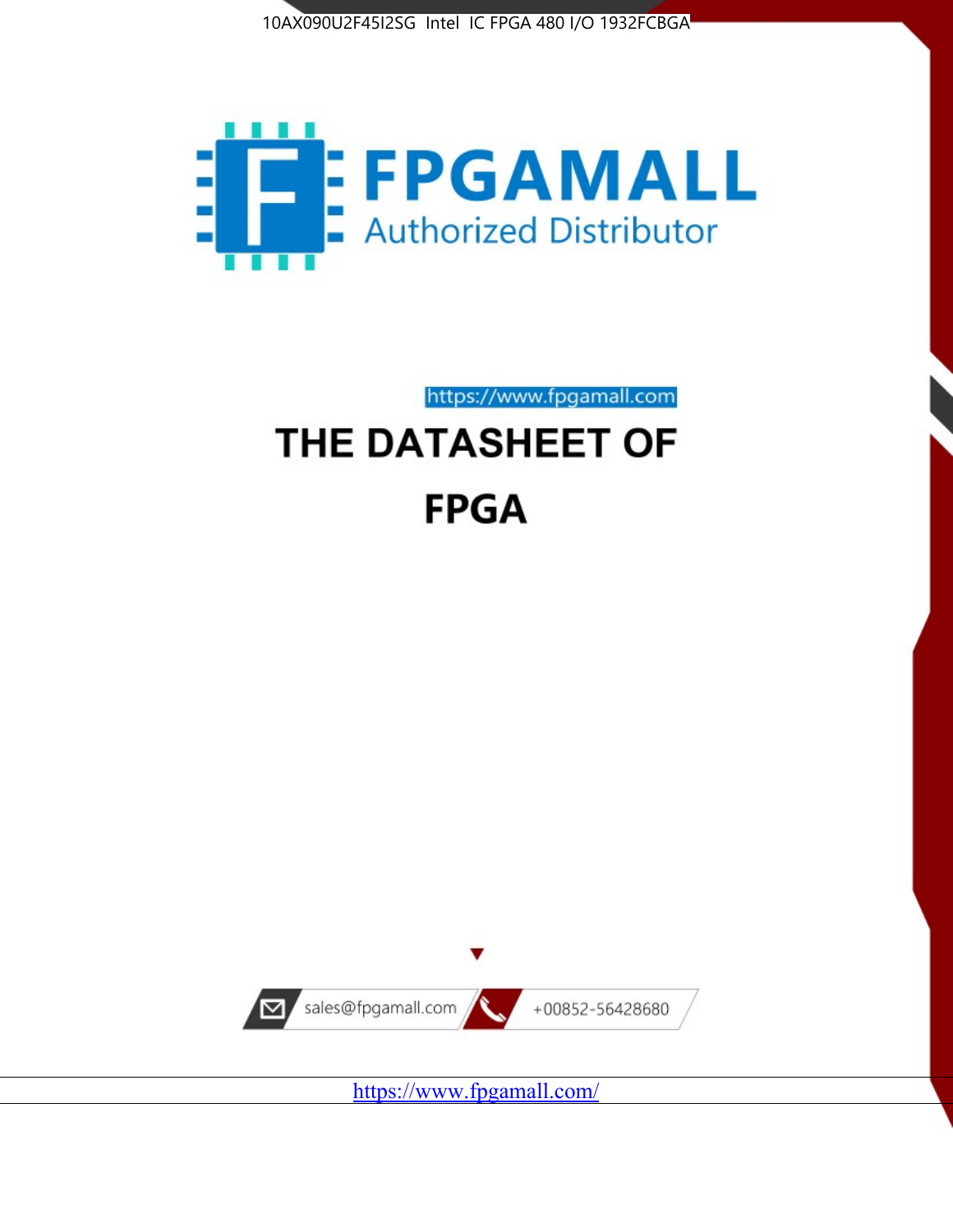



https://www.fpgamall.com

# THE DATASHEET OF **FPGA**



<https://www.fpgamall.com/>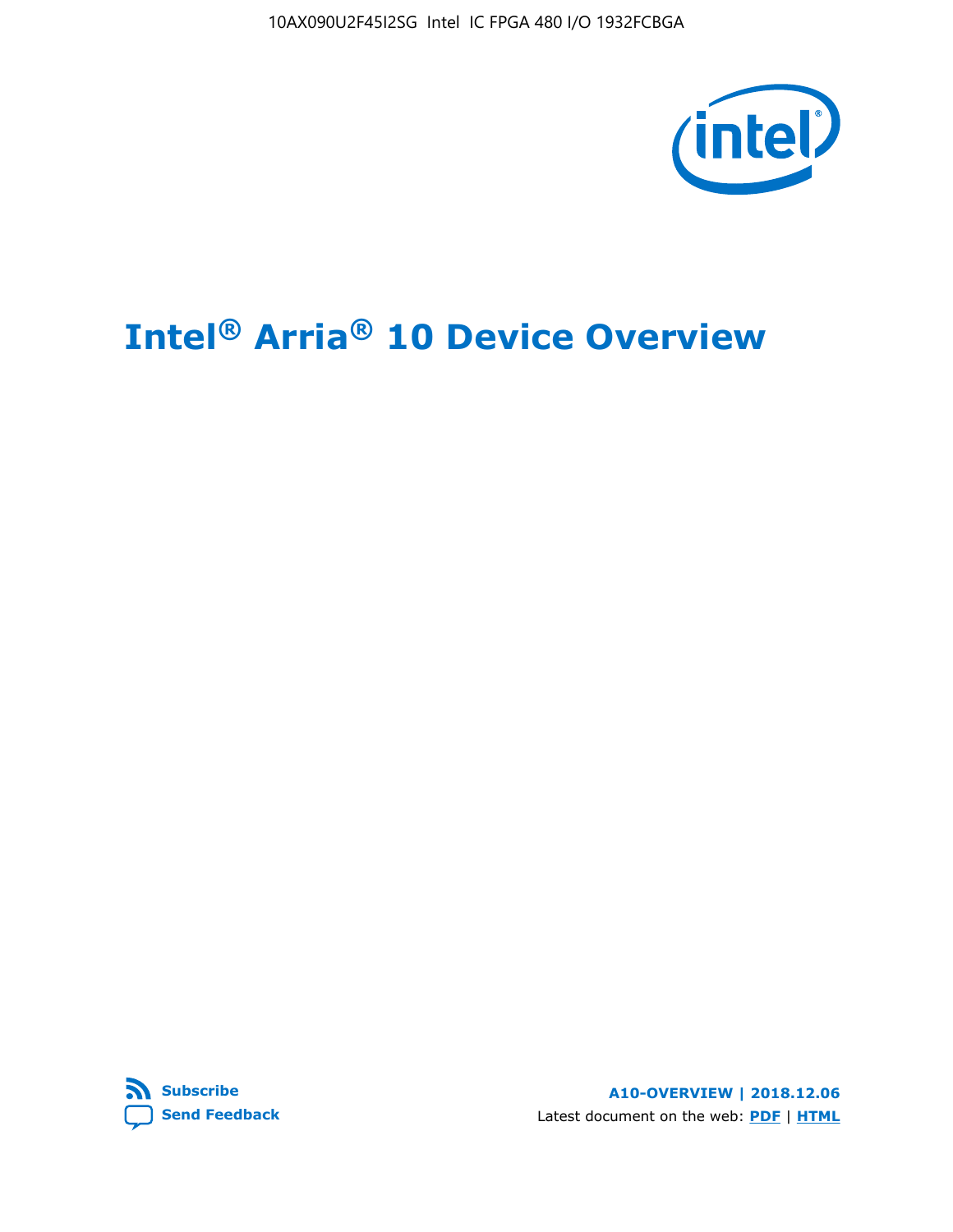10AX090U2F45I2SG Intel IC FPGA 480 I/O 1932FCBGA



# **Intel® Arria® 10 Device Overview**



**A10-OVERVIEW | 2018.12.06** Latest document on the web: **[PDF](https://www.intel.com/content/dam/www/programmable/us/en/pdfs/literature/hb/arria-10/a10_overview.pdf)** | **[HTML](https://www.intel.com/content/www/us/en/programmable/documentation/sam1403480274650.html)**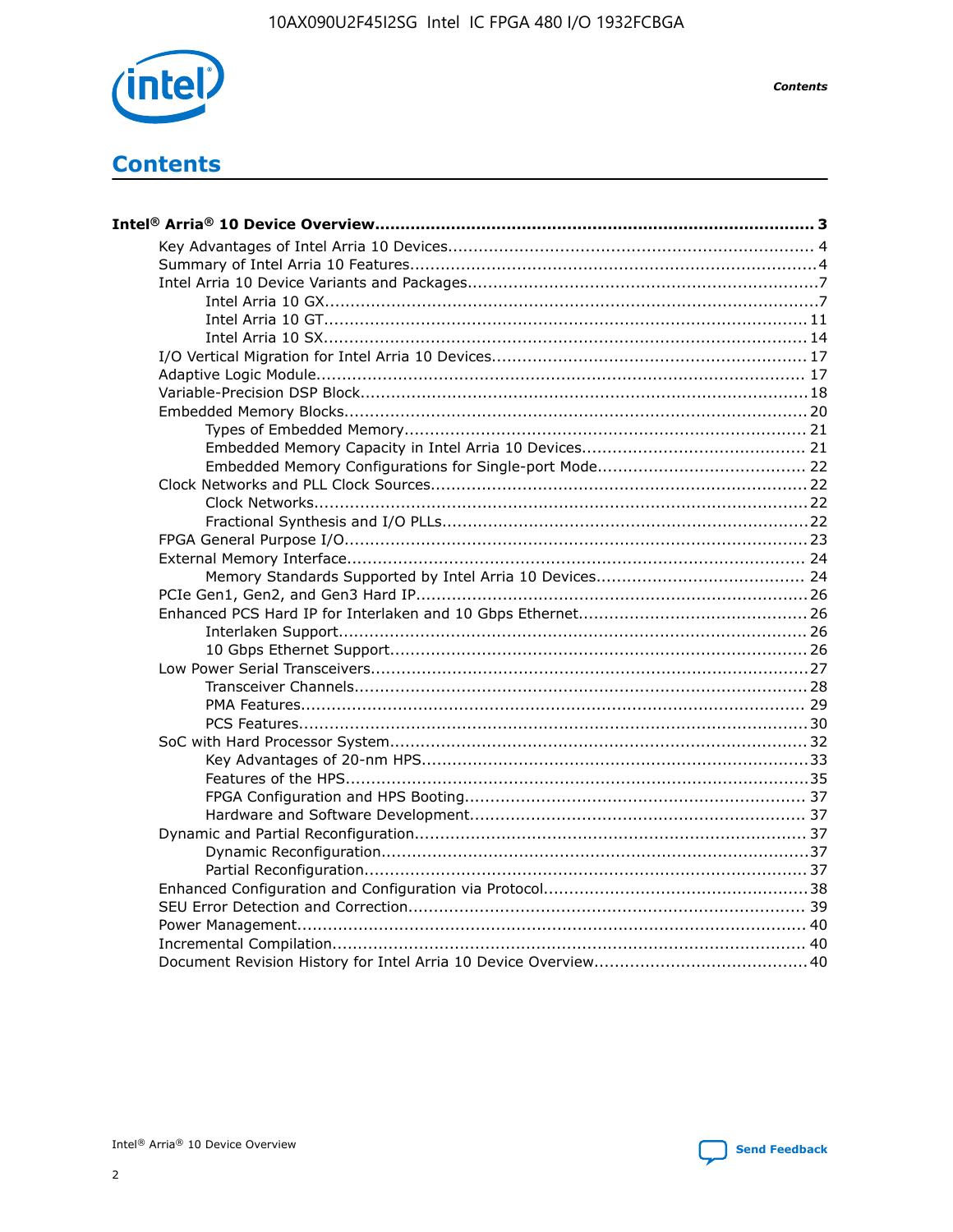

**Contents** 

# **Contents**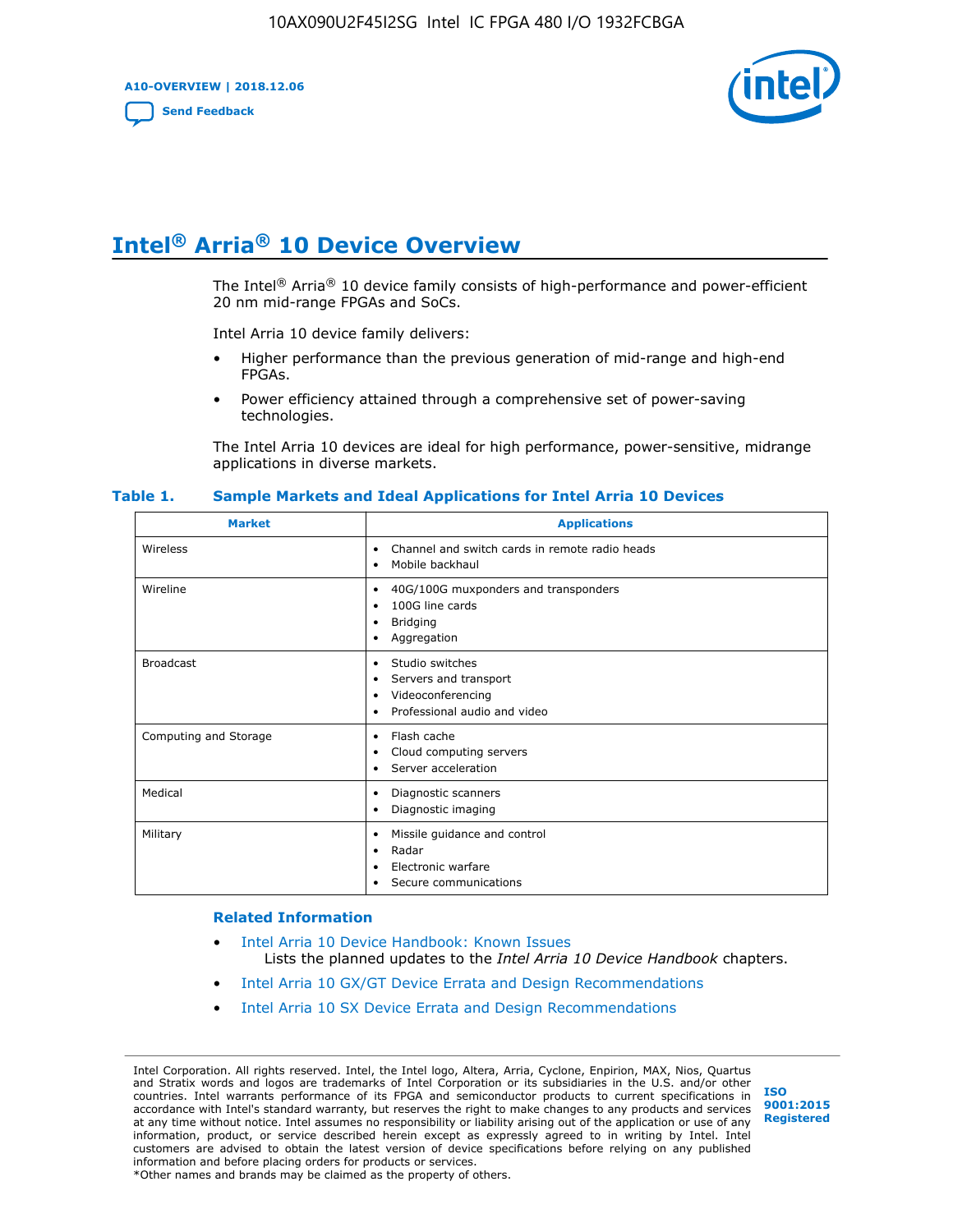**A10-OVERVIEW | 2018.12.06**

**[Send Feedback](mailto:FPGAtechdocfeedback@intel.com?subject=Feedback%20on%20Intel%20Arria%2010%20Device%20Overview%20(A10-OVERVIEW%202018.12.06)&body=We%20appreciate%20your%20feedback.%20In%20your%20comments,%20also%20specify%20the%20page%20number%20or%20paragraph.%20Thank%20you.)**



# **Intel® Arria® 10 Device Overview**

The Intel<sup>®</sup> Arria<sup>®</sup> 10 device family consists of high-performance and power-efficient 20 nm mid-range FPGAs and SoCs.

Intel Arria 10 device family delivers:

- Higher performance than the previous generation of mid-range and high-end FPGAs.
- Power efficiency attained through a comprehensive set of power-saving technologies.

The Intel Arria 10 devices are ideal for high performance, power-sensitive, midrange applications in diverse markets.

| <b>Market</b>         | <b>Applications</b>                                                                                               |
|-----------------------|-------------------------------------------------------------------------------------------------------------------|
| Wireless              | Channel and switch cards in remote radio heads<br>٠<br>Mobile backhaul<br>٠                                       |
| Wireline              | 40G/100G muxponders and transponders<br>٠<br>100G line cards<br>٠<br><b>Bridging</b><br>٠<br>Aggregation<br>٠     |
| <b>Broadcast</b>      | Studio switches<br>٠<br>Servers and transport<br>٠<br>Videoconferencing<br>٠<br>Professional audio and video<br>٠ |
| Computing and Storage | Flash cache<br>٠<br>Cloud computing servers<br>٠<br>Server acceleration<br>٠                                      |
| Medical               | Diagnostic scanners<br>٠<br>Diagnostic imaging<br>٠                                                               |
| Military              | Missile guidance and control<br>٠<br>Radar<br>٠<br>Electronic warfare<br>٠<br>Secure communications<br>٠          |

#### **Table 1. Sample Markets and Ideal Applications for Intel Arria 10 Devices**

#### **Related Information**

- [Intel Arria 10 Device Handbook: Known Issues](http://www.altera.com/support/kdb/solutions/rd07302013_646.html) Lists the planned updates to the *Intel Arria 10 Device Handbook* chapters.
- [Intel Arria 10 GX/GT Device Errata and Design Recommendations](https://www.intel.com/content/www/us/en/programmable/documentation/agz1493851706374.html#yqz1494433888646)
- [Intel Arria 10 SX Device Errata and Design Recommendations](https://www.intel.com/content/www/us/en/programmable/documentation/cru1462832385668.html#cru1462832558642)

Intel Corporation. All rights reserved. Intel, the Intel logo, Altera, Arria, Cyclone, Enpirion, MAX, Nios, Quartus and Stratix words and logos are trademarks of Intel Corporation or its subsidiaries in the U.S. and/or other countries. Intel warrants performance of its FPGA and semiconductor products to current specifications in accordance with Intel's standard warranty, but reserves the right to make changes to any products and services at any time without notice. Intel assumes no responsibility or liability arising out of the application or use of any information, product, or service described herein except as expressly agreed to in writing by Intel. Intel customers are advised to obtain the latest version of device specifications before relying on any published information and before placing orders for products or services. \*Other names and brands may be claimed as the property of others.

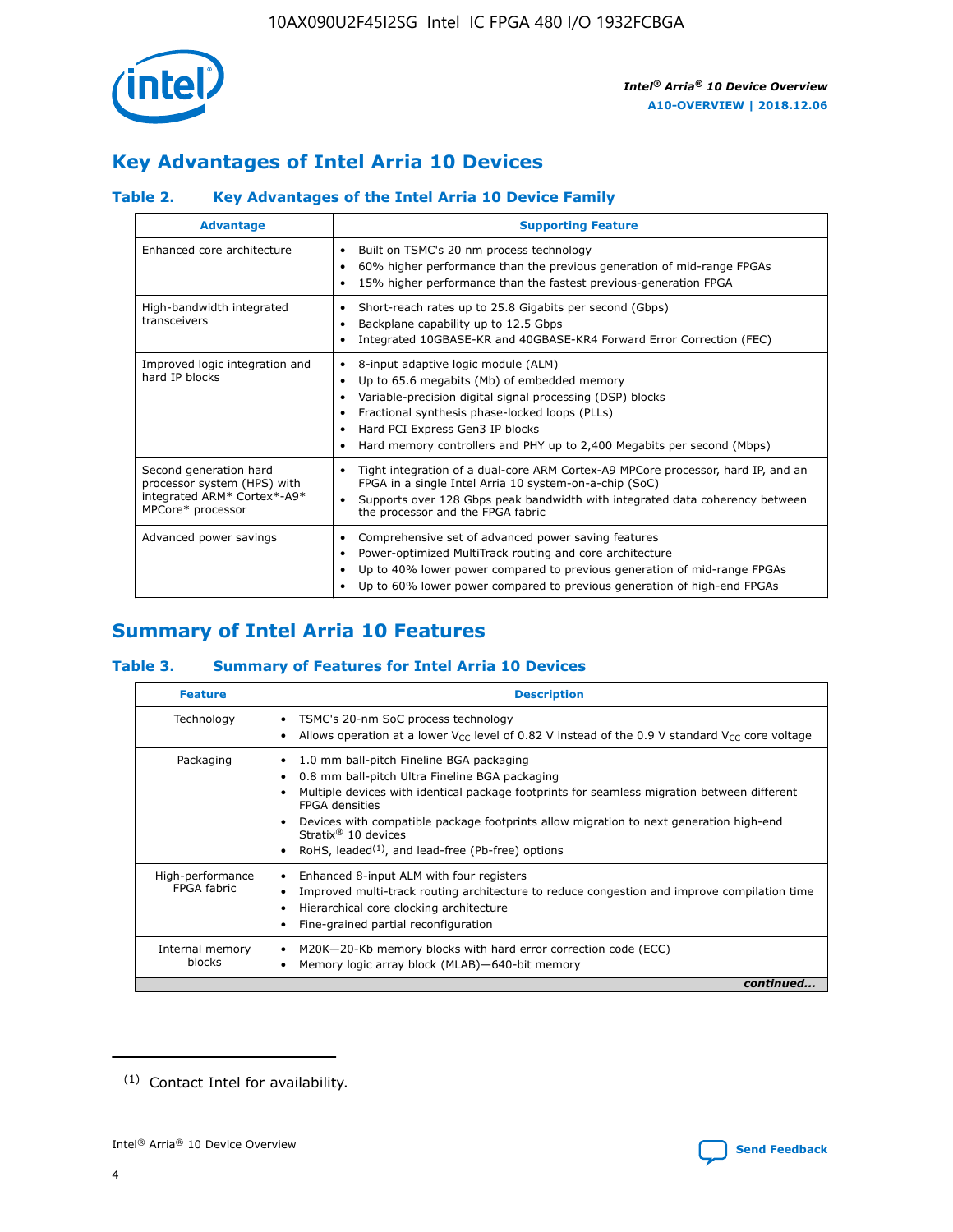

# **Key Advantages of Intel Arria 10 Devices**

# **Table 2. Key Advantages of the Intel Arria 10 Device Family**

| <b>Advantage</b>                                                                                          | <b>Supporting Feature</b>                                                                                                                                                                                                                                                                                                |
|-----------------------------------------------------------------------------------------------------------|--------------------------------------------------------------------------------------------------------------------------------------------------------------------------------------------------------------------------------------------------------------------------------------------------------------------------|
| Enhanced core architecture                                                                                | Built on TSMC's 20 nm process technology<br>٠<br>60% higher performance than the previous generation of mid-range FPGAs<br>٠<br>15% higher performance than the fastest previous-generation FPGA<br>٠                                                                                                                    |
| High-bandwidth integrated<br>transceivers                                                                 | Short-reach rates up to 25.8 Gigabits per second (Gbps)<br>٠<br>Backplane capability up to 12.5 Gbps<br>٠<br>Integrated 10GBASE-KR and 40GBASE-KR4 Forward Error Correction (FEC)<br>٠                                                                                                                                   |
| Improved logic integration and<br>hard IP blocks                                                          | 8-input adaptive logic module (ALM)<br>٠<br>Up to 65.6 megabits (Mb) of embedded memory<br>٠<br>Variable-precision digital signal processing (DSP) blocks<br>Fractional synthesis phase-locked loops (PLLs)<br>Hard PCI Express Gen3 IP blocks<br>Hard memory controllers and PHY up to 2,400 Megabits per second (Mbps) |
| Second generation hard<br>processor system (HPS) with<br>integrated ARM* Cortex*-A9*<br>MPCore* processor | Tight integration of a dual-core ARM Cortex-A9 MPCore processor, hard IP, and an<br>٠<br>FPGA in a single Intel Arria 10 system-on-a-chip (SoC)<br>Supports over 128 Gbps peak bandwidth with integrated data coherency between<br>$\bullet$<br>the processor and the FPGA fabric                                        |
| Advanced power savings                                                                                    | Comprehensive set of advanced power saving features<br>٠<br>Power-optimized MultiTrack routing and core architecture<br>٠<br>Up to 40% lower power compared to previous generation of mid-range FPGAs<br>Up to 60% lower power compared to previous generation of high-end FPGAs                                         |

# **Summary of Intel Arria 10 Features**

## **Table 3. Summary of Features for Intel Arria 10 Devices**

| <b>Feature</b>                  | <b>Description</b>                                                                                                                                                                                                                                                                                                                                                                                 |
|---------------------------------|----------------------------------------------------------------------------------------------------------------------------------------------------------------------------------------------------------------------------------------------------------------------------------------------------------------------------------------------------------------------------------------------------|
| Technology                      | TSMC's 20-nm SoC process technology<br>Allows operation at a lower $V_{\text{CC}}$ level of 0.82 V instead of the 0.9 V standard $V_{\text{CC}}$ core voltage                                                                                                                                                                                                                                      |
| Packaging                       | 1.0 mm ball-pitch Fineline BGA packaging<br>٠<br>0.8 mm ball-pitch Ultra Fineline BGA packaging<br>Multiple devices with identical package footprints for seamless migration between different<br><b>FPGA</b> densities<br>Devices with compatible package footprints allow migration to next generation high-end<br>Stratix $@10$ devices<br>RoHS, leaded $(1)$ , and lead-free (Pb-free) options |
| High-performance<br>FPGA fabric | Enhanced 8-input ALM with four registers<br>Improved multi-track routing architecture to reduce congestion and improve compilation time<br>Hierarchical core clocking architecture<br>Fine-grained partial reconfiguration                                                                                                                                                                         |
| Internal memory<br>blocks       | M20K-20-Kb memory blocks with hard error correction code (ECC)<br>Memory logic array block (MLAB)-640-bit memory                                                                                                                                                                                                                                                                                   |
|                                 | continued                                                                                                                                                                                                                                                                                                                                                                                          |



<sup>(1)</sup> Contact Intel for availability.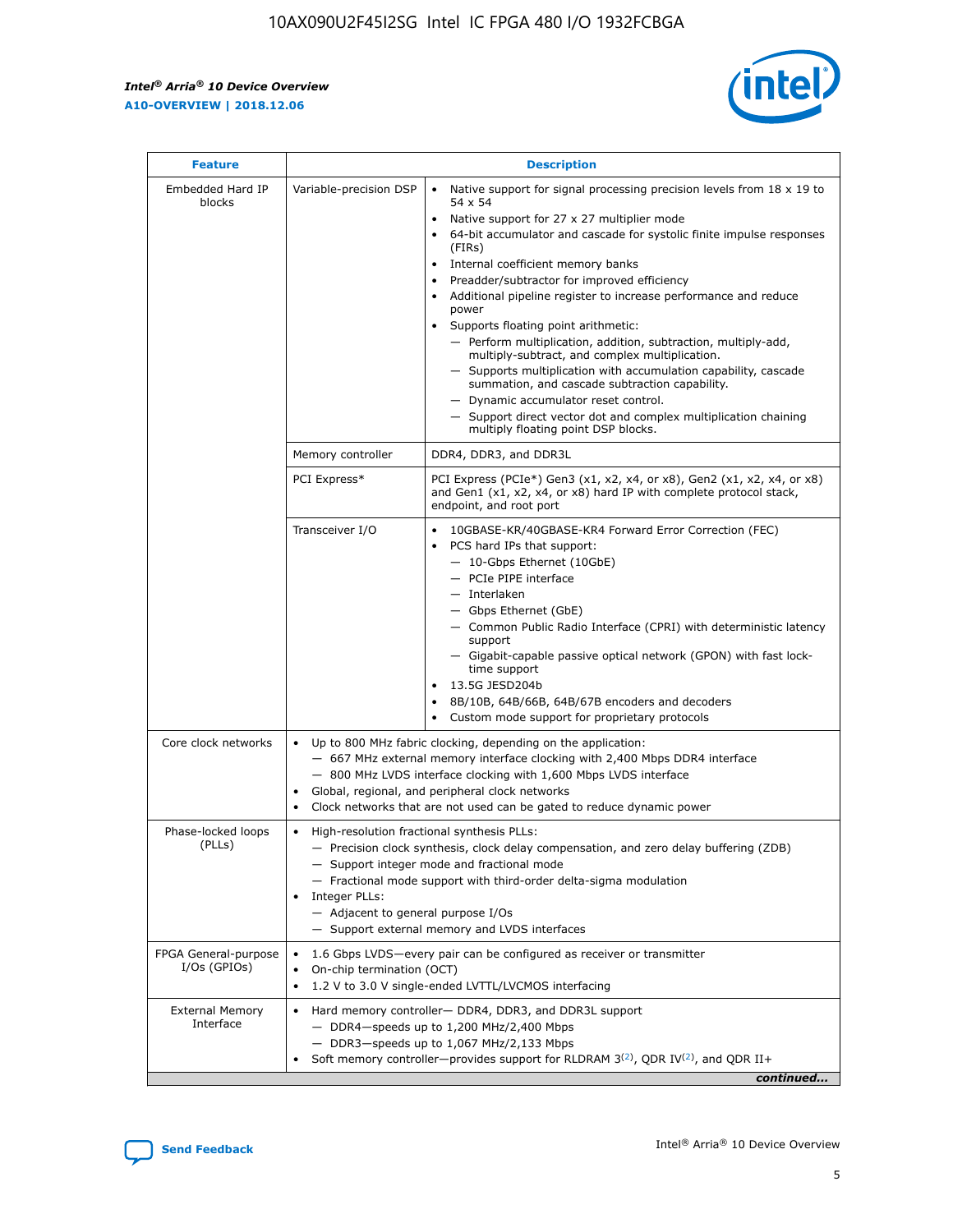$\mathsf{r}$ 



| <b>Feature</b>                         |                                                                                                                | <b>Description</b>                                                                                                                                                                                                                                                                                                                                                                                                                                                                                                                                                                                                                                                                                                                                                                                                                          |
|----------------------------------------|----------------------------------------------------------------------------------------------------------------|---------------------------------------------------------------------------------------------------------------------------------------------------------------------------------------------------------------------------------------------------------------------------------------------------------------------------------------------------------------------------------------------------------------------------------------------------------------------------------------------------------------------------------------------------------------------------------------------------------------------------------------------------------------------------------------------------------------------------------------------------------------------------------------------------------------------------------------------|
| Embedded Hard IP<br>blocks             | Variable-precision DSP                                                                                         | Native support for signal processing precision levels from $18 \times 19$ to<br>$\bullet$<br>54 x 54<br>Native support for 27 x 27 multiplier mode<br>64-bit accumulator and cascade for systolic finite impulse responses<br>(FIRs)<br>Internal coefficient memory banks<br>٠<br>Preadder/subtractor for improved efficiency<br>Additional pipeline register to increase performance and reduce<br>power<br>Supports floating point arithmetic:<br>- Perform multiplication, addition, subtraction, multiply-add,<br>multiply-subtract, and complex multiplication.<br>- Supports multiplication with accumulation capability, cascade<br>summation, and cascade subtraction capability.<br>- Dynamic accumulator reset control.<br>- Support direct vector dot and complex multiplication chaining<br>multiply floating point DSP blocks. |
|                                        | Memory controller                                                                                              | DDR4, DDR3, and DDR3L                                                                                                                                                                                                                                                                                                                                                                                                                                                                                                                                                                                                                                                                                                                                                                                                                       |
|                                        | PCI Express*                                                                                                   | PCI Express (PCIe*) Gen3 (x1, x2, x4, or x8), Gen2 (x1, x2, x4, or x8)<br>and Gen1 (x1, x2, x4, or x8) hard IP with complete protocol stack,<br>endpoint, and root port                                                                                                                                                                                                                                                                                                                                                                                                                                                                                                                                                                                                                                                                     |
|                                        | Transceiver I/O                                                                                                | 10GBASE-KR/40GBASE-KR4 Forward Error Correction (FEC)<br>PCS hard IPs that support:<br>- 10-Gbps Ethernet (10GbE)<br>- PCIe PIPE interface<br>- Interlaken<br>- Gbps Ethernet (GbE)<br>- Common Public Radio Interface (CPRI) with deterministic latency<br>support<br>- Gigabit-capable passive optical network (GPON) with fast lock-<br>time support<br>13.5G JESD204b<br>$\bullet$<br>8B/10B, 64B/66B, 64B/67B encoders and decoders<br>Custom mode support for proprietary protocols                                                                                                                                                                                                                                                                                                                                                   |
| Core clock networks                    | $\bullet$<br>$\bullet$                                                                                         | Up to 800 MHz fabric clocking, depending on the application:<br>- 667 MHz external memory interface clocking with 2,400 Mbps DDR4 interface<br>- 800 MHz LVDS interface clocking with 1,600 Mbps LVDS interface<br>Global, regional, and peripheral clock networks<br>Clock networks that are not used can be gated to reduce dynamic power                                                                                                                                                                                                                                                                                                                                                                                                                                                                                                 |
| Phase-locked loops<br>(PLLs)           | High-resolution fractional synthesis PLLs:<br>$\bullet$<br>Integer PLLs:<br>- Adjacent to general purpose I/Os | - Precision clock synthesis, clock delay compensation, and zero delay buffering (ZDB)<br>- Support integer mode and fractional mode<br>- Fractional mode support with third-order delta-sigma modulation<br>- Support external memory and LVDS interfaces                                                                                                                                                                                                                                                                                                                                                                                                                                                                                                                                                                                   |
| FPGA General-purpose<br>$I/Os$ (GPIOs) | On-chip termination (OCT)<br>$\bullet$                                                                         | 1.6 Gbps LVDS-every pair can be configured as receiver or transmitter<br>1.2 V to 3.0 V single-ended LVTTL/LVCMOS interfacing                                                                                                                                                                                                                                                                                                                                                                                                                                                                                                                                                                                                                                                                                                               |
| <b>External Memory</b><br>Interface    |                                                                                                                | Hard memory controller- DDR4, DDR3, and DDR3L support<br>$-$ DDR4-speeds up to 1,200 MHz/2,400 Mbps<br>- DDR3-speeds up to 1,067 MHz/2,133 Mbps<br>Soft memory controller—provides support for RLDRAM $3^{(2)}$ , QDR IV $(2^2)$ , and QDR II+<br>continued                                                                                                                                                                                                                                                                                                                                                                                                                                                                                                                                                                                 |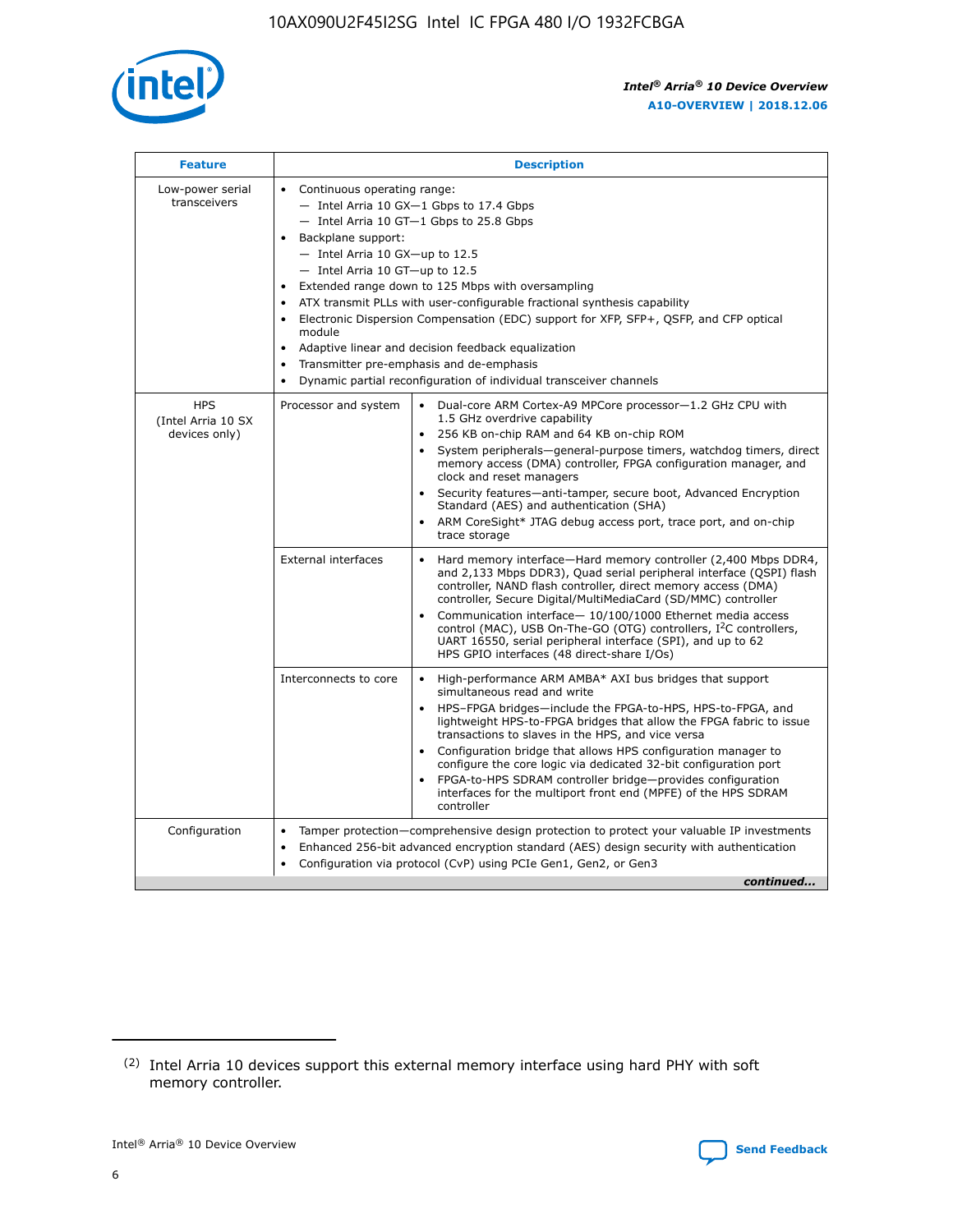

| <b>Feature</b>                                    | <b>Description</b>                                                                                                                                                                                                                                                                                                                                                                                                                                                                                                                                                                                                                             |  |  |  |  |  |  |  |
|---------------------------------------------------|------------------------------------------------------------------------------------------------------------------------------------------------------------------------------------------------------------------------------------------------------------------------------------------------------------------------------------------------------------------------------------------------------------------------------------------------------------------------------------------------------------------------------------------------------------------------------------------------------------------------------------------------|--|--|--|--|--|--|--|
| Low-power serial<br>transceivers                  | • Continuous operating range:<br>- Intel Arria 10 GX-1 Gbps to 17.4 Gbps<br>- Intel Arria 10 GT-1 Gbps to 25.8 Gbps<br>Backplane support:<br>$-$ Intel Arria 10 GX-up to 12.5<br>$-$ Intel Arria 10 GT-up to 12.5<br>Extended range down to 125 Mbps with oversampling<br>ATX transmit PLLs with user-configurable fractional synthesis capability<br>• Electronic Dispersion Compensation (EDC) support for XFP, SFP+, QSFP, and CFP optical<br>module<br>• Adaptive linear and decision feedback equalization<br>Transmitter pre-emphasis and de-emphasis<br>$\bullet$<br>Dynamic partial reconfiguration of individual transceiver channels |  |  |  |  |  |  |  |
| <b>HPS</b><br>(Intel Arria 10 SX<br>devices only) | Processor and system<br>Dual-core ARM Cortex-A9 MPCore processor-1.2 GHz CPU with<br>$\bullet$<br>1.5 GHz overdrive capability<br>256 KB on-chip RAM and 64 KB on-chip ROM<br>$\bullet$<br>System peripherals-general-purpose timers, watchdog timers, direct<br>memory access (DMA) controller, FPGA configuration manager, and<br>clock and reset managers<br>• Security features—anti-tamper, secure boot, Advanced Encryption<br>Standard (AES) and authentication (SHA)<br>ARM CoreSight* JTAG debug access port, trace port, and on-chip<br>trace storage                                                                                |  |  |  |  |  |  |  |
|                                                   | <b>External interfaces</b><br>Hard memory interface—Hard memory controller (2,400 Mbps DDR4,<br>$\bullet$<br>and 2,133 Mbps DDR3), Quad serial peripheral interface (QSPI) flash<br>controller, NAND flash controller, direct memory access (DMA)<br>controller, Secure Digital/MultiMediaCard (SD/MMC) controller<br>Communication interface-10/100/1000 Ethernet media access<br>control (MAC), USB On-The-GO (OTG) controllers, I <sup>2</sup> C controllers,<br>UART 16550, serial peripheral interface (SPI), and up to 62<br>HPS GPIO interfaces (48 direct-share I/Os)                                                                  |  |  |  |  |  |  |  |
|                                                   | High-performance ARM AMBA* AXI bus bridges that support<br>Interconnects to core<br>$\bullet$<br>simultaneous read and write<br>HPS-FPGA bridges—include the FPGA-to-HPS, HPS-to-FPGA, and<br>$\bullet$<br>lightweight HPS-to-FPGA bridges that allow the FPGA fabric to issue<br>transactions to slaves in the HPS, and vice versa<br>Configuration bridge that allows HPS configuration manager to<br>configure the core logic via dedicated 32-bit configuration port<br>FPGA-to-HPS SDRAM controller bridge-provides configuration<br>interfaces for the multiport front end (MPFE) of the HPS SDRAM<br>controller                         |  |  |  |  |  |  |  |
| Configuration                                     | Tamper protection—comprehensive design protection to protect your valuable IP investments<br>Enhanced 256-bit advanced encryption standard (AES) design security with authentication<br>$\bullet$<br>Configuration via protocol (CvP) using PCIe Gen1, Gen2, or Gen3<br>continued                                                                                                                                                                                                                                                                                                                                                              |  |  |  |  |  |  |  |

<sup>(2)</sup> Intel Arria 10 devices support this external memory interface using hard PHY with soft memory controller.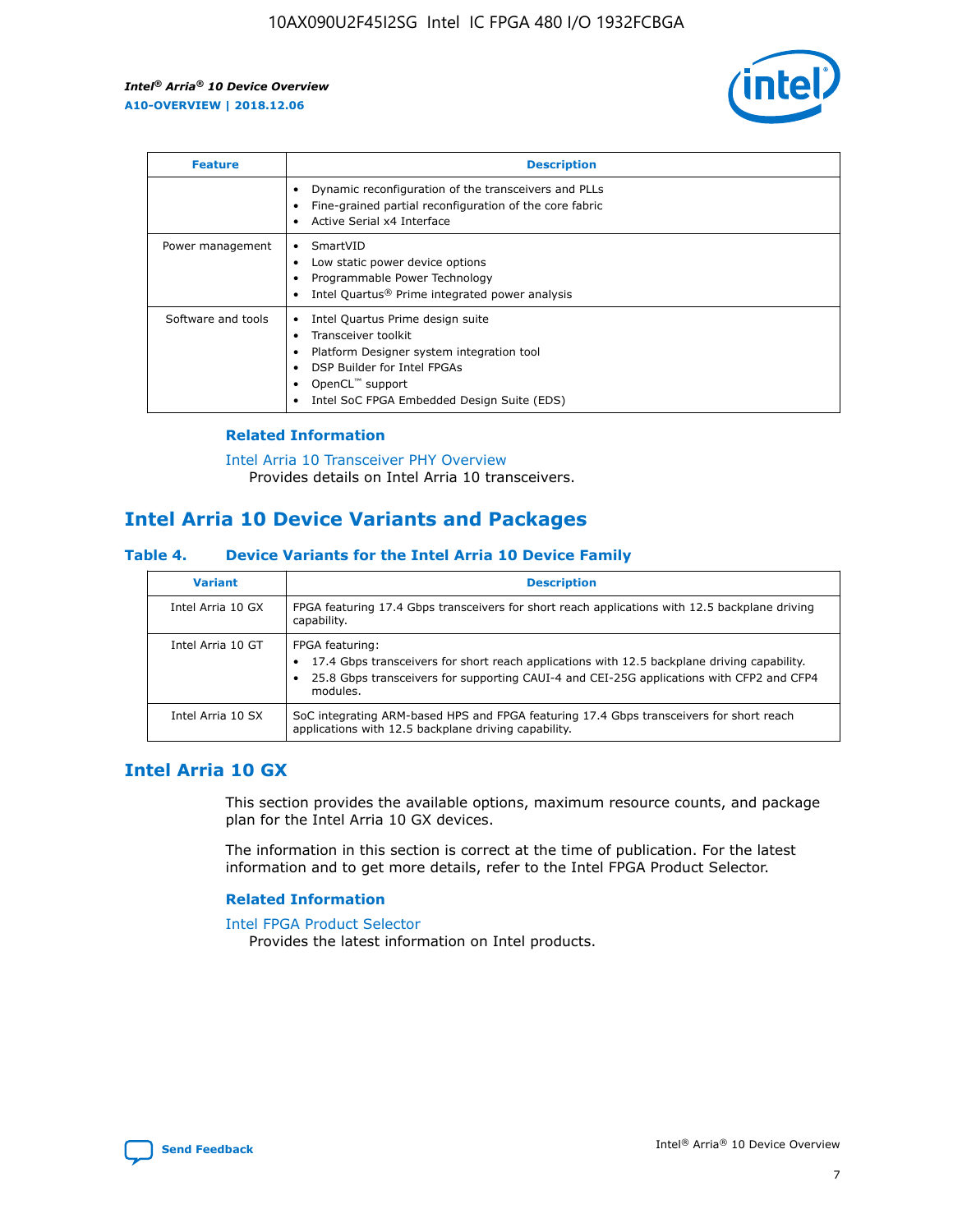

| <b>Feature</b>     | <b>Description</b>                                                                                                                                                                                               |
|--------------------|------------------------------------------------------------------------------------------------------------------------------------------------------------------------------------------------------------------|
|                    | Dynamic reconfiguration of the transceivers and PLLs<br>Fine-grained partial reconfiguration of the core fabric<br>Active Serial x4 Interface<br>$\bullet$                                                       |
| Power management   | SmartVID<br>Low static power device options<br>Programmable Power Technology<br>Intel Quartus <sup>®</sup> Prime integrated power analysis                                                                       |
| Software and tools | Intel Quartus Prime design suite<br>Transceiver toolkit<br>Platform Designer system integration tool<br>DSP Builder for Intel FPGAs<br>OpenCL <sup>™</sup> support<br>Intel SoC FPGA Embedded Design Suite (EDS) |

## **Related Information**

[Intel Arria 10 Transceiver PHY Overview](https://www.intel.com/content/www/us/en/programmable/documentation/nik1398707230472.html#nik1398706768037) Provides details on Intel Arria 10 transceivers.

# **Intel Arria 10 Device Variants and Packages**

#### **Table 4. Device Variants for the Intel Arria 10 Device Family**

| <b>Variant</b>    | <b>Description</b>                                                                                                                                                                                                     |
|-------------------|------------------------------------------------------------------------------------------------------------------------------------------------------------------------------------------------------------------------|
| Intel Arria 10 GX | FPGA featuring 17.4 Gbps transceivers for short reach applications with 12.5 backplane driving<br>capability.                                                                                                          |
| Intel Arria 10 GT | FPGA featuring:<br>17.4 Gbps transceivers for short reach applications with 12.5 backplane driving capability.<br>25.8 Gbps transceivers for supporting CAUI-4 and CEI-25G applications with CFP2 and CFP4<br>modules. |
| Intel Arria 10 SX | SoC integrating ARM-based HPS and FPGA featuring 17.4 Gbps transceivers for short reach<br>applications with 12.5 backplane driving capability.                                                                        |

# **Intel Arria 10 GX**

This section provides the available options, maximum resource counts, and package plan for the Intel Arria 10 GX devices.

The information in this section is correct at the time of publication. For the latest information and to get more details, refer to the Intel FPGA Product Selector.

#### **Related Information**

#### [Intel FPGA Product Selector](http://www.altera.com/products/selector/psg-selector.html) Provides the latest information on Intel products.

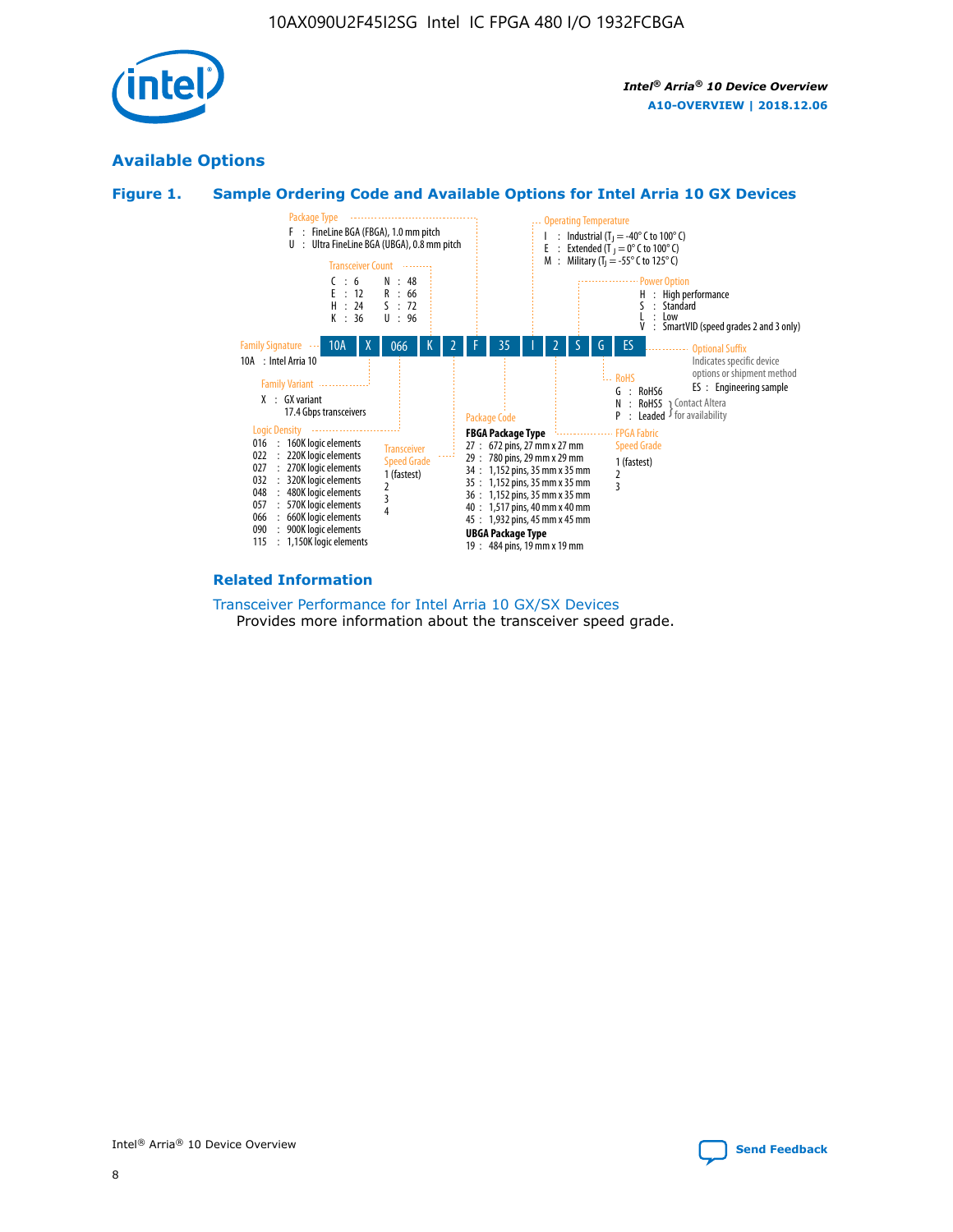

# **Available Options**





#### **Related Information**

[Transceiver Performance for Intel Arria 10 GX/SX Devices](https://www.intel.com/content/www/us/en/programmable/documentation/mcn1413182292568.html#mcn1413213965502) Provides more information about the transceiver speed grade.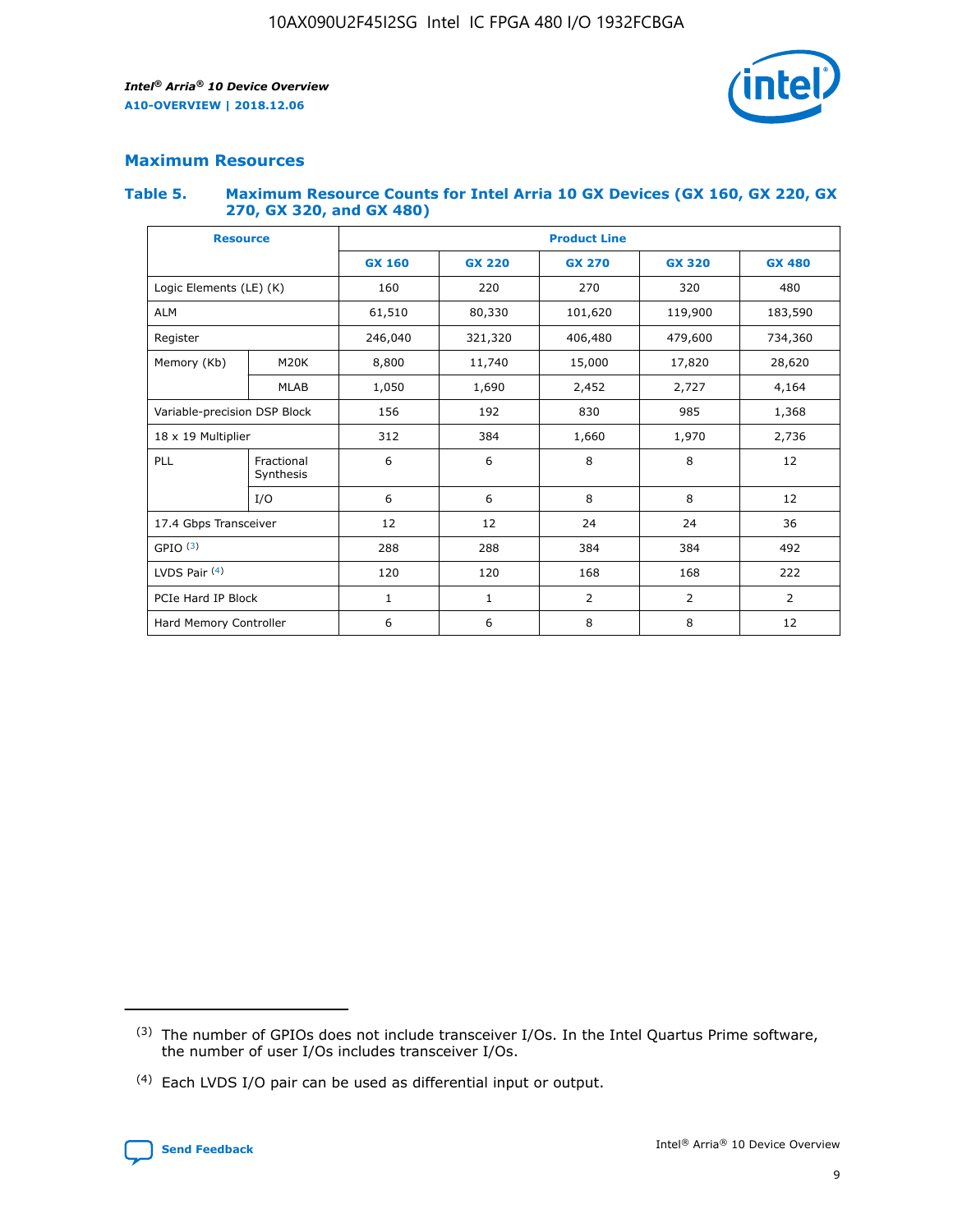

# **Maximum Resources**

#### **Table 5. Maximum Resource Counts for Intel Arria 10 GX Devices (GX 160, GX 220, GX 270, GX 320, and GX 480)**

| <b>Resource</b>              |                         | <b>Product Line</b> |                                |                  |                |                |  |  |  |
|------------------------------|-------------------------|---------------------|--------------------------------|------------------|----------------|----------------|--|--|--|
|                              |                         | <b>GX 160</b>       | <b>GX 220</b><br><b>GX 270</b> |                  | <b>GX 320</b>  | <b>GX 480</b>  |  |  |  |
| Logic Elements (LE) (K)      |                         | 160                 | 220                            | 270              | 320            | 480            |  |  |  |
| <b>ALM</b>                   |                         | 61,510              | 80,330                         | 101,620          | 119,900        | 183,590        |  |  |  |
| Register                     |                         | 246,040             | 321,320                        | 406,480          |                | 734,360        |  |  |  |
| Memory (Kb)                  | M <sub>20</sub> K       | 8,800               | 11,740                         | 15,000<br>17,820 |                | 28,620         |  |  |  |
| <b>MLAB</b>                  |                         | 1,050               | 1,690<br>2,452                 |                  | 2,727          | 4,164          |  |  |  |
| Variable-precision DSP Block |                         | 156                 | 192<br>830<br>985              |                  |                | 1,368          |  |  |  |
| 18 x 19 Multiplier           |                         | 312                 | 384                            | 1,970<br>1,660   |                | 2,736          |  |  |  |
| PLL                          | Fractional<br>Synthesis | 6                   | 6                              | 8                | 8              | 12             |  |  |  |
|                              | I/O                     | 6                   | 6                              | 8                | 8              | 12             |  |  |  |
| 17.4 Gbps Transceiver        |                         | 12                  | 12                             | 24               | 24             | 36             |  |  |  |
| GPIO <sup>(3)</sup>          |                         | 288                 | 288<br>384<br>384              |                  |                | 492            |  |  |  |
| LVDS Pair $(4)$              |                         | 120                 | 120                            | 168              | 168            | 222            |  |  |  |
| PCIe Hard IP Block           |                         | $\mathbf{1}$        | 1                              | $\overline{2}$   | $\overline{2}$ | $\overline{2}$ |  |  |  |
| Hard Memory Controller       |                         | 6                   | 6                              | 8                | 8              | 12             |  |  |  |

<sup>(4)</sup> Each LVDS I/O pair can be used as differential input or output.



<sup>(3)</sup> The number of GPIOs does not include transceiver I/Os. In the Intel Quartus Prime software, the number of user I/Os includes transceiver I/Os.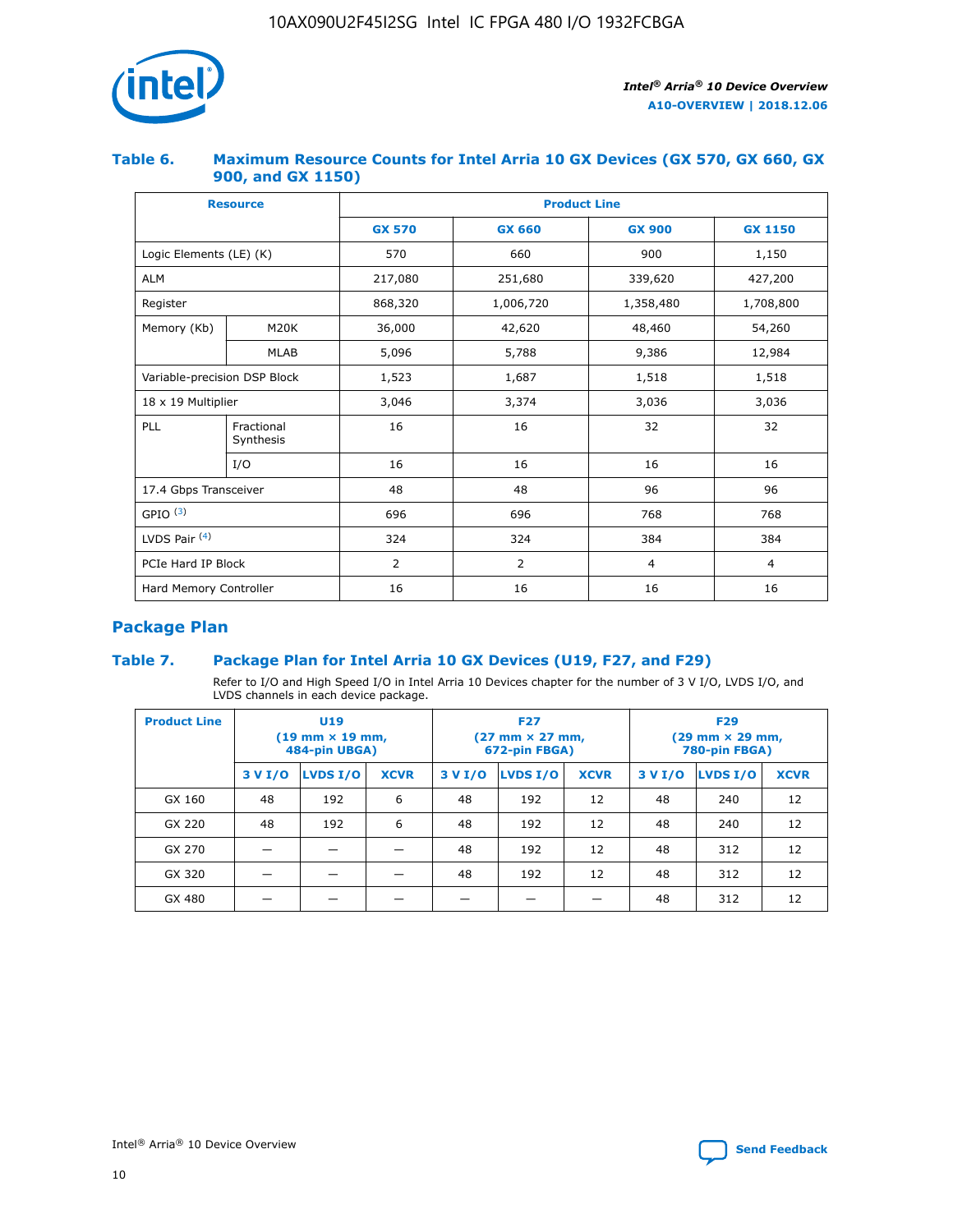

## **Table 6. Maximum Resource Counts for Intel Arria 10 GX Devices (GX 570, GX 660, GX 900, and GX 1150)**

|                              | <b>Resource</b>         | <b>Product Line</b> |               |                |                |  |  |  |  |
|------------------------------|-------------------------|---------------------|---------------|----------------|----------------|--|--|--|--|
|                              |                         | <b>GX 570</b>       | <b>GX 660</b> | <b>GX 900</b>  | <b>GX 1150</b> |  |  |  |  |
| Logic Elements (LE) (K)      |                         | 570                 | 660           | 900            | 1,150          |  |  |  |  |
| <b>ALM</b>                   |                         | 217,080             | 251,680       | 339,620        | 427,200        |  |  |  |  |
| Register                     |                         | 868,320             | 1,006,720     | 1,358,480      | 1,708,800      |  |  |  |  |
| Memory (Kb)                  | <b>M20K</b>             | 36,000              | 42,620        | 48,460         | 54,260         |  |  |  |  |
|                              | <b>MLAB</b>             | 5,096               | 5,788         | 9,386          | 12,984         |  |  |  |  |
| Variable-precision DSP Block |                         | 1,523               | 1,687         | 1,518          | 1,518          |  |  |  |  |
| $18 \times 19$ Multiplier    |                         | 3,046               | 3,374         | 3,036          | 3,036          |  |  |  |  |
| PLL                          | Fractional<br>Synthesis | 16                  | 16            | 32             | 32             |  |  |  |  |
|                              | I/O                     | 16                  | 16            | 16             | 16             |  |  |  |  |
| 17.4 Gbps Transceiver        |                         | 48                  | 48            | 96             | 96             |  |  |  |  |
| GPIO <sup>(3)</sup>          |                         | 696                 | 696           | 768            | 768            |  |  |  |  |
| LVDS Pair $(4)$              |                         | 324                 | 324           | 384            | 384            |  |  |  |  |
| PCIe Hard IP Block           |                         | 2                   | 2             | $\overline{4}$ | $\overline{4}$ |  |  |  |  |
| Hard Memory Controller       |                         | 16                  | 16            | 16             | 16             |  |  |  |  |

# **Package Plan**

## **Table 7. Package Plan for Intel Arria 10 GX Devices (U19, F27, and F29)**

Refer to I/O and High Speed I/O in Intel Arria 10 Devices chapter for the number of 3 V I/O, LVDS I/O, and LVDS channels in each device package.

| <b>Product Line</b> | U <sub>19</sub><br>$(19 \text{ mm} \times 19 \text{ mm})$<br>484-pin UBGA) |          |             |         | <b>F27</b><br>(27 mm × 27 mm,<br>672-pin FBGA) |             | <b>F29</b><br>(29 mm × 29 mm,<br>780-pin FBGA) |          |             |  |
|---------------------|----------------------------------------------------------------------------|----------|-------------|---------|------------------------------------------------|-------------|------------------------------------------------|----------|-------------|--|
|                     | 3 V I/O                                                                    | LVDS I/O | <b>XCVR</b> | 3 V I/O | LVDS I/O                                       | <b>XCVR</b> | 3 V I/O                                        | LVDS I/O | <b>XCVR</b> |  |
| GX 160              | 48                                                                         | 192      | 6           | 48      | 192                                            | 12          | 48                                             | 240      | 12          |  |
| GX 220              | 48                                                                         | 192      | 6           | 48      | 192                                            | 12          | 48                                             | 240      | 12          |  |
| GX 270              |                                                                            |          |             | 48      | 192                                            | 12          | 48                                             | 312      | 12          |  |
| GX 320              |                                                                            |          |             | 48      | 192                                            | 12          | 48                                             | 312      | 12          |  |
| GX 480              |                                                                            |          |             |         |                                                |             | 48                                             | 312      | 12          |  |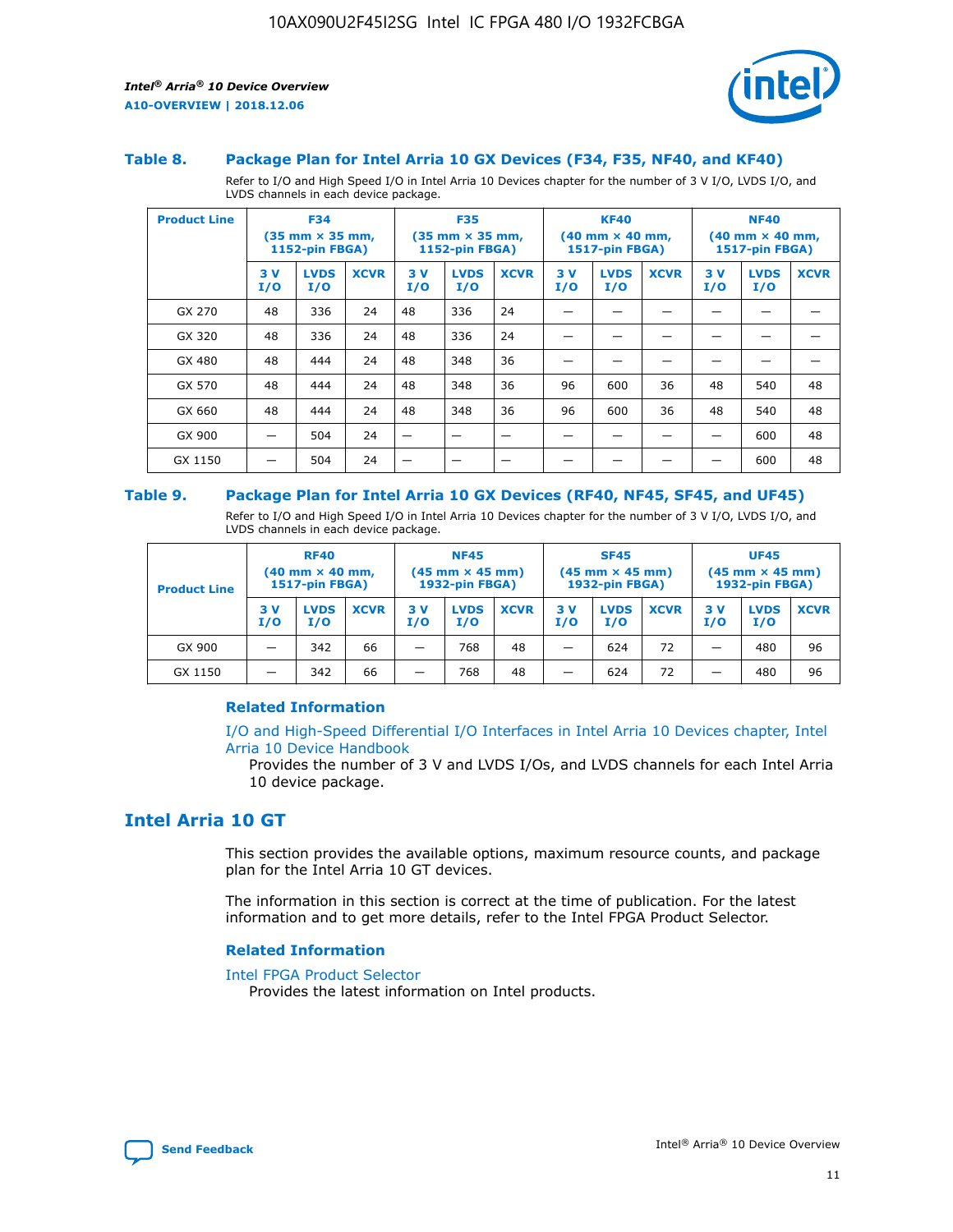

#### **Table 8. Package Plan for Intel Arria 10 GX Devices (F34, F35, NF40, and KF40)**

Refer to I/O and High Speed I/O in Intel Arria 10 Devices chapter for the number of 3 V I/O, LVDS I/O, and LVDS channels in each device package.

| <b>Product Line</b> | <b>F34</b><br>$(35 \text{ mm} \times 35 \text{ mm})$<br>1152-pin FBGA) |                    | <b>F35</b><br>$(35 \text{ mm} \times 35 \text{ mm})$<br><b>1152-pin FBGA)</b> |           | <b>KF40</b><br>$(40$ mm $\times$ 40 mm,<br>1517-pin FBGA) |             |           | <b>NF40</b><br>$(40$ mm $\times$ 40 mm,<br><b>1517-pin FBGA)</b> |             |            |                    |             |
|---------------------|------------------------------------------------------------------------|--------------------|-------------------------------------------------------------------------------|-----------|-----------------------------------------------------------|-------------|-----------|------------------------------------------------------------------|-------------|------------|--------------------|-------------|
|                     | 3V<br>I/O                                                              | <b>LVDS</b><br>I/O | <b>XCVR</b>                                                                   | 3V<br>I/O | <b>LVDS</b><br>I/O                                        | <b>XCVR</b> | 3V<br>I/O | <b>LVDS</b><br>I/O                                               | <b>XCVR</b> | 3 V<br>I/O | <b>LVDS</b><br>I/O | <b>XCVR</b> |
| GX 270              | 48                                                                     | 336                | 24                                                                            | 48        | 336                                                       | 24          |           |                                                                  |             |            |                    |             |
| GX 320              | 48                                                                     | 336                | 24                                                                            | 48        | 336                                                       | 24          |           |                                                                  |             |            |                    |             |
| GX 480              | 48                                                                     | 444                | 24                                                                            | 48        | 348                                                       | 36          |           |                                                                  |             |            |                    |             |
| GX 570              | 48                                                                     | 444                | 24                                                                            | 48        | 348                                                       | 36          | 96        | 600                                                              | 36          | 48         | 540                | 48          |
| GX 660              | 48                                                                     | 444                | 24                                                                            | 48        | 348                                                       | 36          | 96        | 600                                                              | 36          | 48         | 540                | 48          |
| GX 900              |                                                                        | 504                | 24                                                                            | -         |                                                           |             |           |                                                                  |             |            | 600                | 48          |
| GX 1150             |                                                                        | 504                | 24                                                                            |           |                                                           |             |           |                                                                  |             |            | 600                | 48          |

#### **Table 9. Package Plan for Intel Arria 10 GX Devices (RF40, NF45, SF45, and UF45)**

Refer to I/O and High Speed I/O in Intel Arria 10 Devices chapter for the number of 3 V I/O, LVDS I/O, and LVDS channels in each device package.

| <b>Product Line</b> | <b>RF40</b><br>$(40$ mm $\times$ 40 mm,<br>1517-pin FBGA) |                    |             | <b>NF45</b><br>$(45 \text{ mm} \times 45 \text{ mm})$<br><b>1932-pin FBGA)</b> |                    |             | <b>SF45</b><br>$(45 \text{ mm} \times 45 \text{ mm})$<br><b>1932-pin FBGA)</b> |                    |             | <b>UF45</b><br>$(45 \text{ mm} \times 45 \text{ mm})$<br><b>1932-pin FBGA)</b> |                    |             |
|---------------------|-----------------------------------------------------------|--------------------|-------------|--------------------------------------------------------------------------------|--------------------|-------------|--------------------------------------------------------------------------------|--------------------|-------------|--------------------------------------------------------------------------------|--------------------|-------------|
|                     | 3V<br>I/O                                                 | <b>LVDS</b><br>I/O | <b>XCVR</b> | 3 V<br>I/O                                                                     | <b>LVDS</b><br>I/O | <b>XCVR</b> | 3 V<br>I/O                                                                     | <b>LVDS</b><br>I/O | <b>XCVR</b> | 3V<br>I/O                                                                      | <b>LVDS</b><br>I/O | <b>XCVR</b> |
| GX 900              |                                                           | 342                | 66          | _                                                                              | 768                | 48          |                                                                                | 624                | 72          |                                                                                | 480                | 96          |
| GX 1150             |                                                           | 342                | 66          | _                                                                              | 768                | 48          |                                                                                | 624                | 72          |                                                                                | 480                | 96          |

#### **Related Information**

[I/O and High-Speed Differential I/O Interfaces in Intel Arria 10 Devices chapter, Intel](https://www.intel.com/content/www/us/en/programmable/documentation/sam1403482614086.html#sam1403482030321) [Arria 10 Device Handbook](https://www.intel.com/content/www/us/en/programmable/documentation/sam1403482614086.html#sam1403482030321)

Provides the number of 3 V and LVDS I/Os, and LVDS channels for each Intel Arria 10 device package.

# **Intel Arria 10 GT**

This section provides the available options, maximum resource counts, and package plan for the Intel Arria 10 GT devices.

The information in this section is correct at the time of publication. For the latest information and to get more details, refer to the Intel FPGA Product Selector.

#### **Related Information**

#### [Intel FPGA Product Selector](http://www.altera.com/products/selector/psg-selector.html)

Provides the latest information on Intel products.

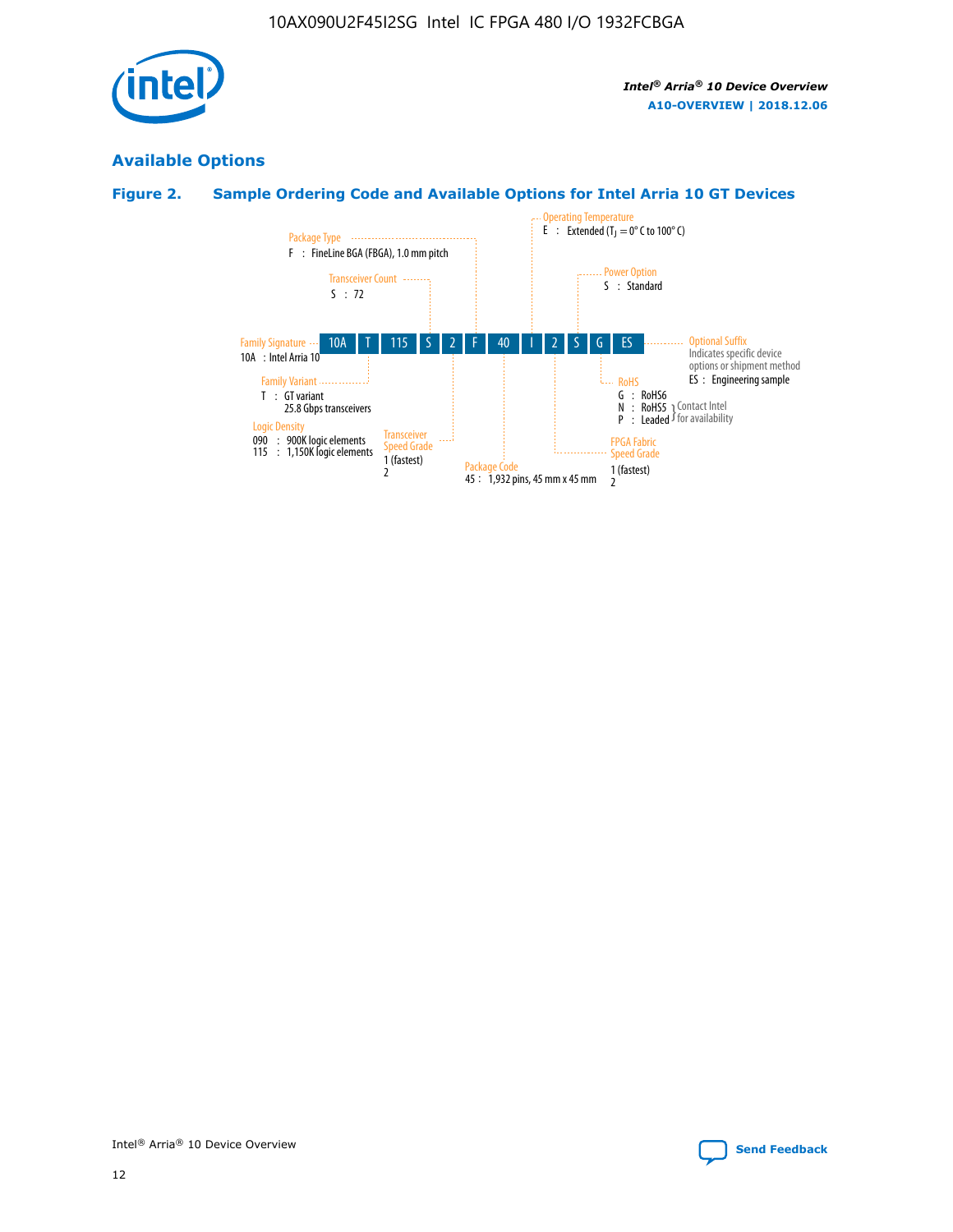

# **Available Options**

# **Figure 2. Sample Ordering Code and Available Options for Intel Arria 10 GT Devices**

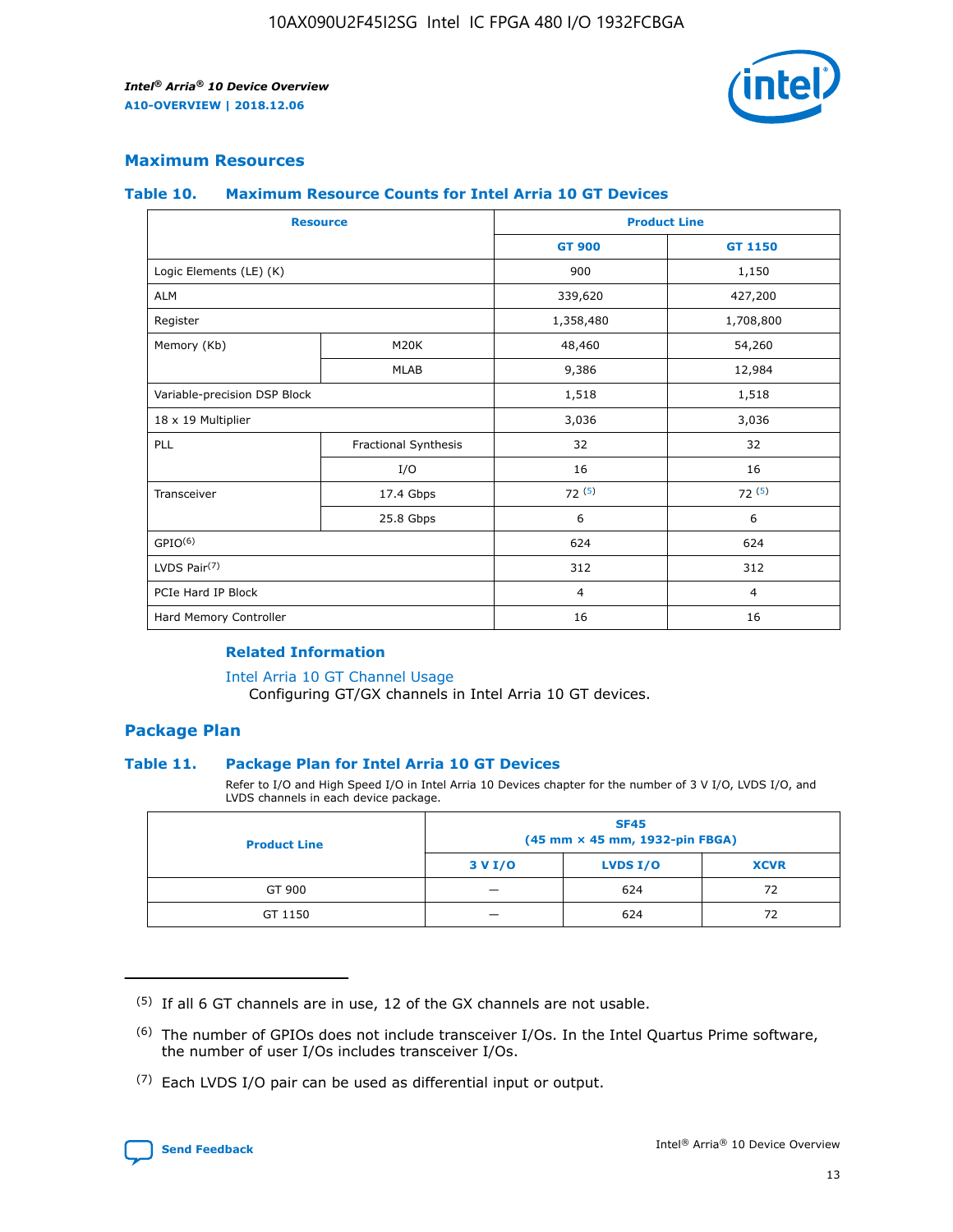

## **Maximum Resources**

#### **Table 10. Maximum Resource Counts for Intel Arria 10 GT Devices**

|                              | <b>Resource</b>      | <b>Product Line</b> |                |  |
|------------------------------|----------------------|---------------------|----------------|--|
|                              |                      | <b>GT 900</b>       | GT 1150        |  |
| Logic Elements (LE) (K)      |                      | 900                 | 1,150          |  |
| <b>ALM</b>                   |                      | 339,620             | 427,200        |  |
| Register                     |                      | 1,358,480           | 1,708,800      |  |
| Memory (Kb)                  | M20K                 | 48,460              | 54,260         |  |
|                              | <b>MLAB</b>          | 9,386               | 12,984         |  |
| Variable-precision DSP Block |                      | 1,518               | 1,518          |  |
| 18 x 19 Multiplier           |                      | 3,036               | 3,036          |  |
| PLL                          | Fractional Synthesis | 32                  | 32             |  |
|                              | I/O                  | 16                  | 16             |  |
| Transceiver                  | 17.4 Gbps            | 72(5)               | 72(5)          |  |
|                              | 25.8 Gbps            | 6                   | 6              |  |
| GPIO <sup>(6)</sup>          |                      | 624                 | 624            |  |
| LVDS Pair $(7)$              |                      | 312                 | 312            |  |
| PCIe Hard IP Block           |                      | $\overline{4}$      | $\overline{4}$ |  |
| Hard Memory Controller       |                      | 16                  | 16             |  |

#### **Related Information**

#### [Intel Arria 10 GT Channel Usage](https://www.intel.com/content/www/us/en/programmable/documentation/nik1398707230472.html#nik1398707008178)

Configuring GT/GX channels in Intel Arria 10 GT devices.

## **Package Plan**

#### **Table 11. Package Plan for Intel Arria 10 GT Devices**

Refer to I/O and High Speed I/O in Intel Arria 10 Devices chapter for the number of 3 V I/O, LVDS I/O, and LVDS channels in each device package.

| <b>Product Line</b> | <b>SF45</b><br>(45 mm × 45 mm, 1932-pin FBGA) |                 |             |  |  |  |
|---------------------|-----------------------------------------------|-----------------|-------------|--|--|--|
|                     | 3 V I/O                                       | <b>LVDS I/O</b> | <b>XCVR</b> |  |  |  |
| GT 900              |                                               | 624             | 72          |  |  |  |
| GT 1150             |                                               | 624             | 72          |  |  |  |

<sup>(7)</sup> Each LVDS I/O pair can be used as differential input or output.



 $(5)$  If all 6 GT channels are in use, 12 of the GX channels are not usable.

<sup>(6)</sup> The number of GPIOs does not include transceiver I/Os. In the Intel Quartus Prime software, the number of user I/Os includes transceiver I/Os.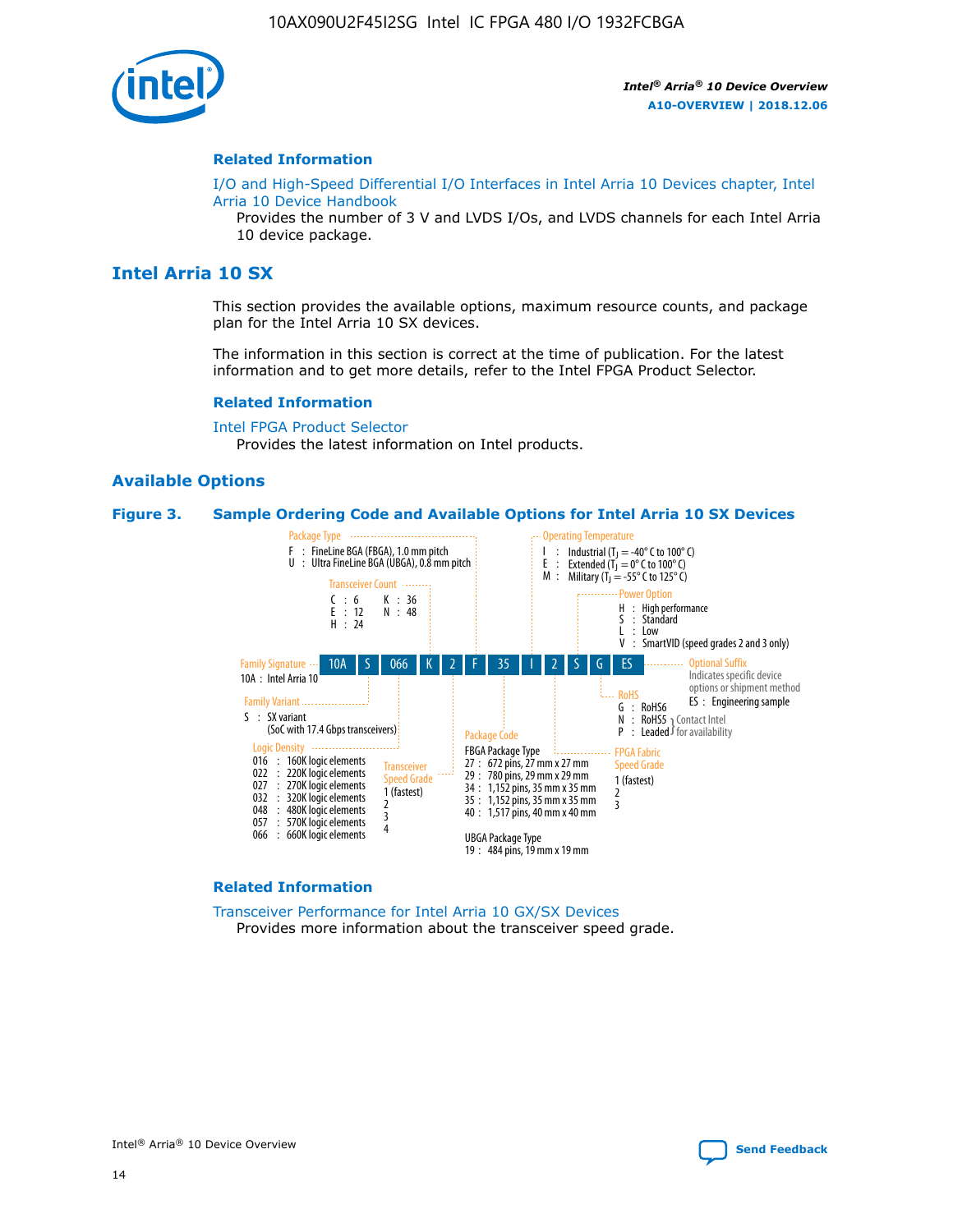

#### **Related Information**

[I/O and High-Speed Differential I/O Interfaces in Intel Arria 10 Devices chapter, Intel](https://www.intel.com/content/www/us/en/programmable/documentation/sam1403482614086.html#sam1403482030321) [Arria 10 Device Handbook](https://www.intel.com/content/www/us/en/programmable/documentation/sam1403482614086.html#sam1403482030321)

Provides the number of 3 V and LVDS I/Os, and LVDS channels for each Intel Arria 10 device package.

# **Intel Arria 10 SX**

This section provides the available options, maximum resource counts, and package plan for the Intel Arria 10 SX devices.

The information in this section is correct at the time of publication. For the latest information and to get more details, refer to the Intel FPGA Product Selector.

#### **Related Information**

[Intel FPGA Product Selector](http://www.altera.com/products/selector/psg-selector.html) Provides the latest information on Intel products.

#### **Available Options**

#### **Figure 3. Sample Ordering Code and Available Options for Intel Arria 10 SX Devices**



#### **Related Information**

[Transceiver Performance for Intel Arria 10 GX/SX Devices](https://www.intel.com/content/www/us/en/programmable/documentation/mcn1413182292568.html#mcn1413213965502) Provides more information about the transceiver speed grade.

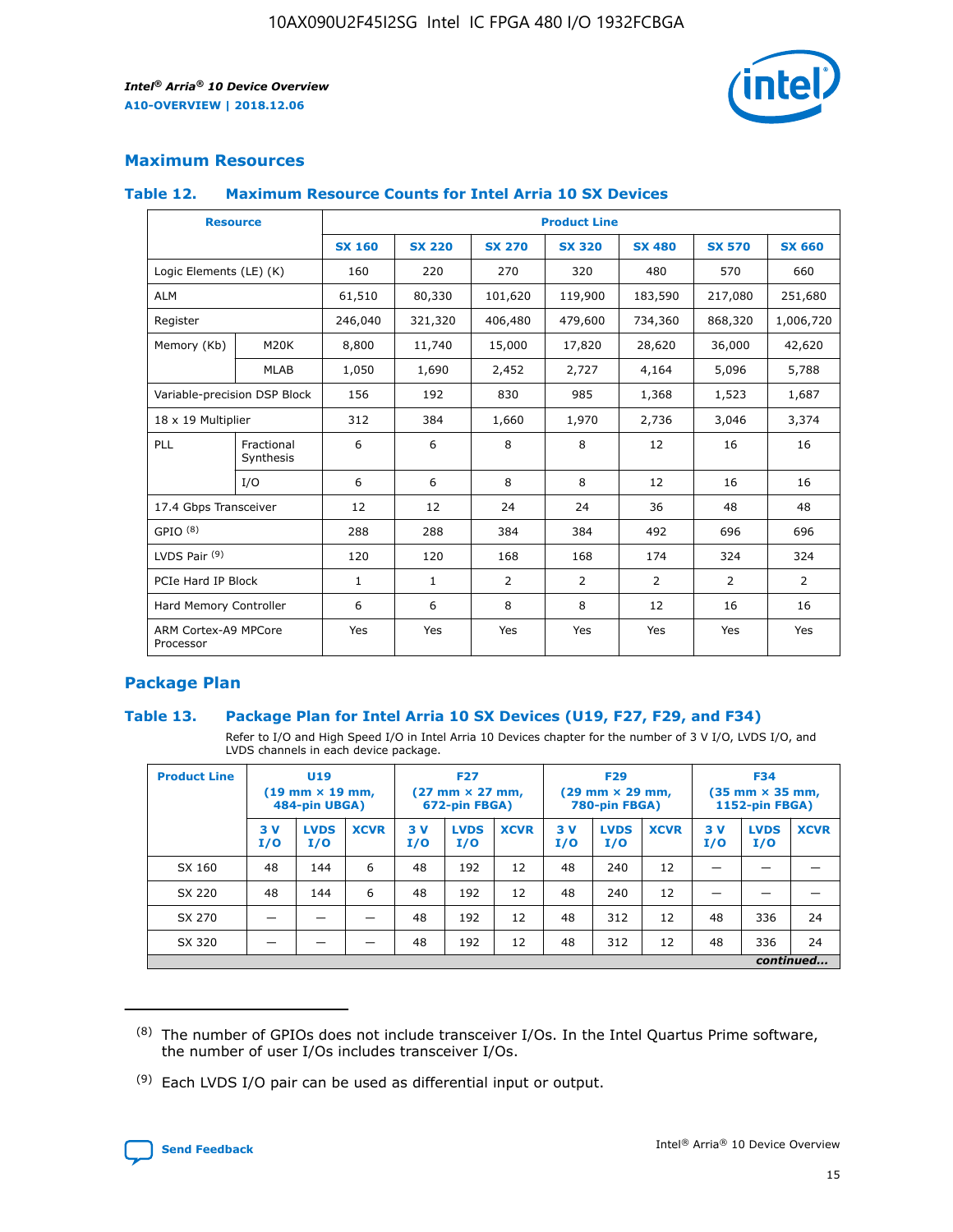

## **Maximum Resources**

#### **Table 12. Maximum Resource Counts for Intel Arria 10 SX Devices**

| <b>Resource</b>                   |                         |               |               |                | <b>Product Line</b> |                |                |                |
|-----------------------------------|-------------------------|---------------|---------------|----------------|---------------------|----------------|----------------|----------------|
|                                   |                         | <b>SX 160</b> | <b>SX 220</b> | <b>SX 270</b>  | <b>SX 320</b>       | <b>SX 480</b>  | <b>SX 570</b>  | <b>SX 660</b>  |
| Logic Elements (LE) (K)           |                         | 160           | 220           | 270            | 320                 | 480            | 570            | 660            |
| <b>ALM</b>                        |                         | 61,510        | 80,330        | 101,620        | 119,900             | 183,590        | 217,080        | 251,680        |
| Register                          |                         | 246,040       | 321,320       | 406,480        | 479,600             | 734,360        | 868,320        | 1,006,720      |
| Memory (Kb)                       | <b>M20K</b>             | 8,800         | 11,740        | 15,000         | 17,820              | 28,620         | 36,000         | 42,620         |
|                                   | <b>MLAB</b>             | 1,050         | 1,690         | 2,452          | 2,727               | 4,164          | 5,096          | 5,788          |
| Variable-precision DSP Block      |                         | 156           | 192           | 830            | 985                 | 1,368          | 1,523          | 1,687          |
| 18 x 19 Multiplier                |                         | 312           | 384           | 1,660          | 1,970               | 2,736          | 3,046          | 3,374          |
| PLL                               | Fractional<br>Synthesis | 6             | 6             | 8              | 8                   | 12             | 16             | 16             |
|                                   | I/O                     | 6             | 6             | 8              | 8                   | 12             | 16             | 16             |
| 17.4 Gbps Transceiver             |                         | 12            | 12            | 24             | 24                  | 36             | 48             | 48             |
| GPIO <sup>(8)</sup>               |                         | 288           | 288           | 384            | 384                 | 492            | 696            | 696            |
| LVDS Pair $(9)$                   |                         | 120           | 120           | 168            | 168                 | 174            | 324            | 324            |
| PCIe Hard IP Block                |                         | $\mathbf{1}$  | $\mathbf{1}$  | $\overline{2}$ | $\overline{2}$      | $\overline{2}$ | $\overline{2}$ | $\overline{2}$ |
| Hard Memory Controller            |                         | 6             | 6             | 8              | 8                   | 12             | 16             | 16             |
| ARM Cortex-A9 MPCore<br>Processor |                         | Yes           | Yes           | Yes            | Yes                 | Yes            | Yes            | Yes            |

## **Package Plan**

#### **Table 13. Package Plan for Intel Arria 10 SX Devices (U19, F27, F29, and F34)**

Refer to I/O and High Speed I/O in Intel Arria 10 Devices chapter for the number of 3 V I/O, LVDS I/O, and LVDS channels in each device package.

| <b>Product Line</b> | <b>U19</b><br>$(19 \text{ mm} \times 19 \text{ mm})$<br>484-pin UBGA) |                    | <b>F27</b><br>$(27 \text{ mm} \times 27 \text{ mm})$<br>672-pin FBGA) |           | <b>F29</b><br>$(29$ mm $\times$ 29 mm,<br>780-pin FBGA) |             |            | <b>F34</b><br>$(35 \text{ mm} \times 35 \text{ mm})$<br>1152-pin FBGA) |             |           |                    |             |
|---------------------|-----------------------------------------------------------------------|--------------------|-----------------------------------------------------------------------|-----------|---------------------------------------------------------|-------------|------------|------------------------------------------------------------------------|-------------|-----------|--------------------|-------------|
|                     | 3V<br>I/O                                                             | <b>LVDS</b><br>I/O | <b>XCVR</b>                                                           | 3V<br>I/O | <b>LVDS</b><br>I/O                                      | <b>XCVR</b> | 3 V<br>I/O | <b>LVDS</b><br>I/O                                                     | <b>XCVR</b> | 3V<br>I/O | <b>LVDS</b><br>I/O | <b>XCVR</b> |
| SX 160              | 48                                                                    | 144                | 6                                                                     | 48        | 192                                                     | 12          | 48         | 240                                                                    | 12          | –         |                    |             |
| SX 220              | 48                                                                    | 144                | 6                                                                     | 48        | 192                                                     | 12          | 48         | 240                                                                    | 12          |           |                    |             |
| SX 270              |                                                                       |                    |                                                                       | 48        | 192                                                     | 12          | 48         | 312                                                                    | 12          | 48        | 336                | 24          |
| SX 320              |                                                                       |                    |                                                                       | 48        | 192                                                     | 12          | 48         | 312                                                                    | 12          | 48        | 336                | 24          |
|                     | continued                                                             |                    |                                                                       |           |                                                         |             |            |                                                                        |             |           |                    |             |

 $(8)$  The number of GPIOs does not include transceiver I/Os. In the Intel Quartus Prime software, the number of user I/Os includes transceiver I/Os.

 $(9)$  Each LVDS I/O pair can be used as differential input or output.

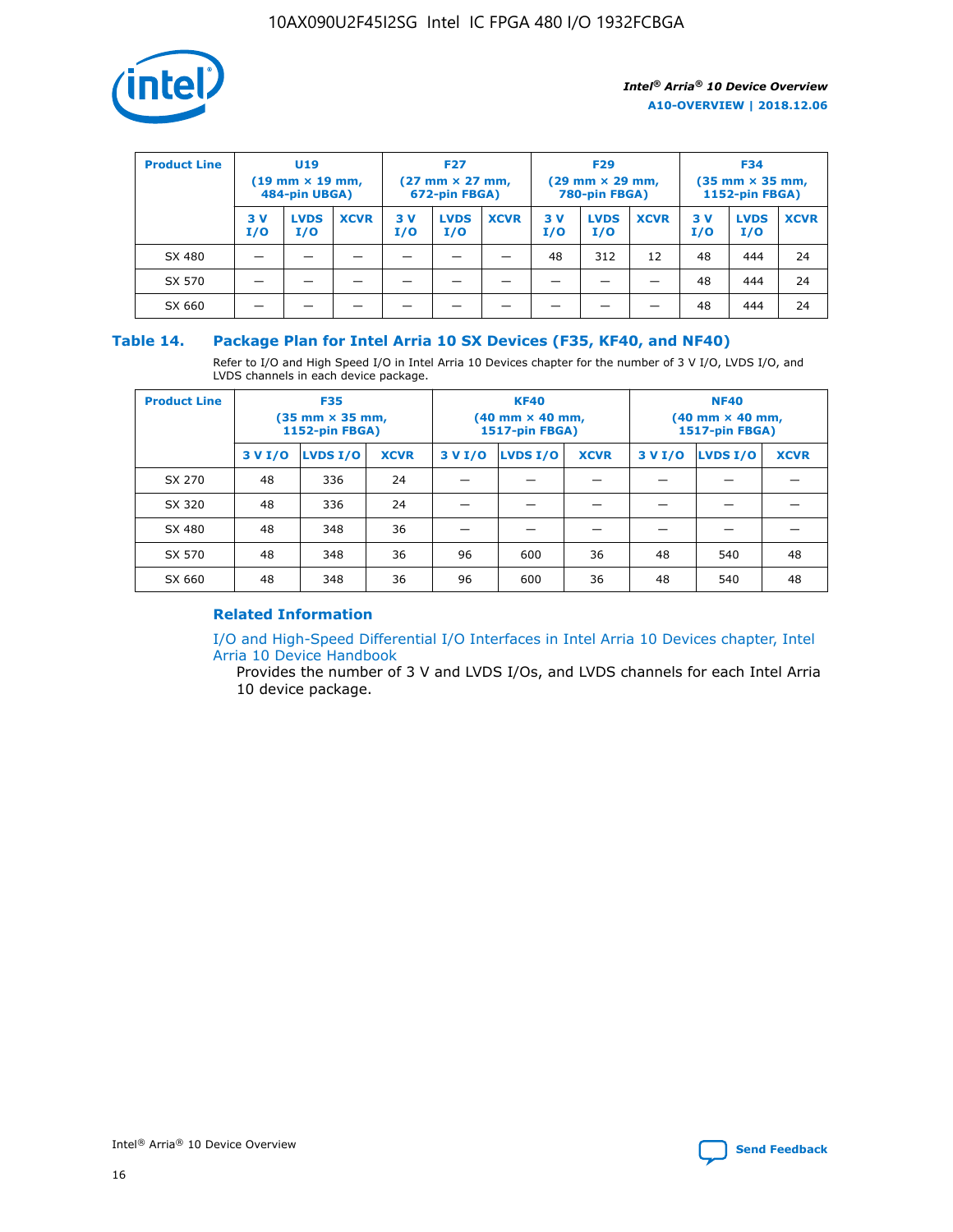

| <b>Product Line</b> | <b>U19</b><br>$(19 \text{ mm} \times 19 \text{ mm})$<br>484-pin UBGA) |                    | <b>F27</b><br>$(27 \text{ mm} \times 27 \text{ mm})$<br>672-pin FBGA) |           | <b>F29</b><br>$(29$ mm $\times$ 29 mm,<br>780-pin FBGA) |             |           | <b>F34</b><br>$(35$ mm $\times$ 35 mm,<br><b>1152-pin FBGA)</b> |             |           |                    |             |
|---------------------|-----------------------------------------------------------------------|--------------------|-----------------------------------------------------------------------|-----------|---------------------------------------------------------|-------------|-----------|-----------------------------------------------------------------|-------------|-----------|--------------------|-------------|
|                     | 3 V<br>I/O                                                            | <b>LVDS</b><br>I/O | <b>XCVR</b>                                                           | 3V<br>I/O | <b>LVDS</b><br>I/O                                      | <b>XCVR</b> | 3V<br>I/O | <b>LVDS</b><br>I/O                                              | <b>XCVR</b> | 3V<br>I/O | <b>LVDS</b><br>I/O | <b>XCVR</b> |
| SX 480              |                                                                       |                    |                                                                       |           |                                                         |             | 48        | 312                                                             | 12          | 48        | 444                | 24          |
| SX 570              |                                                                       |                    |                                                                       |           |                                                         |             |           |                                                                 |             | 48        | 444                | 24          |
| SX 660              |                                                                       |                    |                                                                       |           |                                                         |             |           |                                                                 |             | 48        | 444                | 24          |

## **Table 14. Package Plan for Intel Arria 10 SX Devices (F35, KF40, and NF40)**

Refer to I/O and High Speed I/O in Intel Arria 10 Devices chapter for the number of 3 V I/O, LVDS I/O, and LVDS channels in each device package.

| <b>Product Line</b> | <b>F35</b><br>(35 mm × 35 mm,<br><b>1152-pin FBGA)</b> |          |             |                                           | <b>KF40</b><br>(40 mm × 40 mm,<br>1517-pin FBGA) |    | <b>NF40</b><br>$(40 \text{ mm} \times 40 \text{ mm})$<br>1517-pin FBGA) |          |             |  |
|---------------------|--------------------------------------------------------|----------|-------------|-------------------------------------------|--------------------------------------------------|----|-------------------------------------------------------------------------|----------|-------------|--|
|                     | 3 V I/O                                                | LVDS I/O | <b>XCVR</b> | <b>LVDS I/O</b><br>3 V I/O<br><b>XCVR</b> |                                                  |    | 3 V I/O                                                                 | LVDS I/O | <b>XCVR</b> |  |
| SX 270              | 48                                                     | 336      | 24          |                                           |                                                  |    |                                                                         |          |             |  |
| SX 320              | 48                                                     | 336      | 24          |                                           |                                                  |    |                                                                         |          |             |  |
| SX 480              | 48                                                     | 348      | 36          |                                           |                                                  |    |                                                                         |          |             |  |
| SX 570              | 48                                                     | 348      | 36          | 96                                        | 600                                              | 36 | 48                                                                      | 540      | 48          |  |
| SX 660              | 48                                                     | 348      | 36          | 96                                        | 600                                              | 36 | 48                                                                      | 540      | 48          |  |

# **Related Information**

[I/O and High-Speed Differential I/O Interfaces in Intel Arria 10 Devices chapter, Intel](https://www.intel.com/content/www/us/en/programmable/documentation/sam1403482614086.html#sam1403482030321) [Arria 10 Device Handbook](https://www.intel.com/content/www/us/en/programmable/documentation/sam1403482614086.html#sam1403482030321)

Provides the number of 3 V and LVDS I/Os, and LVDS channels for each Intel Arria 10 device package.

Intel<sup>®</sup> Arria<sup>®</sup> 10 Device Overview **[Send Feedback](mailto:FPGAtechdocfeedback@intel.com?subject=Feedback%20on%20Intel%20Arria%2010%20Device%20Overview%20(A10-OVERVIEW%202018.12.06)&body=We%20appreciate%20your%20feedback.%20In%20your%20comments,%20also%20specify%20the%20page%20number%20or%20paragraph.%20Thank%20you.)** Send Feedback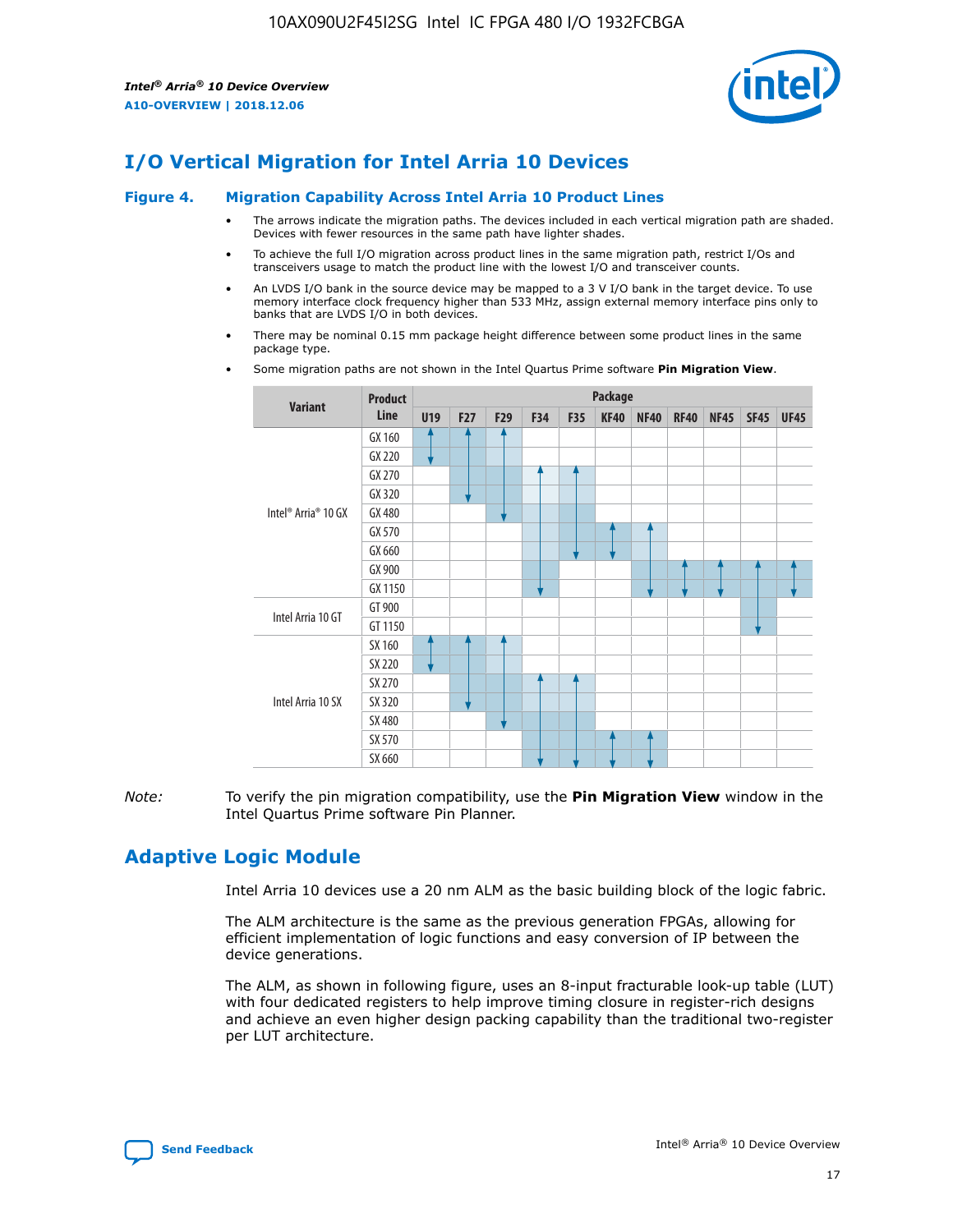

# **I/O Vertical Migration for Intel Arria 10 Devices**

#### **Figure 4. Migration Capability Across Intel Arria 10 Product Lines**

- The arrows indicate the migration paths. The devices included in each vertical migration path are shaded. Devices with fewer resources in the same path have lighter shades.
- To achieve the full I/O migration across product lines in the same migration path, restrict I/Os and transceivers usage to match the product line with the lowest I/O and transceiver counts.
- An LVDS I/O bank in the source device may be mapped to a 3 V I/O bank in the target device. To use memory interface clock frequency higher than 533 MHz, assign external memory interface pins only to banks that are LVDS I/O in both devices.
- There may be nominal 0.15 mm package height difference between some product lines in the same package type.
	- **Variant Product Line Package U19 F27 F29 F34 F35 KF40 NF40 RF40 NF45 SF45 UF45** Intel® Arria® 10 GX GX 160 GX 220 GX 270 GX 320 GX 480 GX 570 GX 660 GX 900 GX 1150 Intel Arria 10 GT GT 900 GT 1150 Intel Arria 10 SX SX 160 SX 220 SX 270 SX 320 SX 480 SX 570 SX 660
- Some migration paths are not shown in the Intel Quartus Prime software **Pin Migration View**.

*Note:* To verify the pin migration compatibility, use the **Pin Migration View** window in the Intel Quartus Prime software Pin Planner.

# **Adaptive Logic Module**

Intel Arria 10 devices use a 20 nm ALM as the basic building block of the logic fabric.

The ALM architecture is the same as the previous generation FPGAs, allowing for efficient implementation of logic functions and easy conversion of IP between the device generations.

The ALM, as shown in following figure, uses an 8-input fracturable look-up table (LUT) with four dedicated registers to help improve timing closure in register-rich designs and achieve an even higher design packing capability than the traditional two-register per LUT architecture.

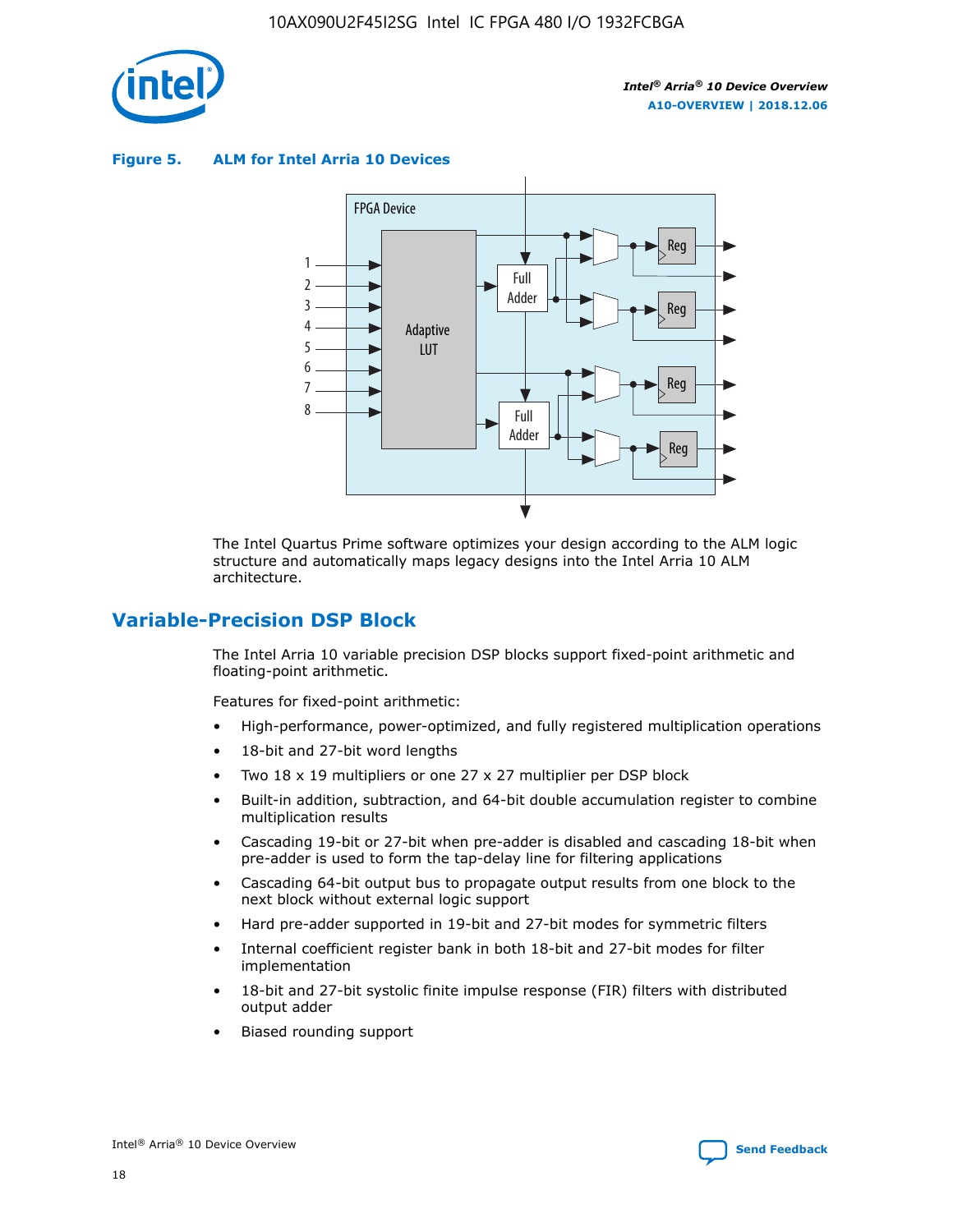

**Figure 5. ALM for Intel Arria 10 Devices**



The Intel Quartus Prime software optimizes your design according to the ALM logic structure and automatically maps legacy designs into the Intel Arria 10 ALM architecture.

# **Variable-Precision DSP Block**

The Intel Arria 10 variable precision DSP blocks support fixed-point arithmetic and floating-point arithmetic.

Features for fixed-point arithmetic:

- High-performance, power-optimized, and fully registered multiplication operations
- 18-bit and 27-bit word lengths
- Two 18 x 19 multipliers or one 27 x 27 multiplier per DSP block
- Built-in addition, subtraction, and 64-bit double accumulation register to combine multiplication results
- Cascading 19-bit or 27-bit when pre-adder is disabled and cascading 18-bit when pre-adder is used to form the tap-delay line for filtering applications
- Cascading 64-bit output bus to propagate output results from one block to the next block without external logic support
- Hard pre-adder supported in 19-bit and 27-bit modes for symmetric filters
- Internal coefficient register bank in both 18-bit and 27-bit modes for filter implementation
- 18-bit and 27-bit systolic finite impulse response (FIR) filters with distributed output adder
- Biased rounding support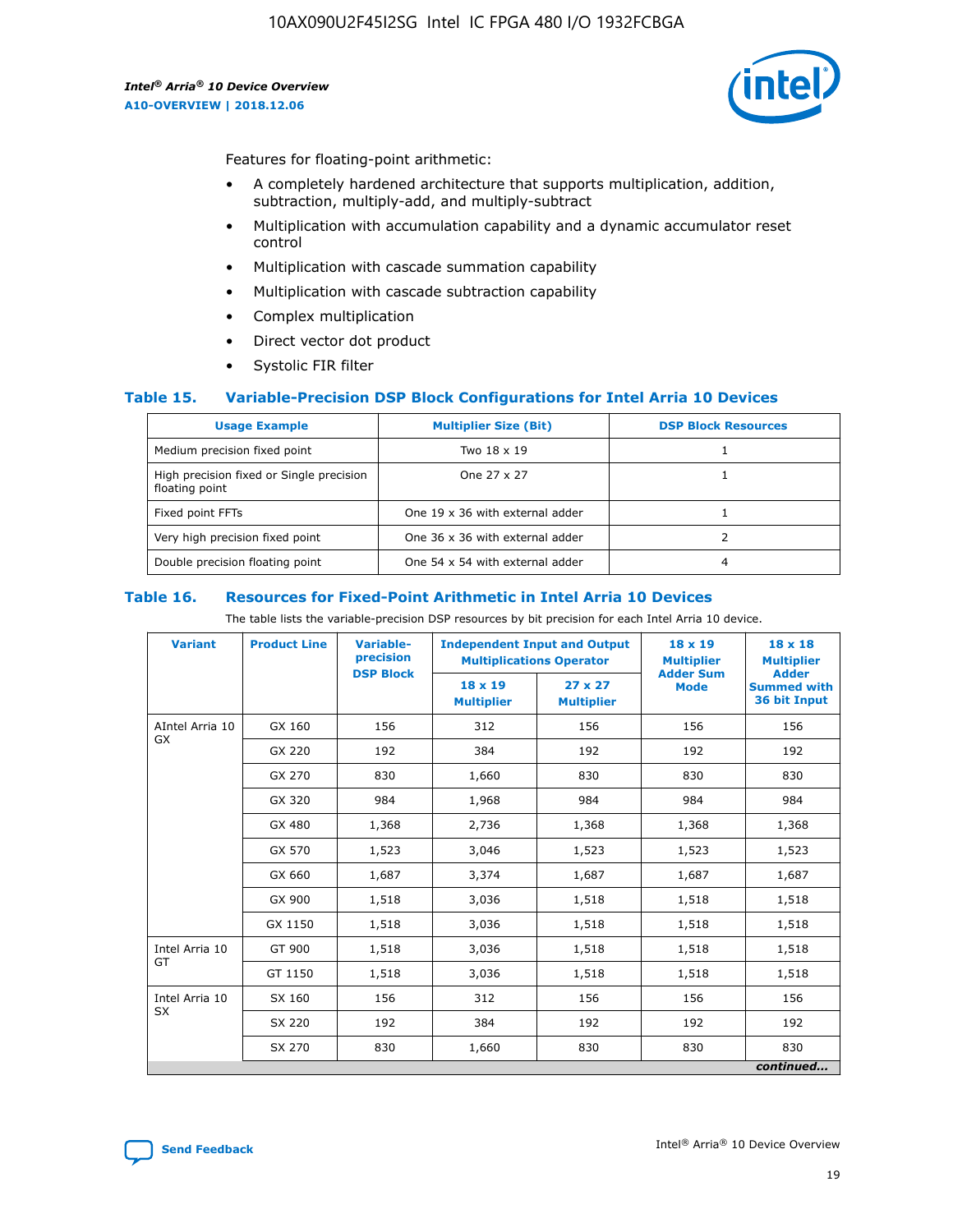

Features for floating-point arithmetic:

- A completely hardened architecture that supports multiplication, addition, subtraction, multiply-add, and multiply-subtract
- Multiplication with accumulation capability and a dynamic accumulator reset control
- Multiplication with cascade summation capability
- Multiplication with cascade subtraction capability
- Complex multiplication
- Direct vector dot product
- Systolic FIR filter

#### **Table 15. Variable-Precision DSP Block Configurations for Intel Arria 10 Devices**

| <b>Usage Example</b>                                       | <b>Multiplier Size (Bit)</b>    | <b>DSP Block Resources</b> |
|------------------------------------------------------------|---------------------------------|----------------------------|
| Medium precision fixed point                               | Two 18 x 19                     |                            |
| High precision fixed or Single precision<br>floating point | One 27 x 27                     |                            |
| Fixed point FFTs                                           | One 19 x 36 with external adder |                            |
| Very high precision fixed point                            | One 36 x 36 with external adder |                            |
| Double precision floating point                            | One 54 x 54 with external adder | 4                          |

#### **Table 16. Resources for Fixed-Point Arithmetic in Intel Arria 10 Devices**

The table lists the variable-precision DSP resources by bit precision for each Intel Arria 10 device.

| <b>Variant</b>        | <b>Product Line</b> | <b>Variable-</b><br>precision<br><b>DSP Block</b> | <b>Independent Input and Output</b><br><b>Multiplications Operator</b> |                                     | 18 x 19<br><b>Multiplier</b><br><b>Adder Sum</b> | $18 \times 18$<br><b>Multiplier</b><br><b>Adder</b> |
|-----------------------|---------------------|---------------------------------------------------|------------------------------------------------------------------------|-------------------------------------|--------------------------------------------------|-----------------------------------------------------|
|                       |                     |                                                   | 18 x 19<br><b>Multiplier</b>                                           | $27 \times 27$<br><b>Multiplier</b> | <b>Mode</b>                                      | <b>Summed with</b><br>36 bit Input                  |
| AIntel Arria 10<br>GX | GX 160              | 156                                               | 312                                                                    | 156                                 | 156                                              | 156                                                 |
|                       | GX 220              | 192                                               | 384                                                                    | 192                                 | 192                                              | 192                                                 |
|                       | GX 270              | 830                                               | 1,660                                                                  | 830                                 | 830                                              | 830                                                 |
|                       | GX 320              | 984                                               | 1,968                                                                  | 984                                 | 984                                              | 984                                                 |
|                       | GX 480              | 1,368                                             | 2,736                                                                  | 1,368                               | 1,368                                            | 1,368                                               |
|                       | GX 570              | 1,523                                             | 3,046                                                                  | 1,523                               | 1,523                                            | 1,523                                               |
|                       | GX 660              | 1,687                                             | 3,374                                                                  | 1,687                               | 1,687                                            | 1,687                                               |
|                       | GX 900              | 1,518                                             | 3,036                                                                  | 1,518                               | 1,518                                            | 1,518                                               |
|                       | GX 1150             | 1,518                                             | 3,036                                                                  | 1,518                               | 1,518                                            | 1,518                                               |
| Intel Arria 10        | GT 900              | 1,518                                             | 3,036                                                                  | 1,518                               | 1,518                                            | 1,518                                               |
| GT                    | GT 1150             | 1,518                                             | 3,036                                                                  | 1,518                               | 1,518                                            | 1,518                                               |
| Intel Arria 10        | SX 160              | 156                                               | 312                                                                    | 156                                 | 156                                              | 156                                                 |
| <b>SX</b>             | SX 220              | 192                                               | 384                                                                    | 192                                 | 192                                              | 192                                                 |
|                       | SX 270              | 830                                               | 1,660                                                                  | 830                                 | 830                                              | 830                                                 |
|                       |                     |                                                   |                                                                        |                                     |                                                  | continued                                           |

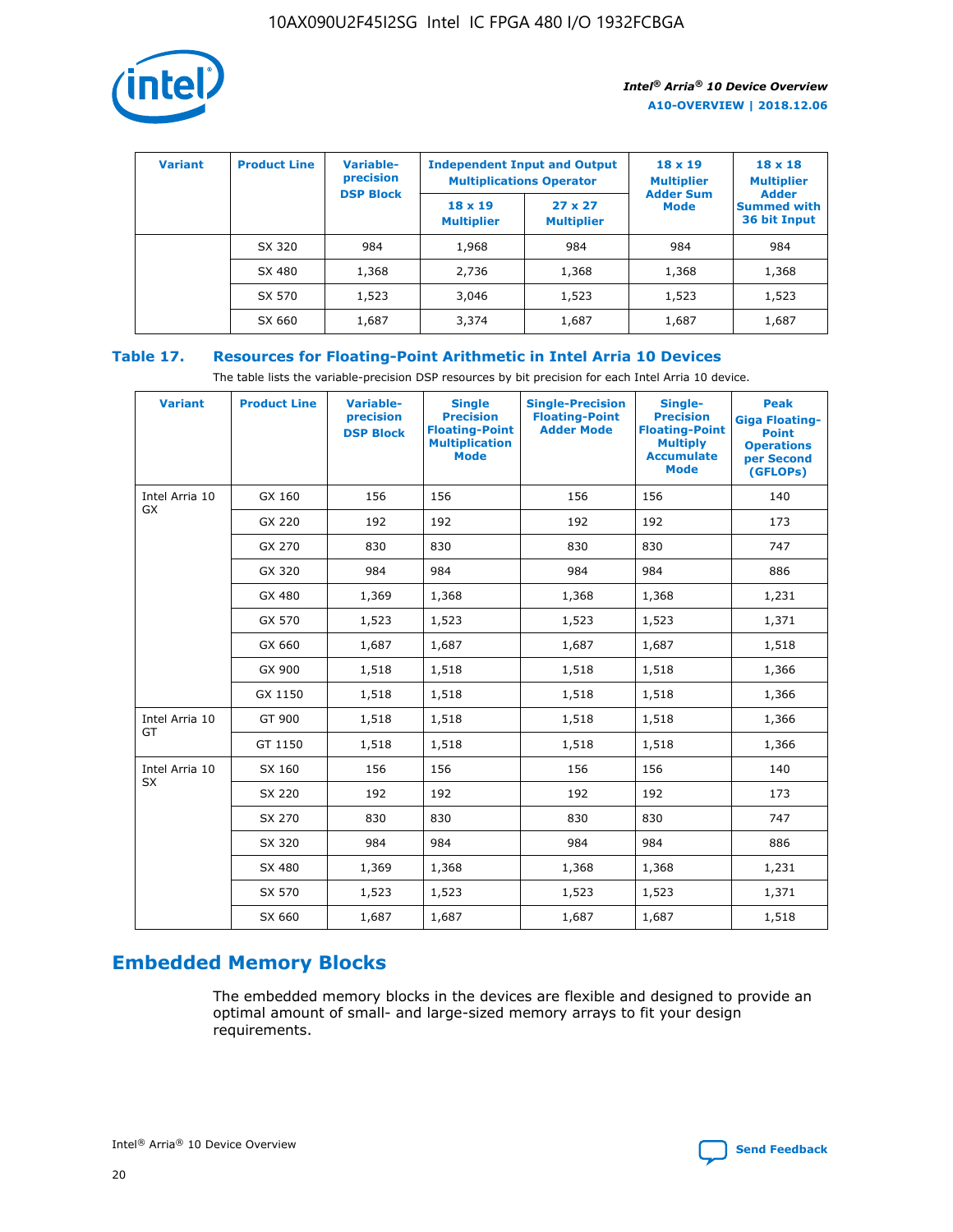

| <b>Variant</b> | <b>Product Line</b> | <b>Variable-</b><br>precision<br><b>DSP Block</b> | <b>Independent Input and Output</b><br><b>Multiplications Operator</b> |                                     | $18 \times 19$<br><b>Multiplier</b><br><b>Adder Sum</b> | $18 \times 18$<br><b>Multiplier</b><br><b>Adder</b> |  |
|----------------|---------------------|---------------------------------------------------|------------------------------------------------------------------------|-------------------------------------|---------------------------------------------------------|-----------------------------------------------------|--|
|                |                     |                                                   | $18 \times 19$<br><b>Multiplier</b>                                    | $27 \times 27$<br><b>Multiplier</b> | <b>Mode</b>                                             | <b>Summed with</b><br>36 bit Input                  |  |
|                | SX 320              | 984                                               | 1,968                                                                  | 984                                 | 984                                                     | 984                                                 |  |
|                | SX 480              | 1,368                                             | 2,736                                                                  | 1,368                               | 1,368                                                   | 1,368                                               |  |
|                | SX 570              | 1,523                                             | 3,046                                                                  | 1,523                               | 1,523                                                   | 1,523                                               |  |
|                | SX 660              | 1,687                                             | 3,374                                                                  | 1,687                               | 1,687                                                   | 1,687                                               |  |

# **Table 17. Resources for Floating-Point Arithmetic in Intel Arria 10 Devices**

The table lists the variable-precision DSP resources by bit precision for each Intel Arria 10 device.

| <b>Variant</b> | <b>Product Line</b> | <b>Variable-</b><br>precision<br><b>DSP Block</b> | <b>Single</b><br><b>Precision</b><br><b>Floating-Point</b><br><b>Multiplication</b><br><b>Mode</b> | <b>Single-Precision</b><br><b>Floating-Point</b><br><b>Adder Mode</b> | Single-<br><b>Precision</b><br><b>Floating-Point</b><br><b>Multiply</b><br><b>Accumulate</b><br><b>Mode</b> | <b>Peak</b><br><b>Giga Floating-</b><br><b>Point</b><br><b>Operations</b><br>per Second<br>(GFLOPs) |
|----------------|---------------------|---------------------------------------------------|----------------------------------------------------------------------------------------------------|-----------------------------------------------------------------------|-------------------------------------------------------------------------------------------------------------|-----------------------------------------------------------------------------------------------------|
| Intel Arria 10 | GX 160              | 156                                               | 156                                                                                                | 156                                                                   | 156                                                                                                         | 140                                                                                                 |
| GX             | GX 220              | 192                                               | 192                                                                                                | 192                                                                   | 192                                                                                                         | 173                                                                                                 |
|                | GX 270              | 830                                               | 830                                                                                                | 830                                                                   | 830                                                                                                         | 747                                                                                                 |
|                | GX 320              | 984                                               | 984                                                                                                | 984                                                                   | 984                                                                                                         | 886                                                                                                 |
|                | GX 480              | 1,369                                             | 1,368                                                                                              | 1,368                                                                 | 1,368                                                                                                       | 1,231                                                                                               |
|                | GX 570              | 1,523                                             | 1,523                                                                                              | 1,523                                                                 | 1,523                                                                                                       | 1,371                                                                                               |
|                | GX 660              | 1,687                                             | 1,687                                                                                              | 1,687                                                                 | 1,687                                                                                                       | 1,518                                                                                               |
|                | GX 900              | 1,518                                             | 1,518                                                                                              | 1,518                                                                 | 1,518                                                                                                       | 1,366                                                                                               |
|                | GX 1150             | 1,518                                             | 1,518                                                                                              | 1,518                                                                 | 1,518                                                                                                       | 1,366                                                                                               |
| Intel Arria 10 | GT 900              | 1,518                                             | 1,518                                                                                              | 1,518                                                                 | 1,518                                                                                                       | 1,366                                                                                               |
| GT             | GT 1150             | 1,518                                             | 1,518                                                                                              | 1,518                                                                 | 1,518                                                                                                       | 1,366                                                                                               |
| Intel Arria 10 | SX 160              | 156                                               | 156                                                                                                | 156                                                                   | 156                                                                                                         | 140                                                                                                 |
| <b>SX</b>      | SX 220              | 192                                               | 192                                                                                                | 192                                                                   | 192                                                                                                         | 173                                                                                                 |
|                | SX 270              | 830                                               | 830                                                                                                | 830                                                                   | 830                                                                                                         | 747                                                                                                 |
|                | SX 320              | 984                                               | 984                                                                                                | 984                                                                   | 984                                                                                                         | 886                                                                                                 |
|                | SX 480              | 1,369                                             | 1,368                                                                                              | 1,368                                                                 | 1,368                                                                                                       | 1,231                                                                                               |
|                | SX 570              | 1,523                                             | 1,523                                                                                              | 1,523                                                                 | 1,523                                                                                                       | 1,371                                                                                               |
|                | SX 660              | 1,687                                             | 1,687                                                                                              | 1,687                                                                 | 1,687                                                                                                       | 1,518                                                                                               |

# **Embedded Memory Blocks**

The embedded memory blocks in the devices are flexible and designed to provide an optimal amount of small- and large-sized memory arrays to fit your design requirements.

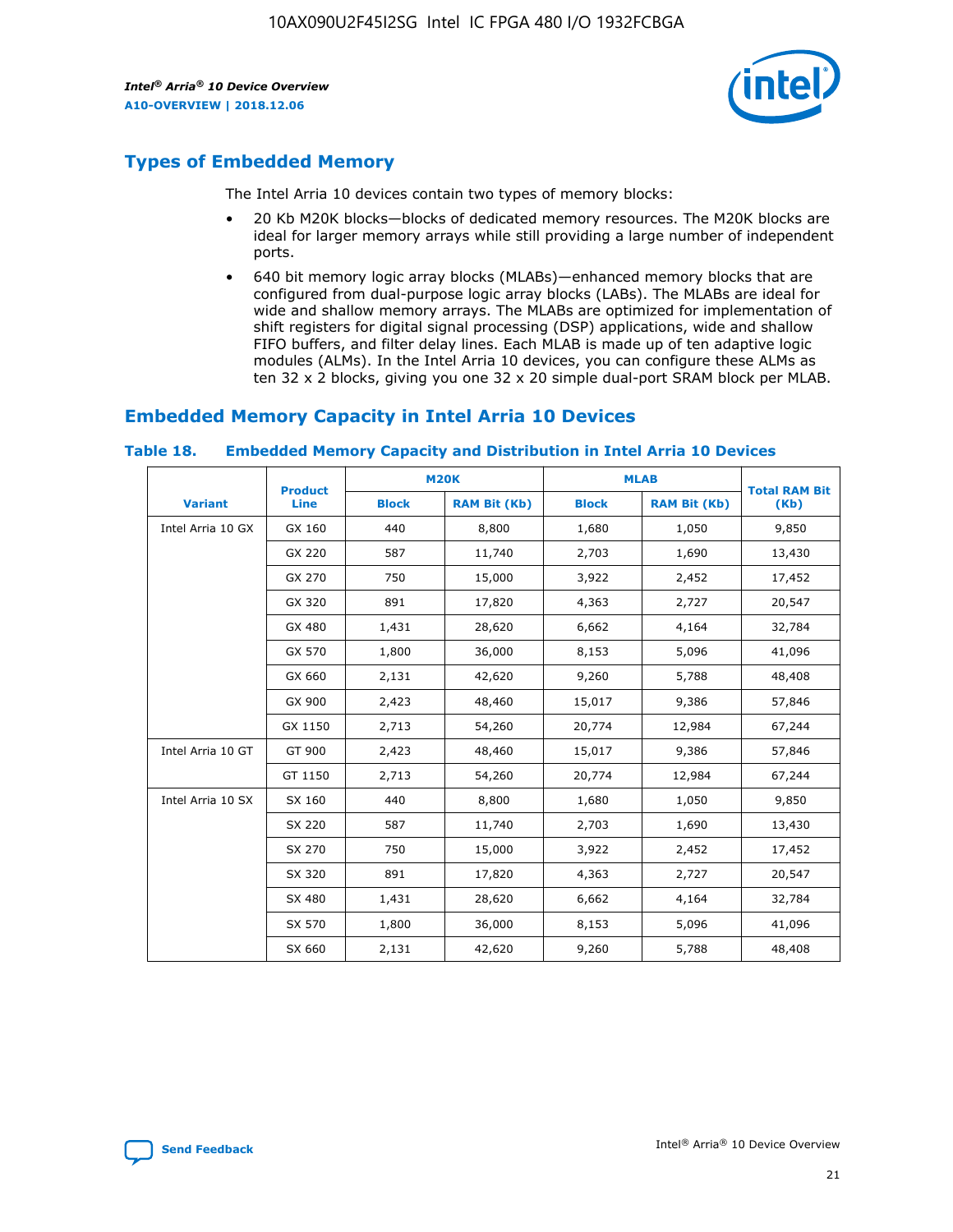

# **Types of Embedded Memory**

The Intel Arria 10 devices contain two types of memory blocks:

- 20 Kb M20K blocks—blocks of dedicated memory resources. The M20K blocks are ideal for larger memory arrays while still providing a large number of independent ports.
- 640 bit memory logic array blocks (MLABs)—enhanced memory blocks that are configured from dual-purpose logic array blocks (LABs). The MLABs are ideal for wide and shallow memory arrays. The MLABs are optimized for implementation of shift registers for digital signal processing (DSP) applications, wide and shallow FIFO buffers, and filter delay lines. Each MLAB is made up of ten adaptive logic modules (ALMs). In the Intel Arria 10 devices, you can configure these ALMs as ten 32 x 2 blocks, giving you one 32 x 20 simple dual-port SRAM block per MLAB.

# **Embedded Memory Capacity in Intel Arria 10 Devices**

|                   | <b>Product</b> |              | <b>M20K</b>         | <b>MLAB</b>  |                     | <b>Total RAM Bit</b> |
|-------------------|----------------|--------------|---------------------|--------------|---------------------|----------------------|
| <b>Variant</b>    | Line           | <b>Block</b> | <b>RAM Bit (Kb)</b> | <b>Block</b> | <b>RAM Bit (Kb)</b> | (Kb)                 |
| Intel Arria 10 GX | GX 160         | 440          | 8,800               | 1,680        | 1,050               | 9,850                |
|                   | GX 220         | 587          | 11,740              | 2,703        | 1,690               | 13,430               |
|                   | GX 270         | 750          | 15,000              | 3,922        | 2,452               | 17,452               |
|                   | GX 320         | 891          | 17,820              | 4,363        | 2,727               | 20,547               |
|                   | GX 480         | 1,431        | 28,620              | 6,662        | 4,164               | 32,784               |
|                   | GX 570         | 1,800        | 36,000              | 8,153        | 5,096               | 41,096               |
|                   | GX 660         | 2,131        | 42,620              | 9,260        | 5,788               | 48,408               |
|                   | GX 900         | 2,423        | 48,460              | 15,017       | 9,386               | 57,846               |
|                   | GX 1150        | 2,713        | 54,260              | 20,774       | 12,984              | 67,244               |
| Intel Arria 10 GT | GT 900         | 2,423        | 48,460              | 15,017       | 9,386               | 57,846               |
|                   | GT 1150        | 2,713        | 54,260              | 20,774       | 12,984              | 67,244               |
| Intel Arria 10 SX | SX 160         | 440          | 8,800               | 1,680        | 1,050               | 9,850                |
|                   | SX 220         | 587          | 11,740              | 2,703        | 1,690               | 13,430               |
|                   | SX 270         | 750          | 15,000              | 3,922        | 2,452               | 17,452               |
|                   | SX 320         | 891          | 17,820              | 4,363        | 2,727               | 20,547               |
|                   | SX 480         | 1,431        | 28,620              | 6,662        | 4,164               | 32,784               |
|                   | SX 570         | 1,800        | 36,000              | 8,153        | 5,096               | 41,096               |
|                   | SX 660         | 2,131        | 42,620              | 9,260        | 5,788               | 48,408               |

#### **Table 18. Embedded Memory Capacity and Distribution in Intel Arria 10 Devices**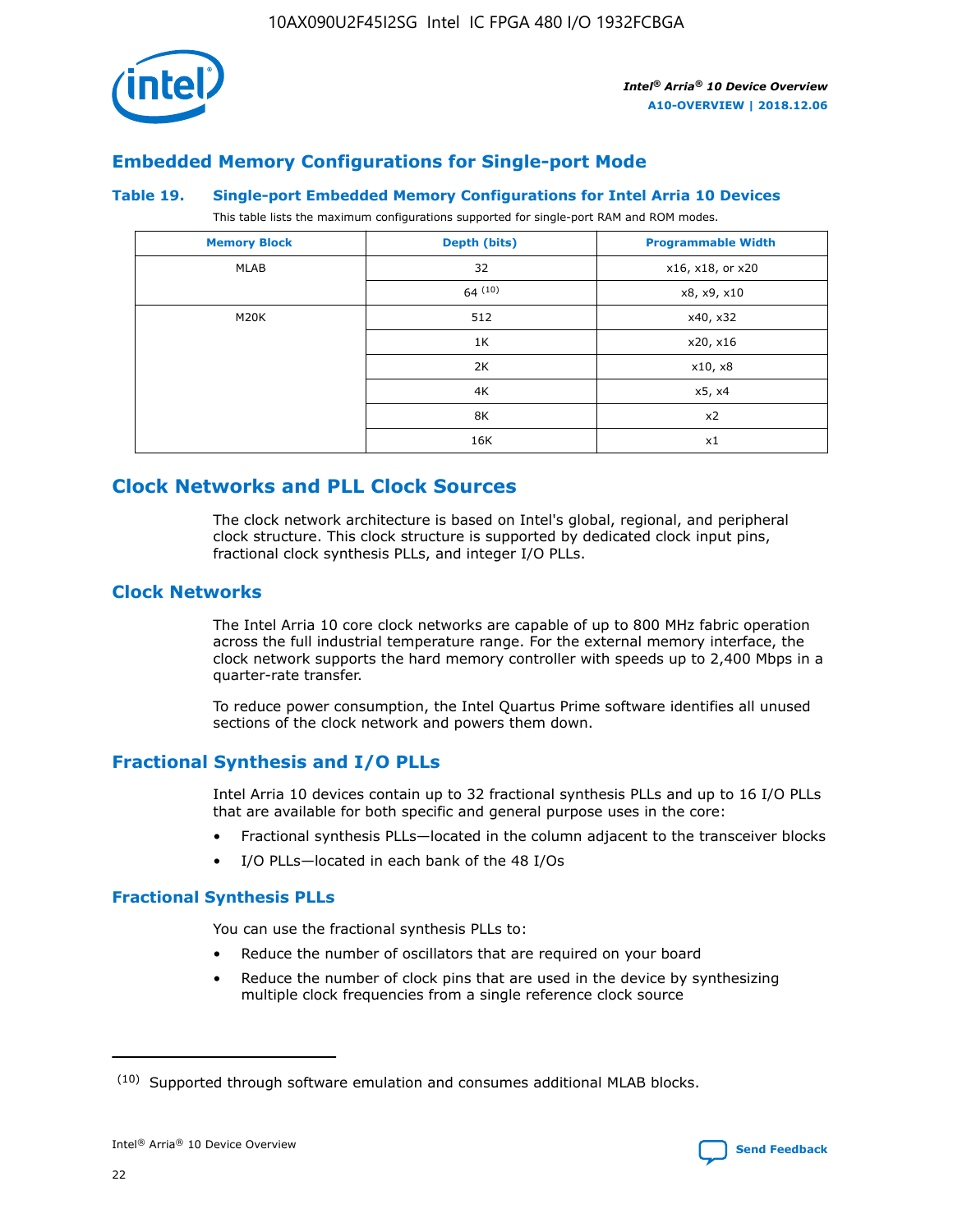

# **Embedded Memory Configurations for Single-port Mode**

#### **Table 19. Single-port Embedded Memory Configurations for Intel Arria 10 Devices**

This table lists the maximum configurations supported for single-port RAM and ROM modes.

| <b>Memory Block</b> | Depth (bits) | <b>Programmable Width</b> |
|---------------------|--------------|---------------------------|
| MLAB                | 32           | x16, x18, or x20          |
|                     | 64(10)       | x8, x9, x10               |
| M20K                | 512          | x40, x32                  |
|                     | 1K           | x20, x16                  |
|                     | 2K           | x10, x8                   |
|                     | 4K           | x5, x4                    |
|                     | 8K           | x2                        |
|                     | 16K          | x1                        |

# **Clock Networks and PLL Clock Sources**

The clock network architecture is based on Intel's global, regional, and peripheral clock structure. This clock structure is supported by dedicated clock input pins, fractional clock synthesis PLLs, and integer I/O PLLs.

# **Clock Networks**

The Intel Arria 10 core clock networks are capable of up to 800 MHz fabric operation across the full industrial temperature range. For the external memory interface, the clock network supports the hard memory controller with speeds up to 2,400 Mbps in a quarter-rate transfer.

To reduce power consumption, the Intel Quartus Prime software identifies all unused sections of the clock network and powers them down.

## **Fractional Synthesis and I/O PLLs**

Intel Arria 10 devices contain up to 32 fractional synthesis PLLs and up to 16 I/O PLLs that are available for both specific and general purpose uses in the core:

- Fractional synthesis PLLs—located in the column adjacent to the transceiver blocks
- I/O PLLs—located in each bank of the 48 I/Os

## **Fractional Synthesis PLLs**

You can use the fractional synthesis PLLs to:

- Reduce the number of oscillators that are required on your board
- Reduce the number of clock pins that are used in the device by synthesizing multiple clock frequencies from a single reference clock source

<sup>(10)</sup> Supported through software emulation and consumes additional MLAB blocks.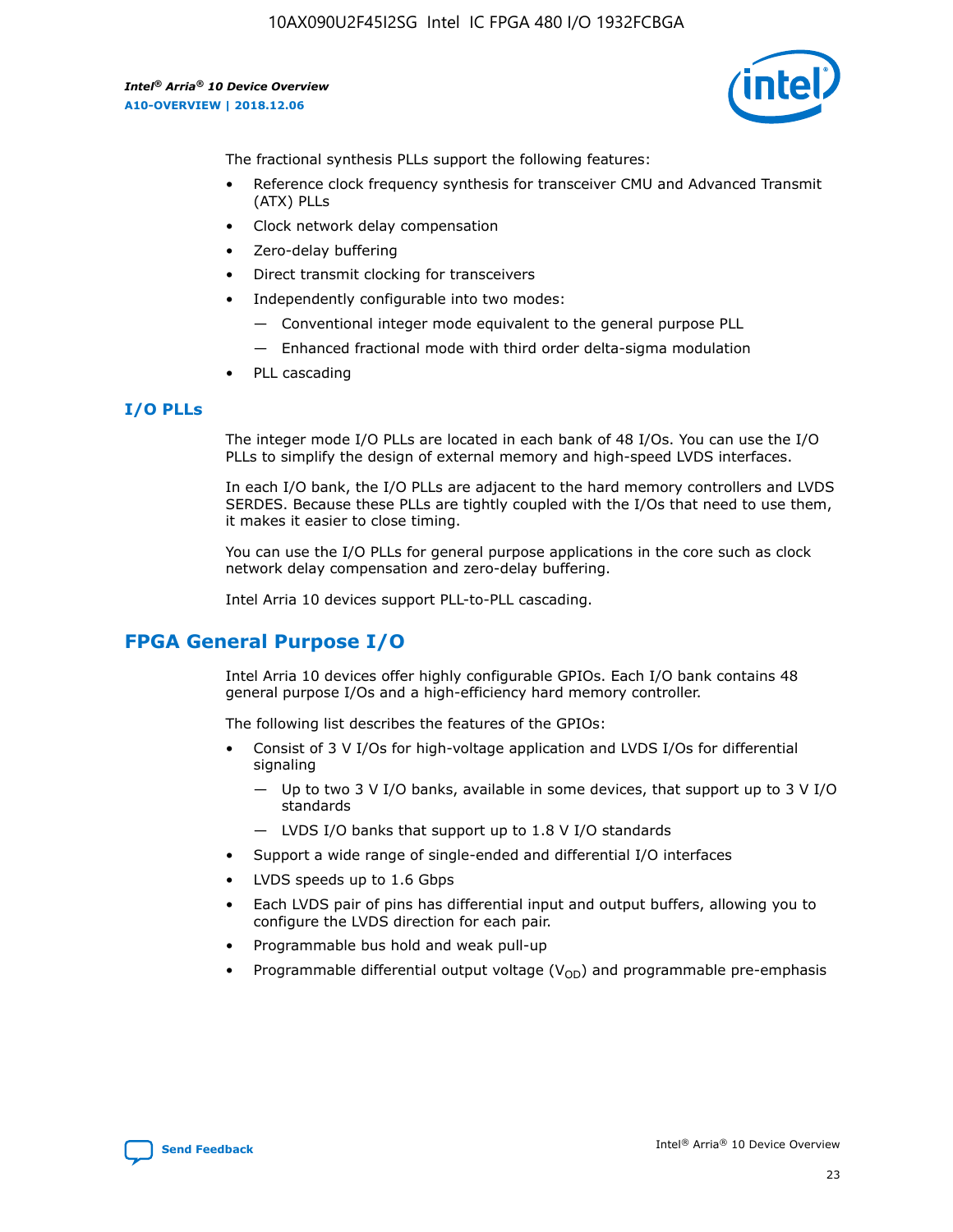

The fractional synthesis PLLs support the following features:

- Reference clock frequency synthesis for transceiver CMU and Advanced Transmit (ATX) PLLs
- Clock network delay compensation
- Zero-delay buffering
- Direct transmit clocking for transceivers
- Independently configurable into two modes:
	- Conventional integer mode equivalent to the general purpose PLL
	- Enhanced fractional mode with third order delta-sigma modulation
- PLL cascading

#### **I/O PLLs**

The integer mode I/O PLLs are located in each bank of 48 I/Os. You can use the I/O PLLs to simplify the design of external memory and high-speed LVDS interfaces.

In each I/O bank, the I/O PLLs are adjacent to the hard memory controllers and LVDS SERDES. Because these PLLs are tightly coupled with the I/Os that need to use them, it makes it easier to close timing.

You can use the I/O PLLs for general purpose applications in the core such as clock network delay compensation and zero-delay buffering.

Intel Arria 10 devices support PLL-to-PLL cascading.

# **FPGA General Purpose I/O**

Intel Arria 10 devices offer highly configurable GPIOs. Each I/O bank contains 48 general purpose I/Os and a high-efficiency hard memory controller.

The following list describes the features of the GPIOs:

- Consist of 3 V I/Os for high-voltage application and LVDS I/Os for differential signaling
	- Up to two 3 V I/O banks, available in some devices, that support up to 3 V I/O standards
	- LVDS I/O banks that support up to 1.8 V I/O standards
- Support a wide range of single-ended and differential I/O interfaces
- LVDS speeds up to 1.6 Gbps
- Each LVDS pair of pins has differential input and output buffers, allowing you to configure the LVDS direction for each pair.
- Programmable bus hold and weak pull-up
- Programmable differential output voltage  $(V_{OD})$  and programmable pre-emphasis

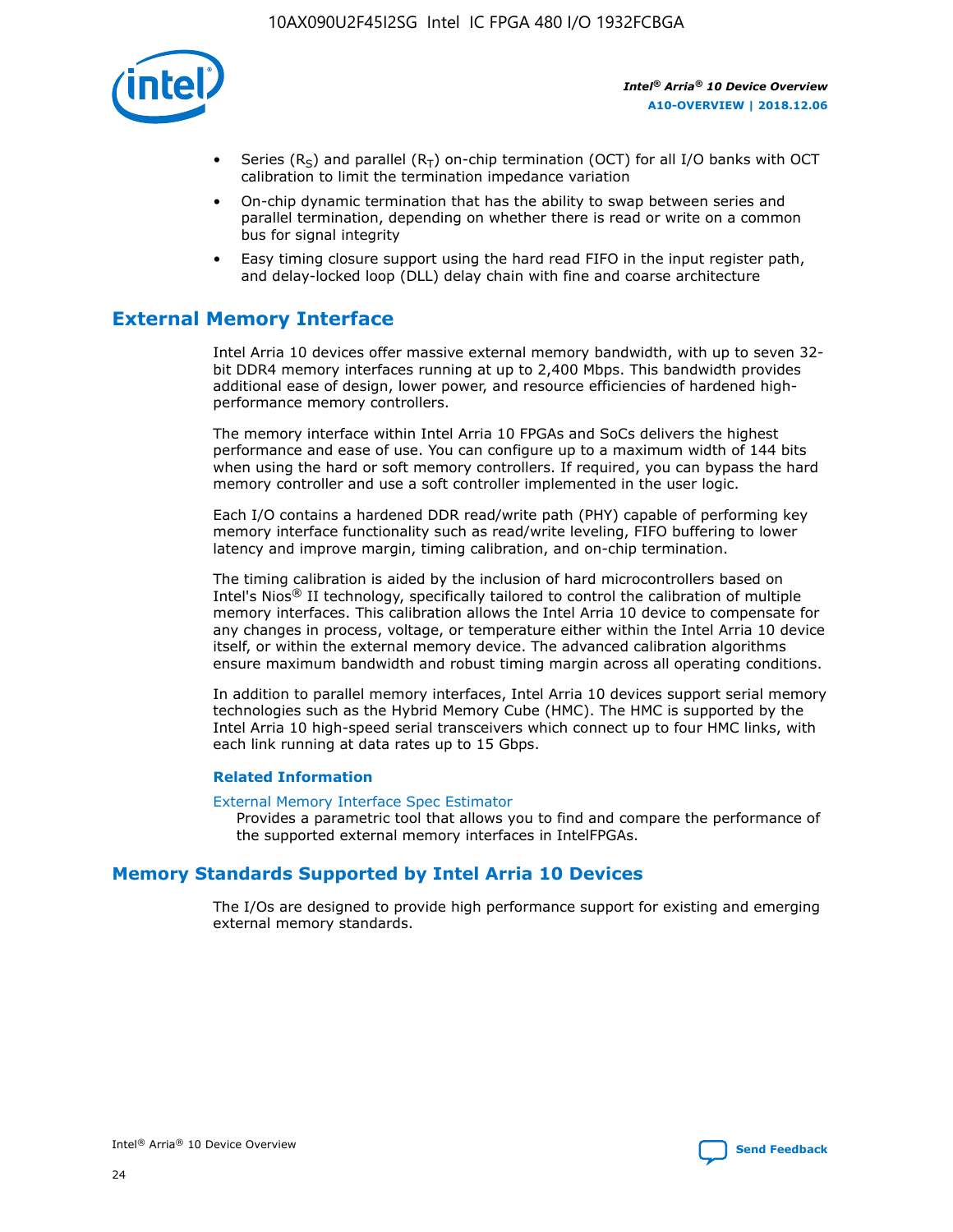

- Series (R<sub>S</sub>) and parallel (R<sub>T</sub>) on-chip termination (OCT) for all I/O banks with OCT calibration to limit the termination impedance variation
- On-chip dynamic termination that has the ability to swap between series and parallel termination, depending on whether there is read or write on a common bus for signal integrity
- Easy timing closure support using the hard read FIFO in the input register path, and delay-locked loop (DLL) delay chain with fine and coarse architecture

# **External Memory Interface**

Intel Arria 10 devices offer massive external memory bandwidth, with up to seven 32 bit DDR4 memory interfaces running at up to 2,400 Mbps. This bandwidth provides additional ease of design, lower power, and resource efficiencies of hardened highperformance memory controllers.

The memory interface within Intel Arria 10 FPGAs and SoCs delivers the highest performance and ease of use. You can configure up to a maximum width of 144 bits when using the hard or soft memory controllers. If required, you can bypass the hard memory controller and use a soft controller implemented in the user logic.

Each I/O contains a hardened DDR read/write path (PHY) capable of performing key memory interface functionality such as read/write leveling, FIFO buffering to lower latency and improve margin, timing calibration, and on-chip termination.

The timing calibration is aided by the inclusion of hard microcontrollers based on Intel's Nios® II technology, specifically tailored to control the calibration of multiple memory interfaces. This calibration allows the Intel Arria 10 device to compensate for any changes in process, voltage, or temperature either within the Intel Arria 10 device itself, or within the external memory device. The advanced calibration algorithms ensure maximum bandwidth and robust timing margin across all operating conditions.

In addition to parallel memory interfaces, Intel Arria 10 devices support serial memory technologies such as the Hybrid Memory Cube (HMC). The HMC is supported by the Intel Arria 10 high-speed serial transceivers which connect up to four HMC links, with each link running at data rates up to 15 Gbps.

#### **Related Information**

#### [External Memory Interface Spec Estimator](http://www.altera.com/technology/memory/estimator/mem-emif-index.html)

Provides a parametric tool that allows you to find and compare the performance of the supported external memory interfaces in IntelFPGAs.

# **Memory Standards Supported by Intel Arria 10 Devices**

The I/Os are designed to provide high performance support for existing and emerging external memory standards.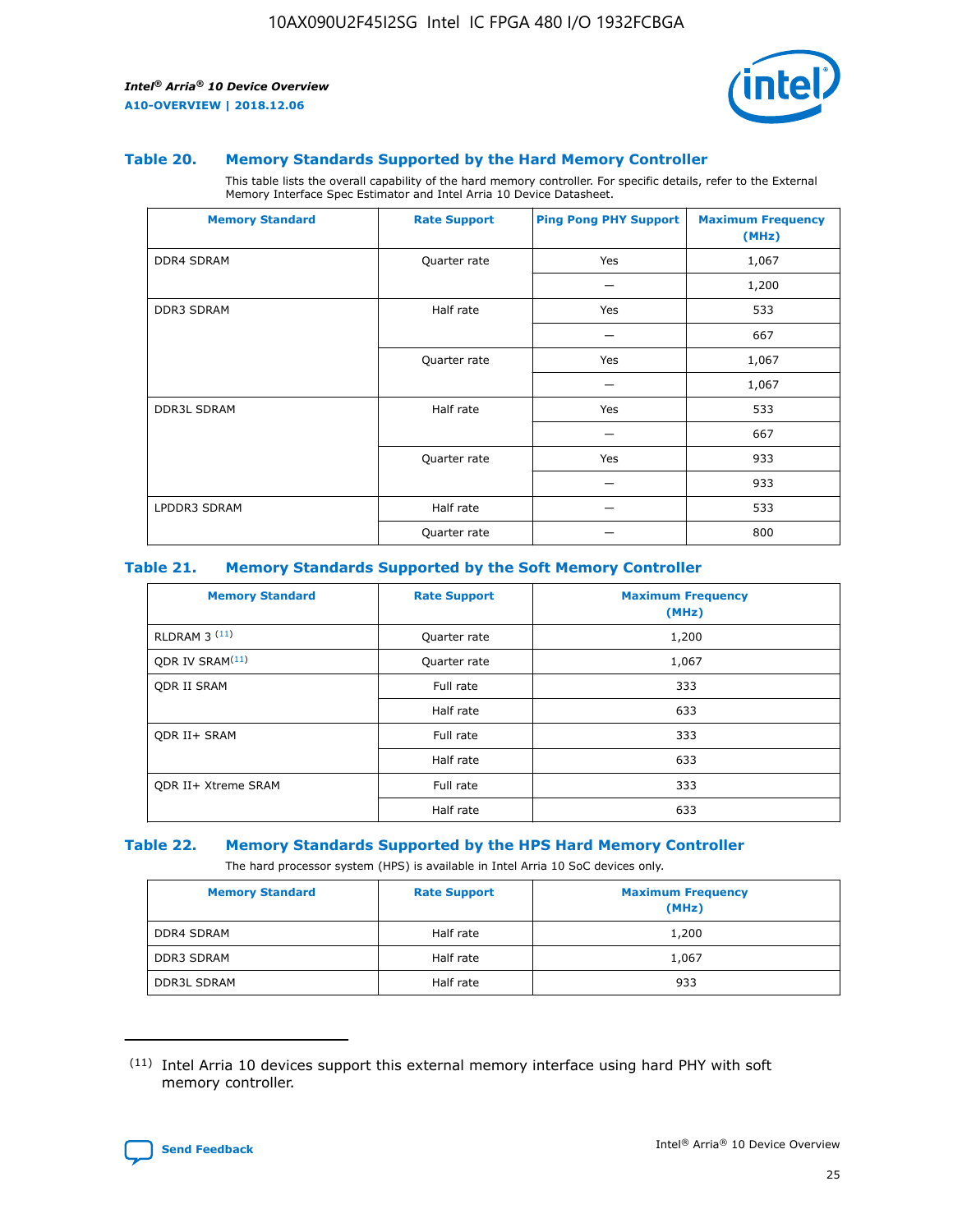

#### **Table 20. Memory Standards Supported by the Hard Memory Controller**

This table lists the overall capability of the hard memory controller. For specific details, refer to the External Memory Interface Spec Estimator and Intel Arria 10 Device Datasheet.

| <b>Memory Standard</b> | <b>Rate Support</b> | <b>Ping Pong PHY Support</b> | <b>Maximum Frequency</b><br>(MHz) |
|------------------------|---------------------|------------------------------|-----------------------------------|
| <b>DDR4 SDRAM</b>      | Quarter rate        | Yes                          | 1,067                             |
|                        |                     |                              | 1,200                             |
| DDR3 SDRAM             | Half rate           | Yes                          | 533                               |
|                        |                     |                              | 667                               |
|                        | Quarter rate        | Yes                          | 1,067                             |
|                        |                     |                              | 1,067                             |
| <b>DDR3L SDRAM</b>     | Half rate           | Yes                          | 533                               |
|                        |                     |                              | 667                               |
|                        | Quarter rate        | Yes                          | 933                               |
|                        |                     |                              | 933                               |
| LPDDR3 SDRAM           | Half rate           |                              | 533                               |
|                        | Quarter rate        |                              | 800                               |

#### **Table 21. Memory Standards Supported by the Soft Memory Controller**

| <b>Memory Standard</b>      | <b>Rate Support</b> | <b>Maximum Frequency</b><br>(MHz) |
|-----------------------------|---------------------|-----------------------------------|
| <b>RLDRAM 3 (11)</b>        | Quarter rate        | 1,200                             |
| ODR IV SRAM <sup>(11)</sup> | Quarter rate        | 1,067                             |
| <b>ODR II SRAM</b>          | Full rate           | 333                               |
|                             | Half rate           | 633                               |
| <b>ODR II+ SRAM</b>         | Full rate           | 333                               |
|                             | Half rate           | 633                               |
| <b>ODR II+ Xtreme SRAM</b>  | Full rate           | 333                               |
|                             | Half rate           | 633                               |

#### **Table 22. Memory Standards Supported by the HPS Hard Memory Controller**

The hard processor system (HPS) is available in Intel Arria 10 SoC devices only.

| <b>Memory Standard</b> | <b>Rate Support</b> | <b>Maximum Frequency</b><br>(MHz) |
|------------------------|---------------------|-----------------------------------|
| <b>DDR4 SDRAM</b>      | Half rate           | 1,200                             |
| <b>DDR3 SDRAM</b>      | Half rate           | 1,067                             |
| <b>DDR3L SDRAM</b>     | Half rate           | 933                               |

<sup>(11)</sup> Intel Arria 10 devices support this external memory interface using hard PHY with soft memory controller.

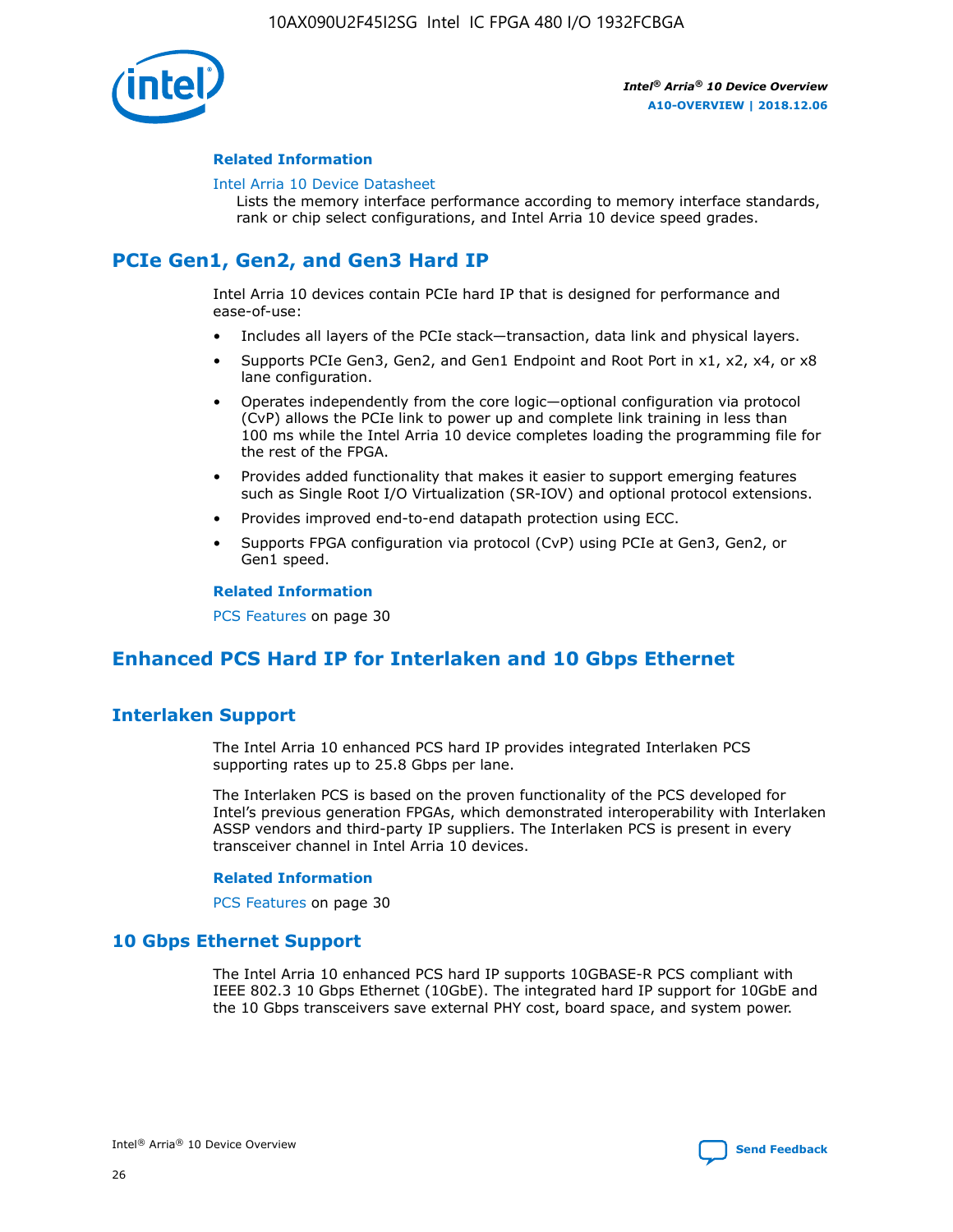

#### **Related Information**

#### [Intel Arria 10 Device Datasheet](https://www.intel.com/content/www/us/en/programmable/documentation/mcn1413182292568.html#mcn1413182153340)

Lists the memory interface performance according to memory interface standards, rank or chip select configurations, and Intel Arria 10 device speed grades.

# **PCIe Gen1, Gen2, and Gen3 Hard IP**

Intel Arria 10 devices contain PCIe hard IP that is designed for performance and ease-of-use:

- Includes all layers of the PCIe stack—transaction, data link and physical layers.
- Supports PCIe Gen3, Gen2, and Gen1 Endpoint and Root Port in x1, x2, x4, or x8 lane configuration.
- Operates independently from the core logic—optional configuration via protocol (CvP) allows the PCIe link to power up and complete link training in less than 100 ms while the Intel Arria 10 device completes loading the programming file for the rest of the FPGA.
- Provides added functionality that makes it easier to support emerging features such as Single Root I/O Virtualization (SR-IOV) and optional protocol extensions.
- Provides improved end-to-end datapath protection using ECC.
- Supports FPGA configuration via protocol (CvP) using PCIe at Gen3, Gen2, or Gen1 speed.

#### **Related Information**

PCS Features on page 30

# **Enhanced PCS Hard IP for Interlaken and 10 Gbps Ethernet**

# **Interlaken Support**

The Intel Arria 10 enhanced PCS hard IP provides integrated Interlaken PCS supporting rates up to 25.8 Gbps per lane.

The Interlaken PCS is based on the proven functionality of the PCS developed for Intel's previous generation FPGAs, which demonstrated interoperability with Interlaken ASSP vendors and third-party IP suppliers. The Interlaken PCS is present in every transceiver channel in Intel Arria 10 devices.

#### **Related Information**

PCS Features on page 30

## **10 Gbps Ethernet Support**

The Intel Arria 10 enhanced PCS hard IP supports 10GBASE-R PCS compliant with IEEE 802.3 10 Gbps Ethernet (10GbE). The integrated hard IP support for 10GbE and the 10 Gbps transceivers save external PHY cost, board space, and system power.

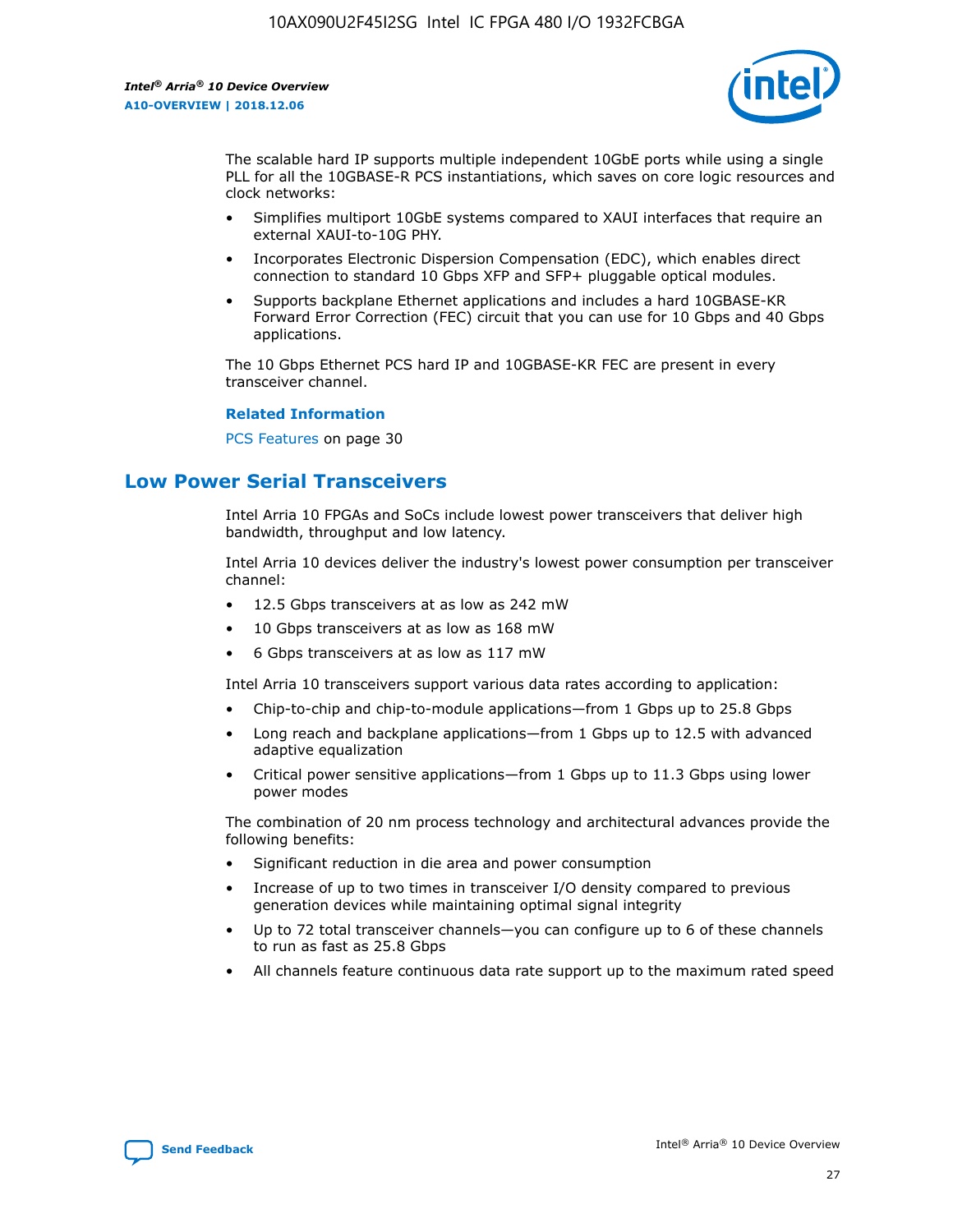

The scalable hard IP supports multiple independent 10GbE ports while using a single PLL for all the 10GBASE-R PCS instantiations, which saves on core logic resources and clock networks:

- Simplifies multiport 10GbE systems compared to XAUI interfaces that require an external XAUI-to-10G PHY.
- Incorporates Electronic Dispersion Compensation (EDC), which enables direct connection to standard 10 Gbps XFP and SFP+ pluggable optical modules.
- Supports backplane Ethernet applications and includes a hard 10GBASE-KR Forward Error Correction (FEC) circuit that you can use for 10 Gbps and 40 Gbps applications.

The 10 Gbps Ethernet PCS hard IP and 10GBASE-KR FEC are present in every transceiver channel.

#### **Related Information**

PCS Features on page 30

# **Low Power Serial Transceivers**

Intel Arria 10 FPGAs and SoCs include lowest power transceivers that deliver high bandwidth, throughput and low latency.

Intel Arria 10 devices deliver the industry's lowest power consumption per transceiver channel:

- 12.5 Gbps transceivers at as low as 242 mW
- 10 Gbps transceivers at as low as 168 mW
- 6 Gbps transceivers at as low as 117 mW

Intel Arria 10 transceivers support various data rates according to application:

- Chip-to-chip and chip-to-module applications—from 1 Gbps up to 25.8 Gbps
- Long reach and backplane applications—from 1 Gbps up to 12.5 with advanced adaptive equalization
- Critical power sensitive applications—from 1 Gbps up to 11.3 Gbps using lower power modes

The combination of 20 nm process technology and architectural advances provide the following benefits:

- Significant reduction in die area and power consumption
- Increase of up to two times in transceiver I/O density compared to previous generation devices while maintaining optimal signal integrity
- Up to 72 total transceiver channels—you can configure up to 6 of these channels to run as fast as 25.8 Gbps
- All channels feature continuous data rate support up to the maximum rated speed

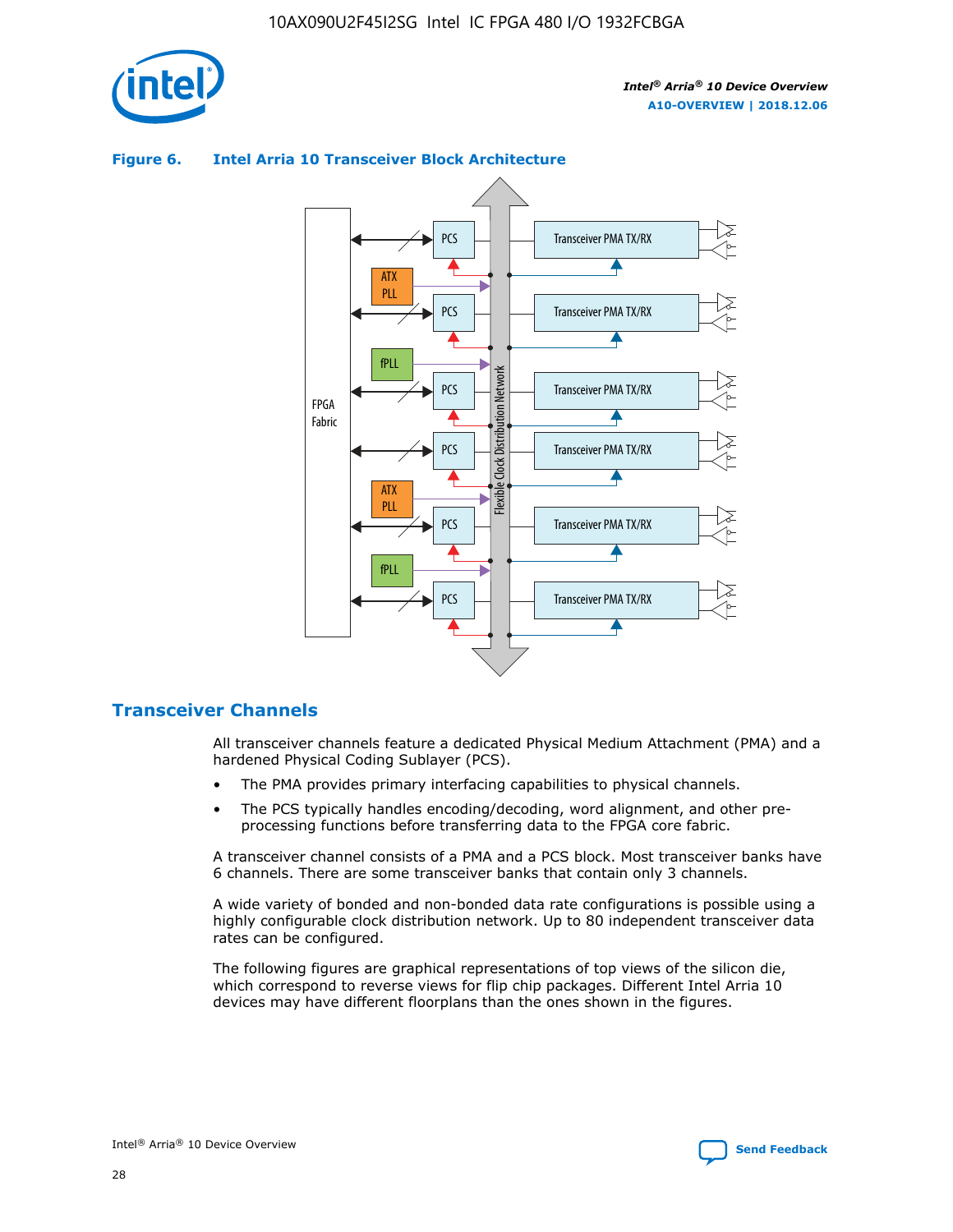

# Transceiver PMA TX/RX PCS ATX PLL Transceiver PMA TX/RX PCS fPLL Network Flexible Clock Distribution Network PCS Transceiver PMA TX/RX FPGA **Clock Distribution** Fabric PCS Transceiver PMA TX/RX ATX Flexible PLL PCS Transceiver PMA TX/RX ▲ fPLL Transceiver PMA TX/RX PCS 4

## **Figure 6. Intel Arria 10 Transceiver Block Architecture**

# **Transceiver Channels**

All transceiver channels feature a dedicated Physical Medium Attachment (PMA) and a hardened Physical Coding Sublayer (PCS).

- The PMA provides primary interfacing capabilities to physical channels.
- The PCS typically handles encoding/decoding, word alignment, and other preprocessing functions before transferring data to the FPGA core fabric.

A transceiver channel consists of a PMA and a PCS block. Most transceiver banks have 6 channels. There are some transceiver banks that contain only 3 channels.

A wide variety of bonded and non-bonded data rate configurations is possible using a highly configurable clock distribution network. Up to 80 independent transceiver data rates can be configured.

The following figures are graphical representations of top views of the silicon die, which correspond to reverse views for flip chip packages. Different Intel Arria 10 devices may have different floorplans than the ones shown in the figures.

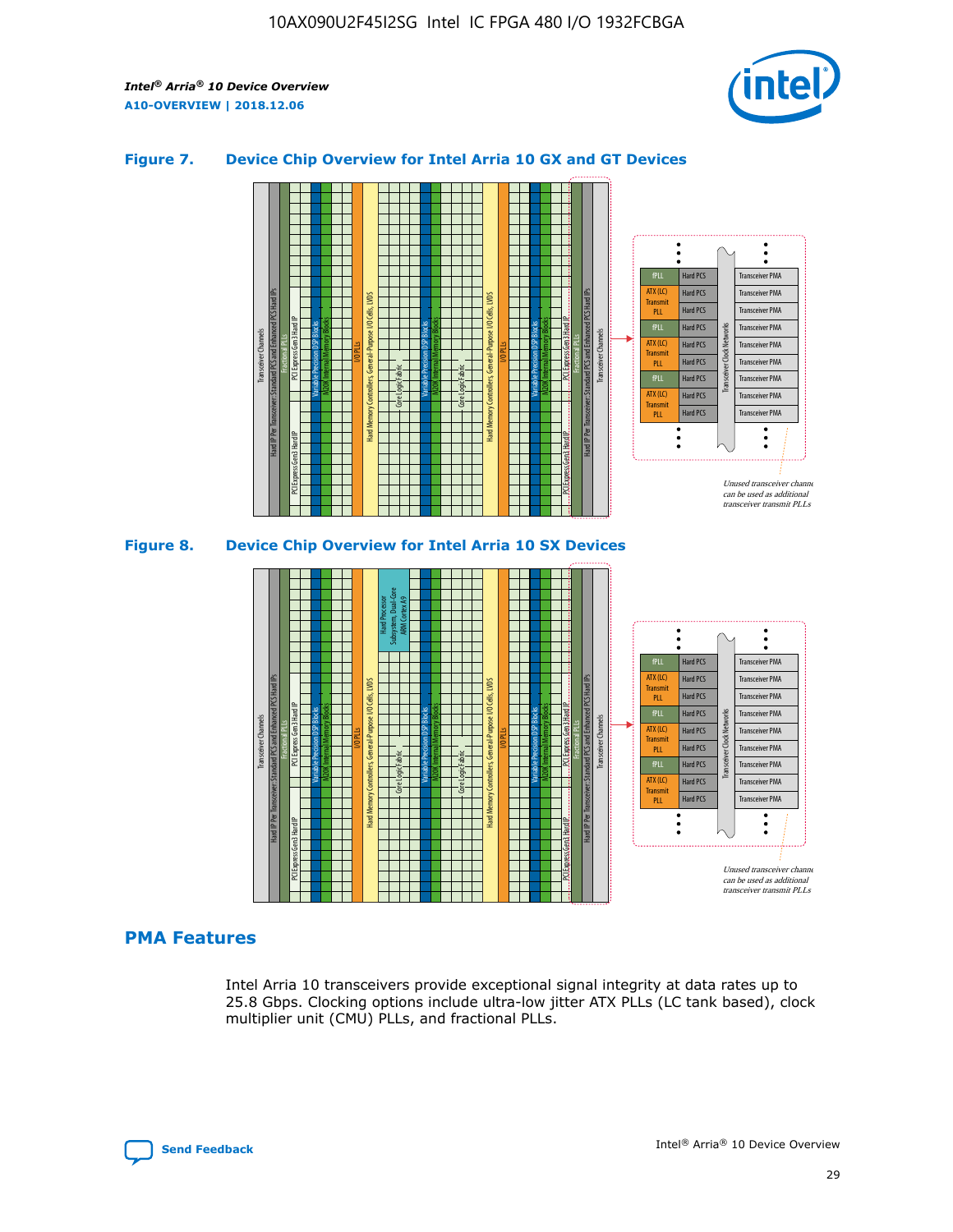

## **Figure 7. Device Chip Overview for Intel Arria 10 GX and GT Devices**



M20K Internal Memory Blocks Core Logic Fabric Transceiver Channels Hard IP Per Transceiver: Standard PCS and Enhanced PCS Hard IPs PCI Express Gen3 Hard IP Fractional PLLs M20K Internal Memory Blocks PCI Express Gen3 Hard IP Variable Precision DSP Blocks I/O PLLs Hard Memory Controllers, General-Purpose I/O Cells, LVDS Hard Processor Subsystem, Dual-Core ARM Cortex A9 M20K Internal Memory Blocks Variable Precision DSP Blocks M20K Internal Memory Blocks Core Logic Fabric I/O PLLs Hard Memory Controllers, General-Purpose I/O Cells, LVDS M20K Internal Memory Blocks Variable Precision DSP Blocks M20K Internal Memory Blocks Transceiver Channels Hard IP Per Transceiver: Standard PCS and Enhanced PCS Hard IPs PCI Express Gen3 Hard IP Fractional PLLs PCI Express Gen3 Hard IP  $\ddot{\cdot}$ Hard PCS Transceiver PMA fPLL ATX (LC) Hard PCS Transceiver PMA **Transmit** Hard PCS Transceiver PMA PLL fPLL Hard PCS Transceiver PMA Transceiver Clock Networks ATX (LC) Hard PCS Transceiver PMA Transmi Hard PCS Transceiver PMA PLL fPLL Hard PCS Transceiver PMA Transceiver PMA Hard PCS ATX (LC) **Transmit** Hard PCS Transceiver PMA PLL Unused transceiver chann can be used as additional transceiver transmit PLLs

## **PMA Features**

Intel Arria 10 transceivers provide exceptional signal integrity at data rates up to 25.8 Gbps. Clocking options include ultra-low jitter ATX PLLs (LC tank based), clock multiplier unit (CMU) PLLs, and fractional PLLs.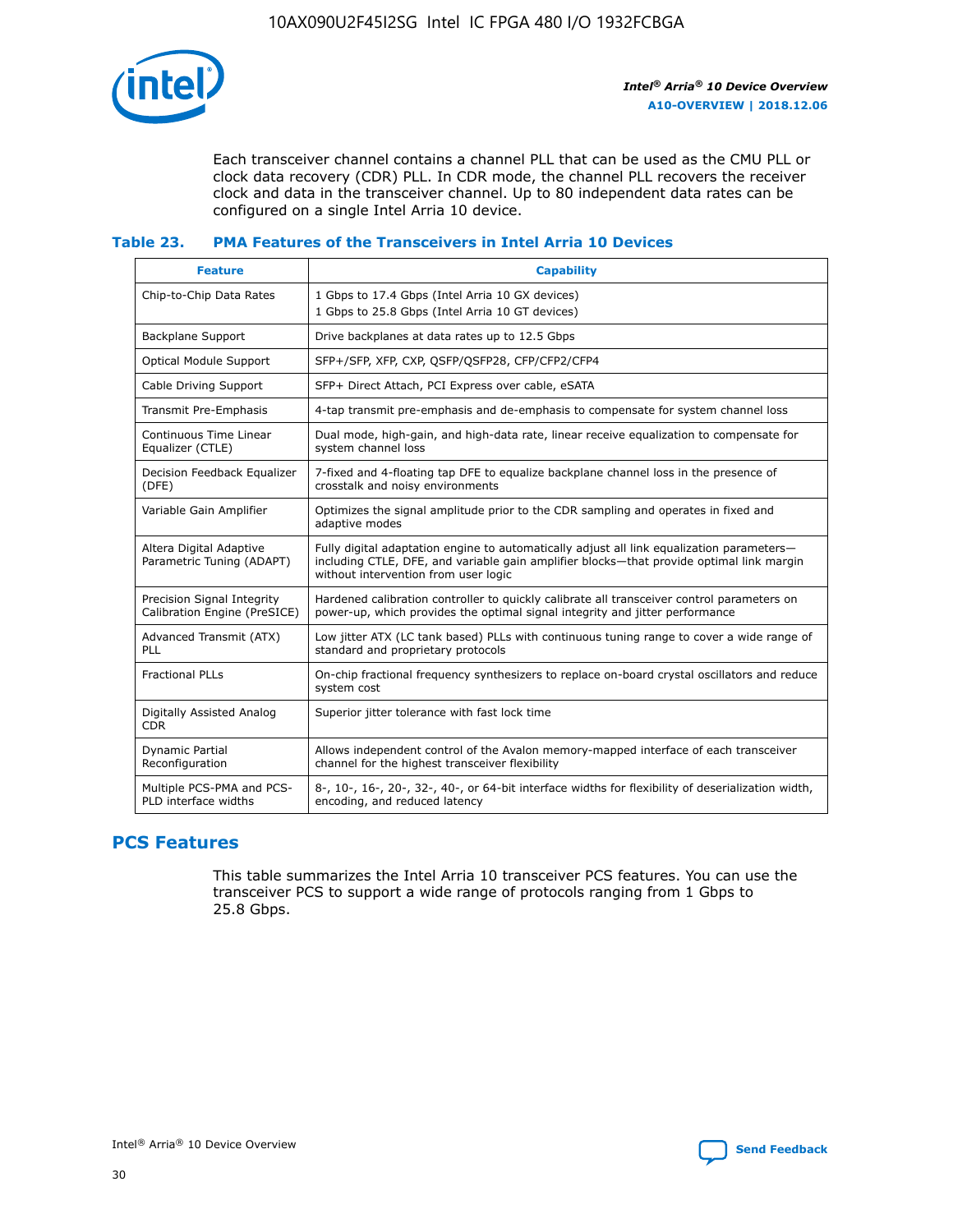

Each transceiver channel contains a channel PLL that can be used as the CMU PLL or clock data recovery (CDR) PLL. In CDR mode, the channel PLL recovers the receiver clock and data in the transceiver channel. Up to 80 independent data rates can be configured on a single Intel Arria 10 device.

#### **Table 23. PMA Features of the Transceivers in Intel Arria 10 Devices**

| <b>Feature</b>                                             | <b>Capability</b>                                                                                                                                                                                                             |
|------------------------------------------------------------|-------------------------------------------------------------------------------------------------------------------------------------------------------------------------------------------------------------------------------|
| Chip-to-Chip Data Rates                                    | 1 Gbps to 17.4 Gbps (Intel Arria 10 GX devices)<br>1 Gbps to 25.8 Gbps (Intel Arria 10 GT devices)                                                                                                                            |
| <b>Backplane Support</b>                                   | Drive backplanes at data rates up to 12.5 Gbps                                                                                                                                                                                |
| <b>Optical Module Support</b>                              | SFP+/SFP, XFP, CXP, QSFP/QSFP28, CFP/CFP2/CFP4                                                                                                                                                                                |
| Cable Driving Support                                      | SFP+ Direct Attach, PCI Express over cable, eSATA                                                                                                                                                                             |
| Transmit Pre-Emphasis                                      | 4-tap transmit pre-emphasis and de-emphasis to compensate for system channel loss                                                                                                                                             |
| Continuous Time Linear<br>Equalizer (CTLE)                 | Dual mode, high-gain, and high-data rate, linear receive equalization to compensate for<br>system channel loss                                                                                                                |
| Decision Feedback Equalizer<br>(DFE)                       | 7-fixed and 4-floating tap DFE to equalize backplane channel loss in the presence of<br>crosstalk and noisy environments                                                                                                      |
| Variable Gain Amplifier                                    | Optimizes the signal amplitude prior to the CDR sampling and operates in fixed and<br>adaptive modes                                                                                                                          |
| Altera Digital Adaptive<br>Parametric Tuning (ADAPT)       | Fully digital adaptation engine to automatically adjust all link equalization parameters-<br>including CTLE, DFE, and variable gain amplifier blocks—that provide optimal link margin<br>without intervention from user logic |
| Precision Signal Integrity<br>Calibration Engine (PreSICE) | Hardened calibration controller to quickly calibrate all transceiver control parameters on<br>power-up, which provides the optimal signal integrity and jitter performance                                                    |
| Advanced Transmit (ATX)<br><b>PLL</b>                      | Low jitter ATX (LC tank based) PLLs with continuous tuning range to cover a wide range of<br>standard and proprietary protocols                                                                                               |
| <b>Fractional PLLs</b>                                     | On-chip fractional frequency synthesizers to replace on-board crystal oscillators and reduce<br>system cost                                                                                                                   |
| Digitally Assisted Analog<br><b>CDR</b>                    | Superior jitter tolerance with fast lock time                                                                                                                                                                                 |
| Dynamic Partial<br>Reconfiguration                         | Allows independent control of the Avalon memory-mapped interface of each transceiver<br>channel for the highest transceiver flexibility                                                                                       |
| Multiple PCS-PMA and PCS-<br>PLD interface widths          | 8-, 10-, 16-, 20-, 32-, 40-, or 64-bit interface widths for flexibility of deserialization width,<br>encoding, and reduced latency                                                                                            |

# **PCS Features**

This table summarizes the Intel Arria 10 transceiver PCS features. You can use the transceiver PCS to support a wide range of protocols ranging from 1 Gbps to 25.8 Gbps.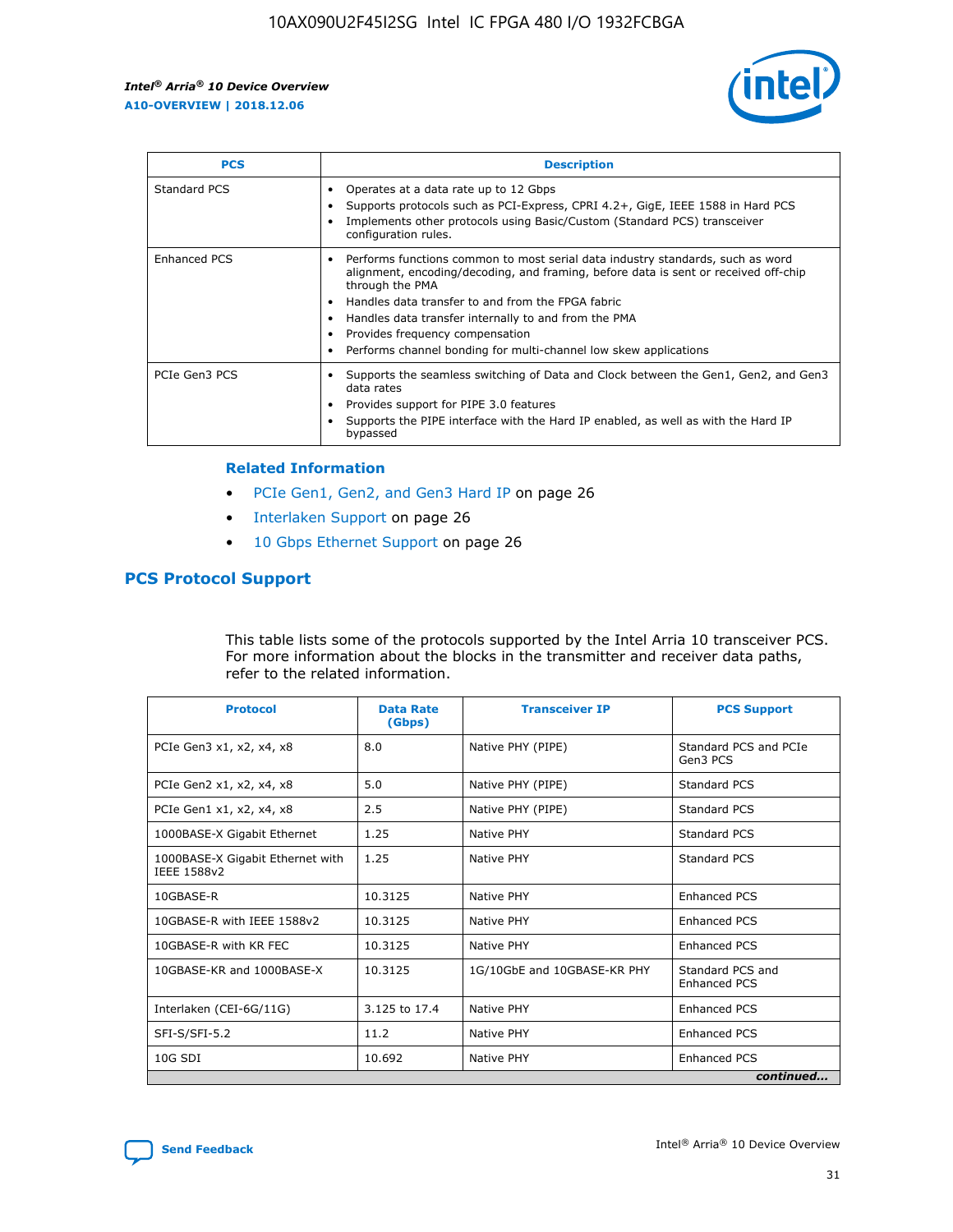

| <b>PCS</b>    | <b>Description</b>                                                                                                                                                                                                                                                                                                                                                                                             |
|---------------|----------------------------------------------------------------------------------------------------------------------------------------------------------------------------------------------------------------------------------------------------------------------------------------------------------------------------------------------------------------------------------------------------------------|
| Standard PCS  | Operates at a data rate up to 12 Gbps<br>Supports protocols such as PCI-Express, CPRI 4.2+, GigE, IEEE 1588 in Hard PCS<br>Implements other protocols using Basic/Custom (Standard PCS) transceiver<br>configuration rules.                                                                                                                                                                                    |
| Enhanced PCS  | Performs functions common to most serial data industry standards, such as word<br>alignment, encoding/decoding, and framing, before data is sent or received off-chip<br>through the PMA<br>• Handles data transfer to and from the FPGA fabric<br>Handles data transfer internally to and from the PMA<br>Provides frequency compensation<br>Performs channel bonding for multi-channel low skew applications |
| PCIe Gen3 PCS | Supports the seamless switching of Data and Clock between the Gen1, Gen2, and Gen3<br>data rates<br>Provides support for PIPE 3.0 features<br>Supports the PIPE interface with the Hard IP enabled, as well as with the Hard IP<br>bypassed                                                                                                                                                                    |

#### **Related Information**

- PCIe Gen1, Gen2, and Gen3 Hard IP on page 26
- Interlaken Support on page 26
- 10 Gbps Ethernet Support on page 26

# **PCS Protocol Support**

This table lists some of the protocols supported by the Intel Arria 10 transceiver PCS. For more information about the blocks in the transmitter and receiver data paths, refer to the related information.

| <b>Protocol</b>                                 | <b>Data Rate</b><br>(Gbps) | <b>Transceiver IP</b>       | <b>PCS Support</b>                      |
|-------------------------------------------------|----------------------------|-----------------------------|-----------------------------------------|
| PCIe Gen3 x1, x2, x4, x8                        | 8.0                        | Native PHY (PIPE)           | Standard PCS and PCIe<br>Gen3 PCS       |
| PCIe Gen2 x1, x2, x4, x8                        | 5.0                        | Native PHY (PIPE)           | <b>Standard PCS</b>                     |
| PCIe Gen1 x1, x2, x4, x8                        | 2.5                        | Native PHY (PIPE)           | Standard PCS                            |
| 1000BASE-X Gigabit Ethernet                     | 1.25                       | Native PHY                  | <b>Standard PCS</b>                     |
| 1000BASE-X Gigabit Ethernet with<br>IEEE 1588v2 | 1.25                       | Native PHY                  | Standard PCS                            |
| 10GBASE-R                                       | 10.3125                    | Native PHY                  | <b>Enhanced PCS</b>                     |
| 10GBASE-R with IEEE 1588v2                      | 10.3125                    | Native PHY                  | <b>Enhanced PCS</b>                     |
| 10GBASE-R with KR FEC                           | 10.3125                    | Native PHY                  | <b>Enhanced PCS</b>                     |
| 10GBASE-KR and 1000BASE-X                       | 10.3125                    | 1G/10GbE and 10GBASE-KR PHY | Standard PCS and<br><b>Enhanced PCS</b> |
| Interlaken (CEI-6G/11G)                         | 3.125 to 17.4              | Native PHY                  | <b>Enhanced PCS</b>                     |
| SFI-S/SFI-5.2                                   | 11.2                       | Native PHY                  | <b>Enhanced PCS</b>                     |
| $10G$ SDI                                       | 10.692                     | Native PHY                  | <b>Enhanced PCS</b>                     |
|                                                 |                            |                             | continued                               |

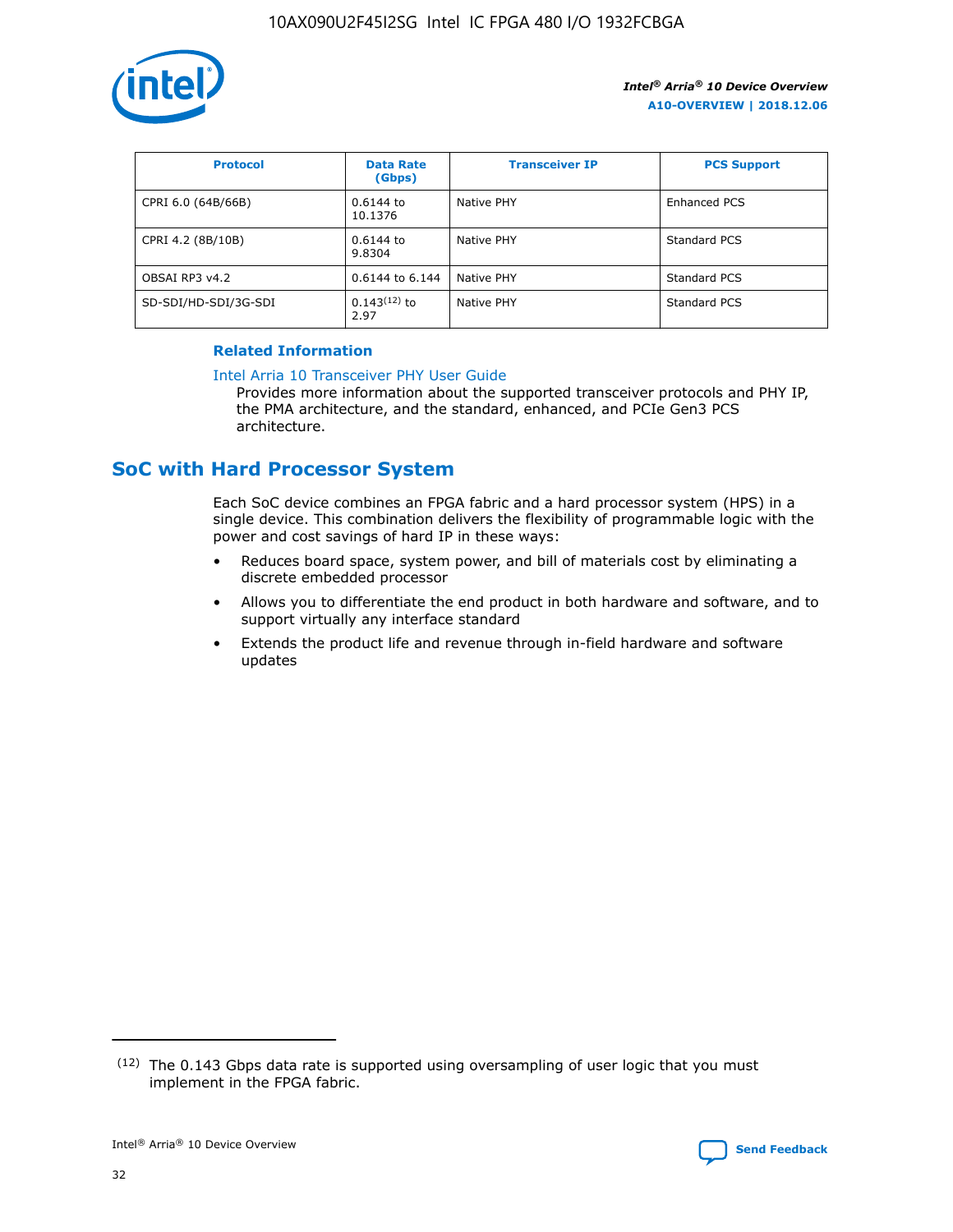

| <b>Protocol</b>      | <b>Data Rate</b><br>(Gbps) | <b>Transceiver IP</b> | <b>PCS Support</b> |
|----------------------|----------------------------|-----------------------|--------------------|
| CPRI 6.0 (64B/66B)   | 0.6144 to<br>10.1376       | Native PHY            | Enhanced PCS       |
| CPRI 4.2 (8B/10B)    | 0.6144 to<br>9.8304        | Native PHY            | Standard PCS       |
| OBSAI RP3 v4.2       | 0.6144 to 6.144            | Native PHY            | Standard PCS       |
| SD-SDI/HD-SDI/3G-SDI | $0.143(12)$ to<br>2.97     | Native PHY            | Standard PCS       |

## **Related Information**

#### [Intel Arria 10 Transceiver PHY User Guide](https://www.intel.com/content/www/us/en/programmable/documentation/nik1398707230472.html#nik1398707091164)

Provides more information about the supported transceiver protocols and PHY IP, the PMA architecture, and the standard, enhanced, and PCIe Gen3 PCS architecture.

# **SoC with Hard Processor System**

Each SoC device combines an FPGA fabric and a hard processor system (HPS) in a single device. This combination delivers the flexibility of programmable logic with the power and cost savings of hard IP in these ways:

- Reduces board space, system power, and bill of materials cost by eliminating a discrete embedded processor
- Allows you to differentiate the end product in both hardware and software, and to support virtually any interface standard
- Extends the product life and revenue through in-field hardware and software updates

 $(12)$  The 0.143 Gbps data rate is supported using oversampling of user logic that you must implement in the FPGA fabric.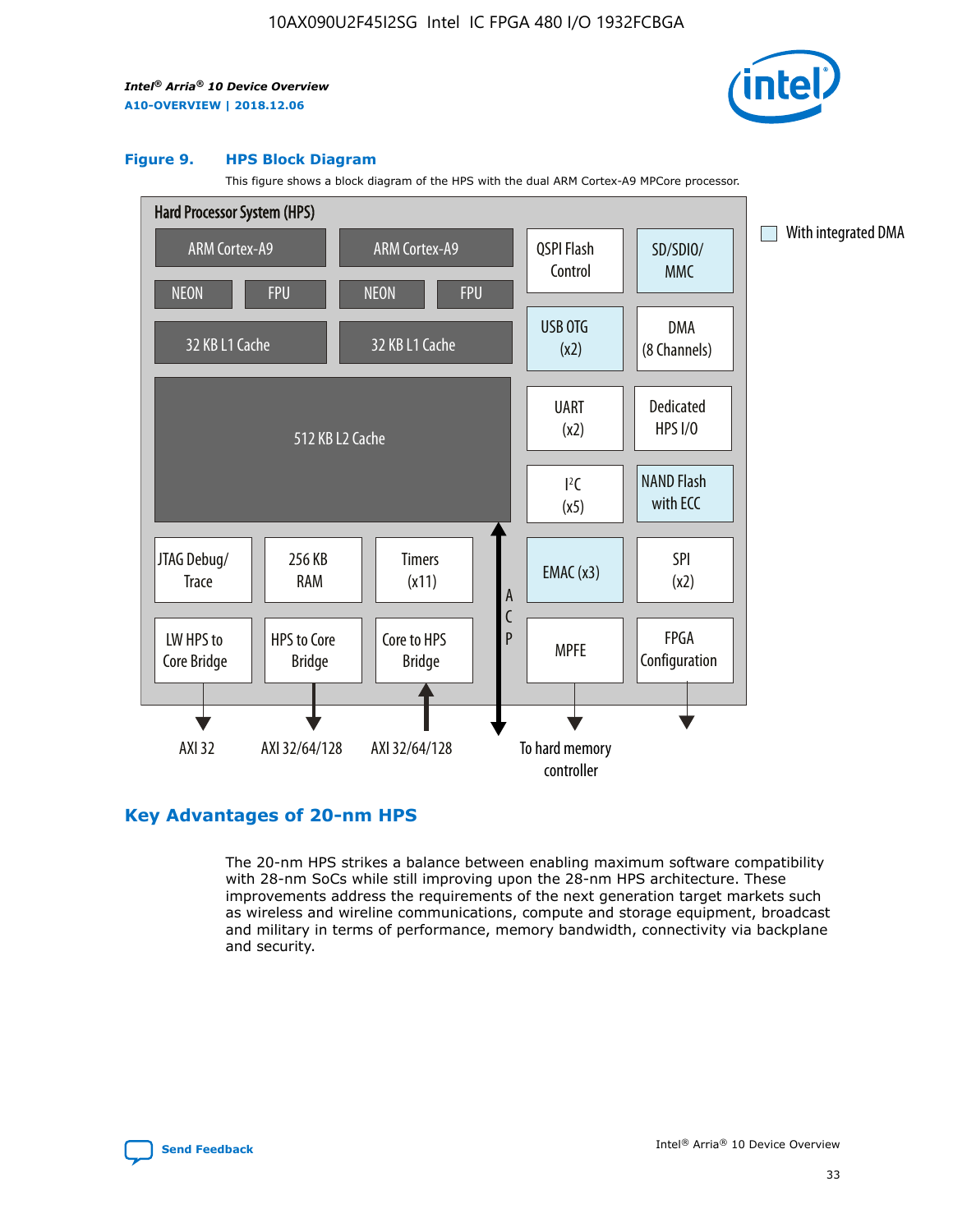

#### **Figure 9. HPS Block Diagram**

This figure shows a block diagram of the HPS with the dual ARM Cortex-A9 MPCore processor.



# **Key Advantages of 20-nm HPS**

The 20-nm HPS strikes a balance between enabling maximum software compatibility with 28-nm SoCs while still improving upon the 28-nm HPS architecture. These improvements address the requirements of the next generation target markets such as wireless and wireline communications, compute and storage equipment, broadcast and military in terms of performance, memory bandwidth, connectivity via backplane and security.

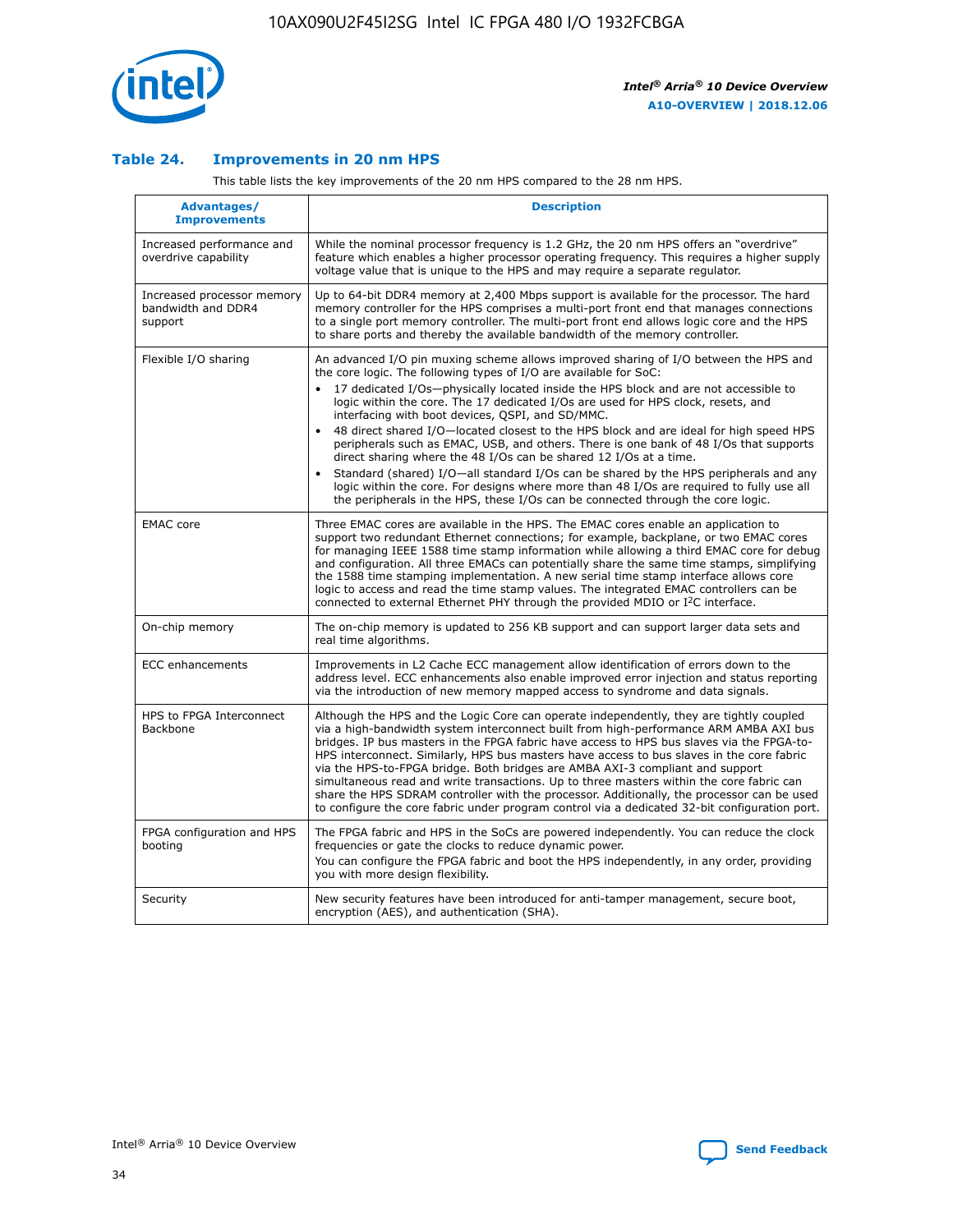

## **Table 24. Improvements in 20 nm HPS**

This table lists the key improvements of the 20 nm HPS compared to the 28 nm HPS.

| Advantages/<br><b>Improvements</b>                          | <b>Description</b>                                                                                                                                                                                                                                                                                                                                                                                                                                                                                                                                                                                                                                                                                                                                                                                                                                                                                                      |
|-------------------------------------------------------------|-------------------------------------------------------------------------------------------------------------------------------------------------------------------------------------------------------------------------------------------------------------------------------------------------------------------------------------------------------------------------------------------------------------------------------------------------------------------------------------------------------------------------------------------------------------------------------------------------------------------------------------------------------------------------------------------------------------------------------------------------------------------------------------------------------------------------------------------------------------------------------------------------------------------------|
| Increased performance and<br>overdrive capability           | While the nominal processor frequency is 1.2 GHz, the 20 nm HPS offers an "overdrive"<br>feature which enables a higher processor operating frequency. This requires a higher supply<br>voltage value that is unique to the HPS and may require a separate regulator.                                                                                                                                                                                                                                                                                                                                                                                                                                                                                                                                                                                                                                                   |
| Increased processor memory<br>bandwidth and DDR4<br>support | Up to 64-bit DDR4 memory at 2,400 Mbps support is available for the processor. The hard<br>memory controller for the HPS comprises a multi-port front end that manages connections<br>to a single port memory controller. The multi-port front end allows logic core and the HPS<br>to share ports and thereby the available bandwidth of the memory controller.                                                                                                                                                                                                                                                                                                                                                                                                                                                                                                                                                        |
| Flexible I/O sharing                                        | An advanced I/O pin muxing scheme allows improved sharing of I/O between the HPS and<br>the core logic. The following types of I/O are available for SoC:<br>17 dedicated I/Os-physically located inside the HPS block and are not accessible to<br>logic within the core. The 17 dedicated I/Os are used for HPS clock, resets, and<br>interfacing with boot devices, QSPI, and SD/MMC.<br>48 direct shared I/O-located closest to the HPS block and are ideal for high speed HPS<br>peripherals such as EMAC, USB, and others. There is one bank of 48 I/Os that supports<br>direct sharing where the 48 I/Os can be shared 12 I/Os at a time.<br>Standard (shared) I/O—all standard I/Os can be shared by the HPS peripherals and any<br>logic within the core. For designs where more than 48 I/Os are required to fully use all<br>the peripherals in the HPS, these I/Os can be connected through the core logic. |
| <b>EMAC</b> core                                            | Three EMAC cores are available in the HPS. The EMAC cores enable an application to<br>support two redundant Ethernet connections; for example, backplane, or two EMAC cores<br>for managing IEEE 1588 time stamp information while allowing a third EMAC core for debug<br>and configuration. All three EMACs can potentially share the same time stamps, simplifying<br>the 1588 time stamping implementation. A new serial time stamp interface allows core<br>logic to access and read the time stamp values. The integrated EMAC controllers can be<br>connected to external Ethernet PHY through the provided MDIO or I <sup>2</sup> C interface.                                                                                                                                                                                                                                                                  |
| On-chip memory                                              | The on-chip memory is updated to 256 KB support and can support larger data sets and<br>real time algorithms.                                                                                                                                                                                                                                                                                                                                                                                                                                                                                                                                                                                                                                                                                                                                                                                                           |
| ECC enhancements                                            | Improvements in L2 Cache ECC management allow identification of errors down to the<br>address level. ECC enhancements also enable improved error injection and status reporting<br>via the introduction of new memory mapped access to syndrome and data signals.                                                                                                                                                                                                                                                                                                                                                                                                                                                                                                                                                                                                                                                       |
| HPS to FPGA Interconnect<br><b>Backbone</b>                 | Although the HPS and the Logic Core can operate independently, they are tightly coupled<br>via a high-bandwidth system interconnect built from high-performance ARM AMBA AXI bus<br>bridges. IP bus masters in the FPGA fabric have access to HPS bus slaves via the FPGA-to-<br>HPS interconnect. Similarly, HPS bus masters have access to bus slaves in the core fabric<br>via the HPS-to-FPGA bridge. Both bridges are AMBA AXI-3 compliant and support<br>simultaneous read and write transactions. Up to three masters within the core fabric can<br>share the HPS SDRAM controller with the processor. Additionally, the processor can be used<br>to configure the core fabric under program control via a dedicated 32-bit configuration port.                                                                                                                                                                  |
| FPGA configuration and HPS<br>booting                       | The FPGA fabric and HPS in the SoCs are powered independently. You can reduce the clock<br>frequencies or gate the clocks to reduce dynamic power.<br>You can configure the FPGA fabric and boot the HPS independently, in any order, providing<br>you with more design flexibility.                                                                                                                                                                                                                                                                                                                                                                                                                                                                                                                                                                                                                                    |
| Security                                                    | New security features have been introduced for anti-tamper management, secure boot,<br>encryption (AES), and authentication (SHA).                                                                                                                                                                                                                                                                                                                                                                                                                                                                                                                                                                                                                                                                                                                                                                                      |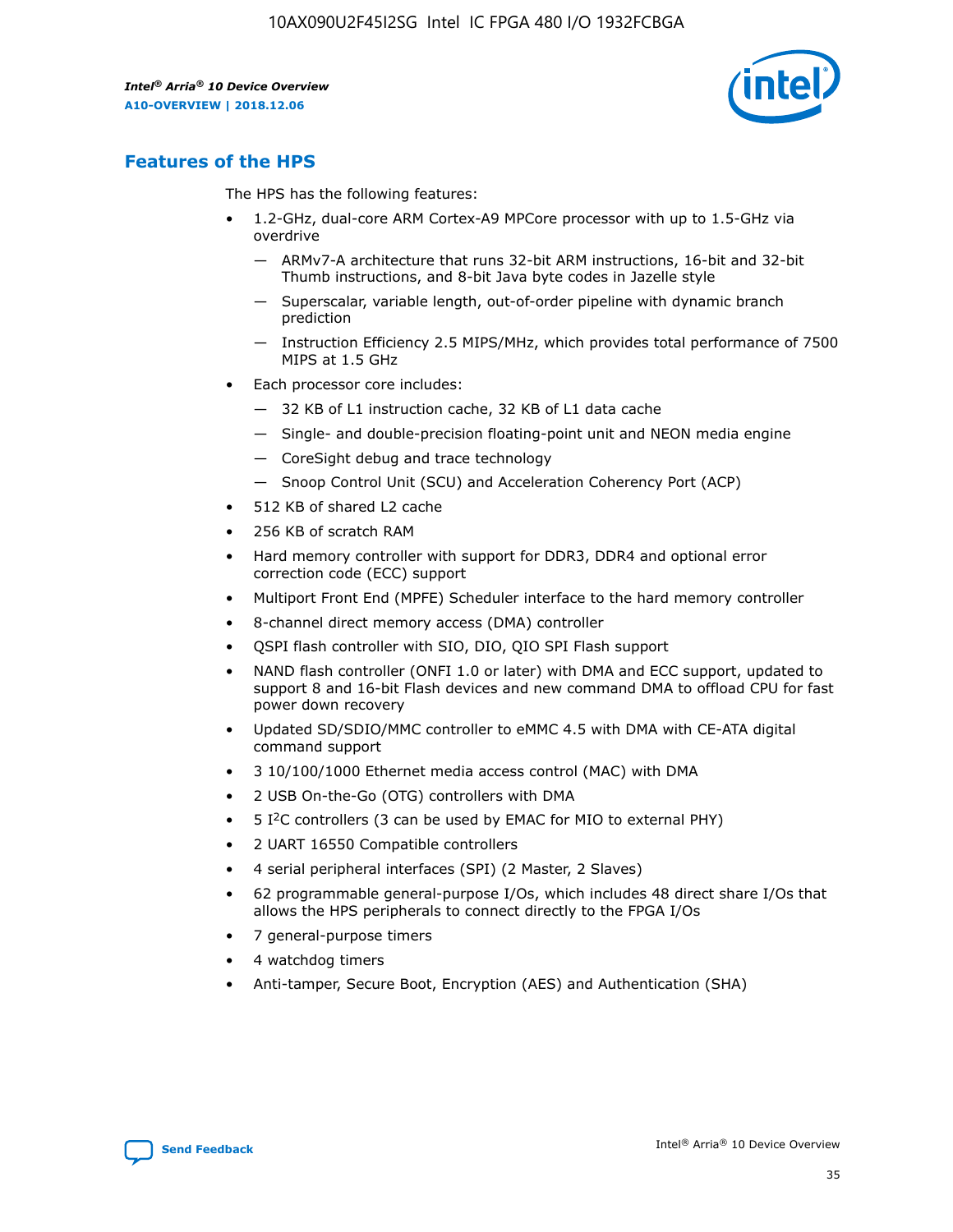

# **Features of the HPS**

The HPS has the following features:

- 1.2-GHz, dual-core ARM Cortex-A9 MPCore processor with up to 1.5-GHz via overdrive
	- ARMv7-A architecture that runs 32-bit ARM instructions, 16-bit and 32-bit Thumb instructions, and 8-bit Java byte codes in Jazelle style
	- Superscalar, variable length, out-of-order pipeline with dynamic branch prediction
	- Instruction Efficiency 2.5 MIPS/MHz, which provides total performance of 7500 MIPS at 1.5 GHz
- Each processor core includes:
	- 32 KB of L1 instruction cache, 32 KB of L1 data cache
	- Single- and double-precision floating-point unit and NEON media engine
	- CoreSight debug and trace technology
	- Snoop Control Unit (SCU) and Acceleration Coherency Port (ACP)
- 512 KB of shared L2 cache
- 256 KB of scratch RAM
- Hard memory controller with support for DDR3, DDR4 and optional error correction code (ECC) support
- Multiport Front End (MPFE) Scheduler interface to the hard memory controller
- 8-channel direct memory access (DMA) controller
- QSPI flash controller with SIO, DIO, QIO SPI Flash support
- NAND flash controller (ONFI 1.0 or later) with DMA and ECC support, updated to support 8 and 16-bit Flash devices and new command DMA to offload CPU for fast power down recovery
- Updated SD/SDIO/MMC controller to eMMC 4.5 with DMA with CE-ATA digital command support
- 3 10/100/1000 Ethernet media access control (MAC) with DMA
- 2 USB On-the-Go (OTG) controllers with DMA
- $\bullet$  5 I<sup>2</sup>C controllers (3 can be used by EMAC for MIO to external PHY)
- 2 UART 16550 Compatible controllers
- 4 serial peripheral interfaces (SPI) (2 Master, 2 Slaves)
- 62 programmable general-purpose I/Os, which includes 48 direct share I/Os that allows the HPS peripherals to connect directly to the FPGA I/Os
- 7 general-purpose timers
- 4 watchdog timers
- Anti-tamper, Secure Boot, Encryption (AES) and Authentication (SHA)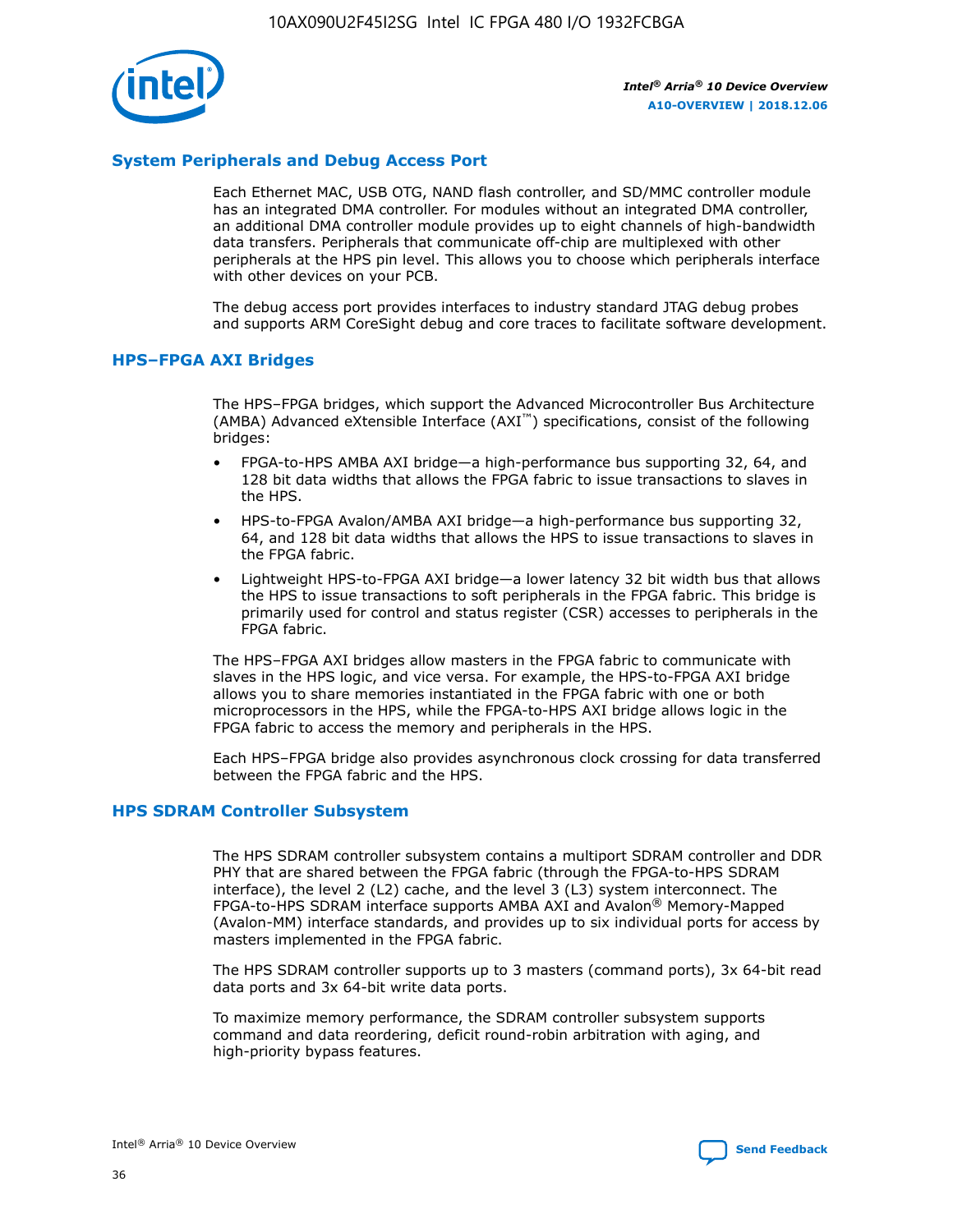

## **System Peripherals and Debug Access Port**

Each Ethernet MAC, USB OTG, NAND flash controller, and SD/MMC controller module has an integrated DMA controller. For modules without an integrated DMA controller, an additional DMA controller module provides up to eight channels of high-bandwidth data transfers. Peripherals that communicate off-chip are multiplexed with other peripherals at the HPS pin level. This allows you to choose which peripherals interface with other devices on your PCB.

The debug access port provides interfaces to industry standard JTAG debug probes and supports ARM CoreSight debug and core traces to facilitate software development.

## **HPS–FPGA AXI Bridges**

The HPS–FPGA bridges, which support the Advanced Microcontroller Bus Architecture (AMBA) Advanced eXtensible Interface (AXI™) specifications, consist of the following bridges:

- FPGA-to-HPS AMBA AXI bridge—a high-performance bus supporting 32, 64, and 128 bit data widths that allows the FPGA fabric to issue transactions to slaves in the HPS.
- HPS-to-FPGA Avalon/AMBA AXI bridge—a high-performance bus supporting 32, 64, and 128 bit data widths that allows the HPS to issue transactions to slaves in the FPGA fabric.
- Lightweight HPS-to-FPGA AXI bridge—a lower latency 32 bit width bus that allows the HPS to issue transactions to soft peripherals in the FPGA fabric. This bridge is primarily used for control and status register (CSR) accesses to peripherals in the FPGA fabric.

The HPS–FPGA AXI bridges allow masters in the FPGA fabric to communicate with slaves in the HPS logic, and vice versa. For example, the HPS-to-FPGA AXI bridge allows you to share memories instantiated in the FPGA fabric with one or both microprocessors in the HPS, while the FPGA-to-HPS AXI bridge allows logic in the FPGA fabric to access the memory and peripherals in the HPS.

Each HPS–FPGA bridge also provides asynchronous clock crossing for data transferred between the FPGA fabric and the HPS.

#### **HPS SDRAM Controller Subsystem**

The HPS SDRAM controller subsystem contains a multiport SDRAM controller and DDR PHY that are shared between the FPGA fabric (through the FPGA-to-HPS SDRAM interface), the level 2 (L2) cache, and the level 3 (L3) system interconnect. The FPGA-to-HPS SDRAM interface supports AMBA AXI and Avalon® Memory-Mapped (Avalon-MM) interface standards, and provides up to six individual ports for access by masters implemented in the FPGA fabric.

The HPS SDRAM controller supports up to 3 masters (command ports), 3x 64-bit read data ports and 3x 64-bit write data ports.

To maximize memory performance, the SDRAM controller subsystem supports command and data reordering, deficit round-robin arbitration with aging, and high-priority bypass features.

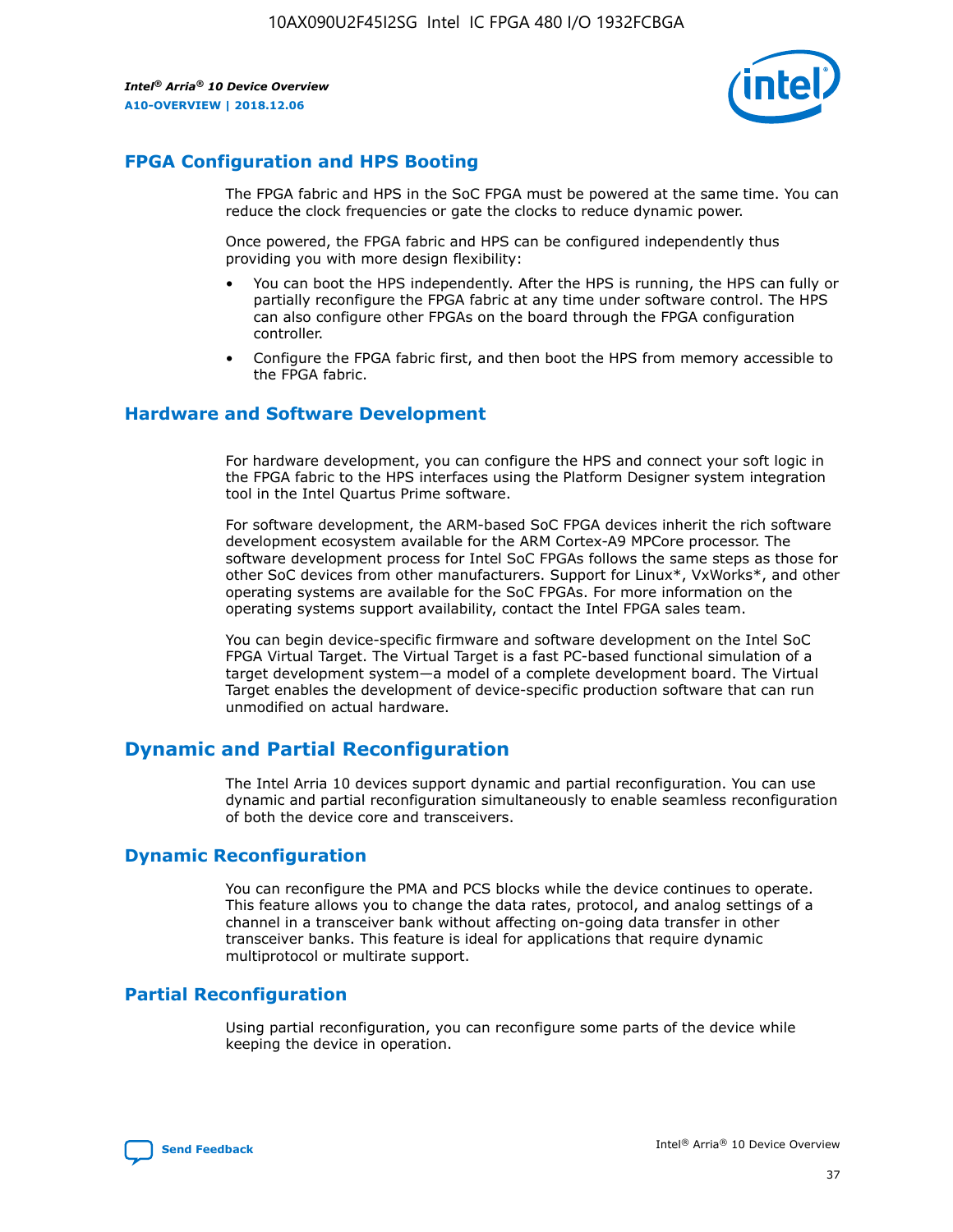

# **FPGA Configuration and HPS Booting**

The FPGA fabric and HPS in the SoC FPGA must be powered at the same time. You can reduce the clock frequencies or gate the clocks to reduce dynamic power.

Once powered, the FPGA fabric and HPS can be configured independently thus providing you with more design flexibility:

- You can boot the HPS independently. After the HPS is running, the HPS can fully or partially reconfigure the FPGA fabric at any time under software control. The HPS can also configure other FPGAs on the board through the FPGA configuration controller.
- Configure the FPGA fabric first, and then boot the HPS from memory accessible to the FPGA fabric.

## **Hardware and Software Development**

For hardware development, you can configure the HPS and connect your soft logic in the FPGA fabric to the HPS interfaces using the Platform Designer system integration tool in the Intel Quartus Prime software.

For software development, the ARM-based SoC FPGA devices inherit the rich software development ecosystem available for the ARM Cortex-A9 MPCore processor. The software development process for Intel SoC FPGAs follows the same steps as those for other SoC devices from other manufacturers. Support for Linux\*, VxWorks\*, and other operating systems are available for the SoC FPGAs. For more information on the operating systems support availability, contact the Intel FPGA sales team.

You can begin device-specific firmware and software development on the Intel SoC FPGA Virtual Target. The Virtual Target is a fast PC-based functional simulation of a target development system—a model of a complete development board. The Virtual Target enables the development of device-specific production software that can run unmodified on actual hardware.

# **Dynamic and Partial Reconfiguration**

The Intel Arria 10 devices support dynamic and partial reconfiguration. You can use dynamic and partial reconfiguration simultaneously to enable seamless reconfiguration of both the device core and transceivers.

# **Dynamic Reconfiguration**

You can reconfigure the PMA and PCS blocks while the device continues to operate. This feature allows you to change the data rates, protocol, and analog settings of a channel in a transceiver bank without affecting on-going data transfer in other transceiver banks. This feature is ideal for applications that require dynamic multiprotocol or multirate support.

# **Partial Reconfiguration**

Using partial reconfiguration, you can reconfigure some parts of the device while keeping the device in operation.

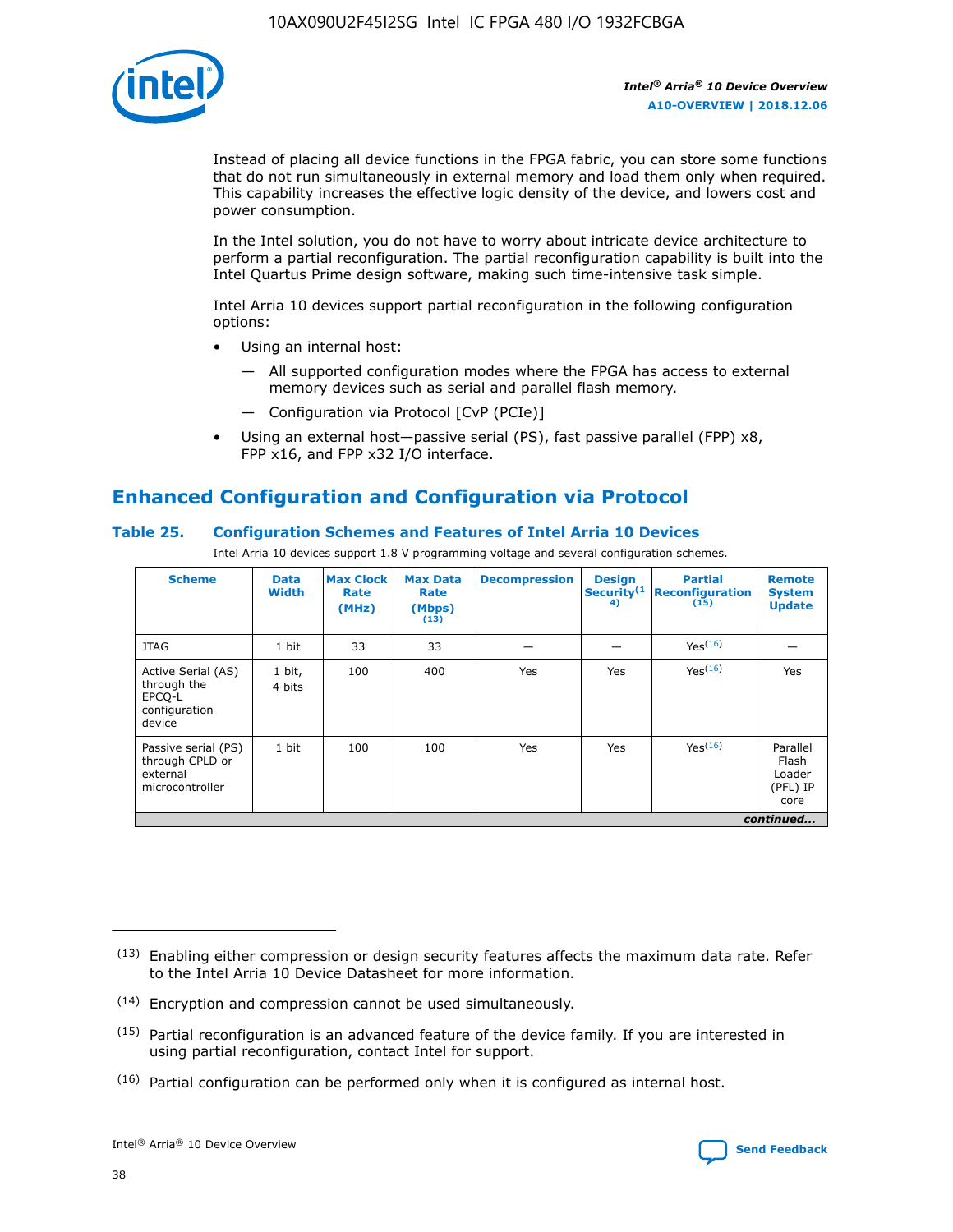

Instead of placing all device functions in the FPGA fabric, you can store some functions that do not run simultaneously in external memory and load them only when required. This capability increases the effective logic density of the device, and lowers cost and power consumption.

In the Intel solution, you do not have to worry about intricate device architecture to perform a partial reconfiguration. The partial reconfiguration capability is built into the Intel Quartus Prime design software, making such time-intensive task simple.

Intel Arria 10 devices support partial reconfiguration in the following configuration options:

- Using an internal host:
	- All supported configuration modes where the FPGA has access to external memory devices such as serial and parallel flash memory.
	- Configuration via Protocol [CvP (PCIe)]
- Using an external host—passive serial (PS), fast passive parallel (FPP) x8, FPP x16, and FPP x32 I/O interface.

# **Enhanced Configuration and Configuration via Protocol**

## **Table 25. Configuration Schemes and Features of Intel Arria 10 Devices**

Intel Arria 10 devices support 1.8 V programming voltage and several configuration schemes.

| <b>Scheme</b>                                                          | <b>Data</b><br><b>Width</b> | <b>Max Clock</b><br>Rate<br>(MHz) | <b>Max Data</b><br>Rate<br>(Mbps)<br>(13) | <b>Decompression</b> | <b>Design</b><br>Security <sup>(1</sup><br>4) | <b>Partial</b><br><b>Reconfiguration</b><br>(15) | <b>Remote</b><br><b>System</b><br><b>Update</b> |
|------------------------------------------------------------------------|-----------------------------|-----------------------------------|-------------------------------------------|----------------------|-----------------------------------------------|--------------------------------------------------|-------------------------------------------------|
| <b>JTAG</b>                                                            | 1 bit                       | 33                                | 33                                        |                      |                                               | Yes(16)                                          |                                                 |
| Active Serial (AS)<br>through the<br>EPCO-L<br>configuration<br>device | 1 bit,<br>4 bits            | 100                               | 400                                       | Yes                  | Yes                                           | $Y_{PS}(16)$                                     | Yes                                             |
| Passive serial (PS)<br>through CPLD or<br>external<br>microcontroller  | 1 bit                       | 100                               | 100                                       | Yes                  | Yes                                           | Yes(16)                                          | Parallel<br>Flash<br>Loader<br>(PFL) IP<br>core |
|                                                                        |                             |                                   |                                           |                      |                                               |                                                  | continued                                       |

<sup>(13)</sup> Enabling either compression or design security features affects the maximum data rate. Refer to the Intel Arria 10 Device Datasheet for more information.

<sup>(14)</sup> Encryption and compression cannot be used simultaneously.

 $<sup>(15)</sup>$  Partial reconfiguration is an advanced feature of the device family. If you are interested in</sup> using partial reconfiguration, contact Intel for support.

 $(16)$  Partial configuration can be performed only when it is configured as internal host.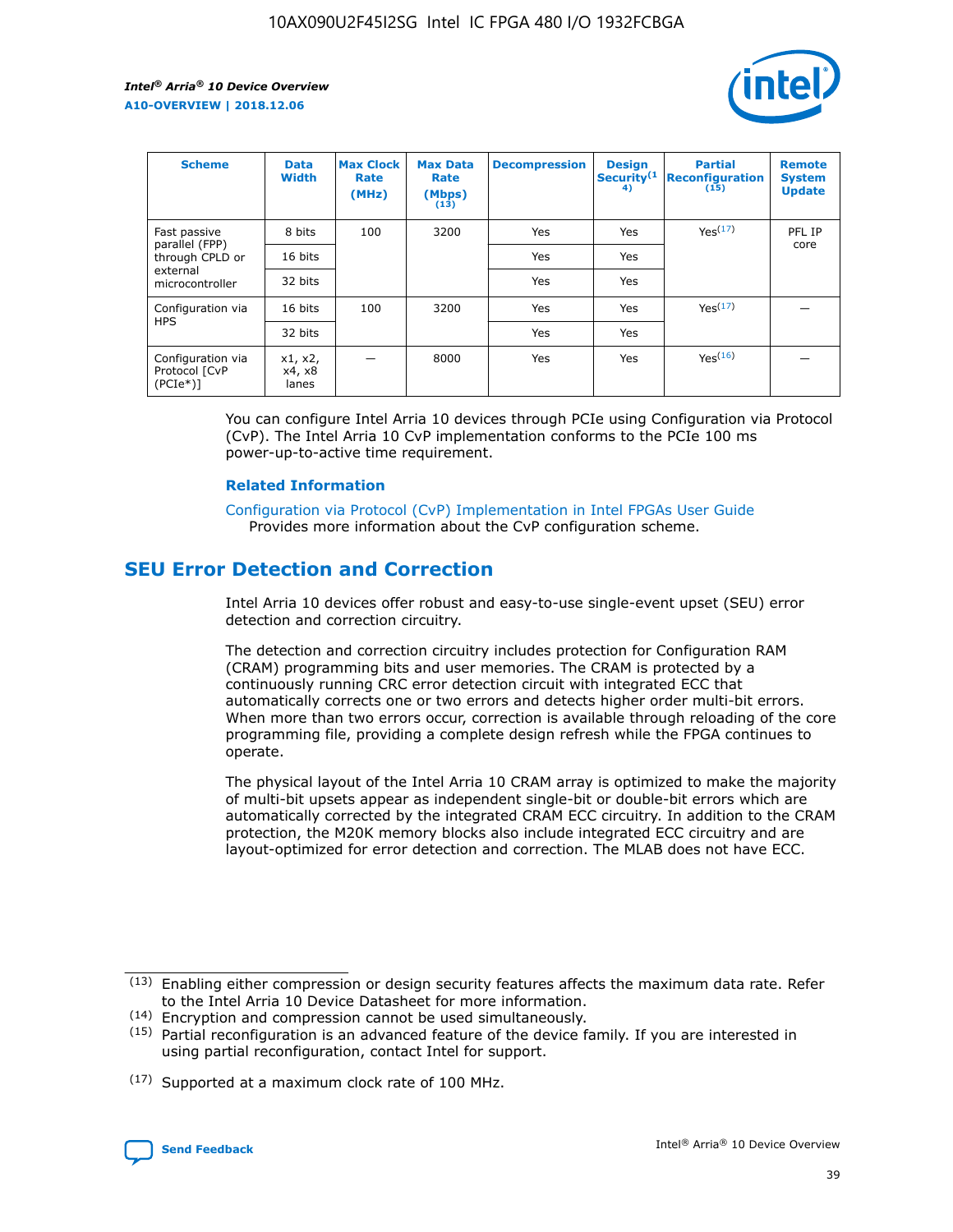

| <b>Scheme</b>                                    | <b>Data</b><br><b>Width</b> | <b>Max Clock</b><br>Rate<br>(MHz) | <b>Max Data</b><br>Rate<br>(Mbps)<br>(13) | <b>Decompression</b> | <b>Design</b><br>Security <sup>(1</sup><br>4) | <b>Partial</b><br><b>Reconfiguration</b><br>(15) | <b>Remote</b><br><b>System</b><br><b>Update</b> |
|--------------------------------------------------|-----------------------------|-----------------------------------|-------------------------------------------|----------------------|-----------------------------------------------|--------------------------------------------------|-------------------------------------------------|
| Fast passive                                     | 8 bits                      | 100                               | 3200                                      | Yes                  | Yes                                           | Yes(17)                                          | PFL IP                                          |
| parallel (FPP)<br>through CPLD or                | 16 bits                     |                                   |                                           | Yes                  | Yes                                           |                                                  | core                                            |
| external<br>microcontroller                      | 32 bits                     |                                   |                                           | Yes                  | Yes                                           |                                                  |                                                 |
| Configuration via                                | 16 bits                     | 100                               | 3200                                      | Yes                  | Yes                                           | Yes <sup>(17)</sup>                              |                                                 |
| <b>HPS</b>                                       | 32 bits                     |                                   |                                           | Yes                  | Yes                                           |                                                  |                                                 |
| Configuration via<br>Protocol [CvP<br>$(PCIe^*)$ | x1, x2,<br>x4, x8<br>lanes  |                                   | 8000                                      | Yes                  | Yes                                           | Yes(16)                                          |                                                 |

You can configure Intel Arria 10 devices through PCIe using Configuration via Protocol (CvP). The Intel Arria 10 CvP implementation conforms to the PCIe 100 ms power-up-to-active time requirement.

#### **Related Information**

[Configuration via Protocol \(CvP\) Implementation in Intel FPGAs User Guide](https://www.intel.com/content/www/us/en/programmable/documentation/dsu1441819344145.html#dsu1442269728522) Provides more information about the CvP configuration scheme.

# **SEU Error Detection and Correction**

Intel Arria 10 devices offer robust and easy-to-use single-event upset (SEU) error detection and correction circuitry.

The detection and correction circuitry includes protection for Configuration RAM (CRAM) programming bits and user memories. The CRAM is protected by a continuously running CRC error detection circuit with integrated ECC that automatically corrects one or two errors and detects higher order multi-bit errors. When more than two errors occur, correction is available through reloading of the core programming file, providing a complete design refresh while the FPGA continues to operate.

The physical layout of the Intel Arria 10 CRAM array is optimized to make the majority of multi-bit upsets appear as independent single-bit or double-bit errors which are automatically corrected by the integrated CRAM ECC circuitry. In addition to the CRAM protection, the M20K memory blocks also include integrated ECC circuitry and are layout-optimized for error detection and correction. The MLAB does not have ECC.

(14) Encryption and compression cannot be used simultaneously.

<sup>(17)</sup> Supported at a maximum clock rate of 100 MHz.



 $(13)$  Enabling either compression or design security features affects the maximum data rate. Refer to the Intel Arria 10 Device Datasheet for more information.

 $(15)$  Partial reconfiguration is an advanced feature of the device family. If you are interested in using partial reconfiguration, contact Intel for support.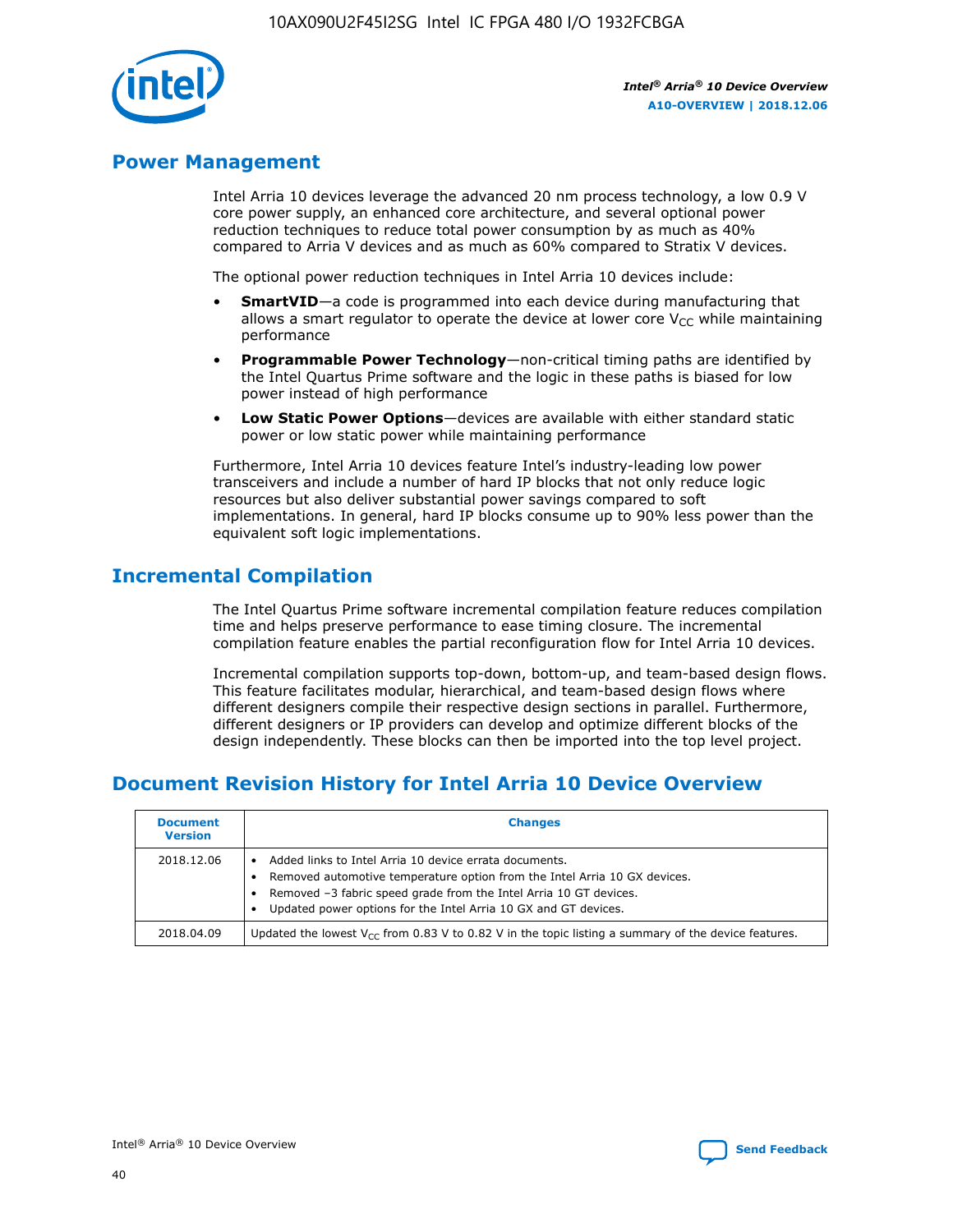

# **Power Management**

Intel Arria 10 devices leverage the advanced 20 nm process technology, a low 0.9 V core power supply, an enhanced core architecture, and several optional power reduction techniques to reduce total power consumption by as much as 40% compared to Arria V devices and as much as 60% compared to Stratix V devices.

The optional power reduction techniques in Intel Arria 10 devices include:

- **SmartVID**—a code is programmed into each device during manufacturing that allows a smart regulator to operate the device at lower core  $V_{CC}$  while maintaining performance
- **Programmable Power Technology**—non-critical timing paths are identified by the Intel Quartus Prime software and the logic in these paths is biased for low power instead of high performance
- **Low Static Power Options**—devices are available with either standard static power or low static power while maintaining performance

Furthermore, Intel Arria 10 devices feature Intel's industry-leading low power transceivers and include a number of hard IP blocks that not only reduce logic resources but also deliver substantial power savings compared to soft implementations. In general, hard IP blocks consume up to 90% less power than the equivalent soft logic implementations.

# **Incremental Compilation**

The Intel Quartus Prime software incremental compilation feature reduces compilation time and helps preserve performance to ease timing closure. The incremental compilation feature enables the partial reconfiguration flow for Intel Arria 10 devices.

Incremental compilation supports top-down, bottom-up, and team-based design flows. This feature facilitates modular, hierarchical, and team-based design flows where different designers compile their respective design sections in parallel. Furthermore, different designers or IP providers can develop and optimize different blocks of the design independently. These blocks can then be imported into the top level project.

# **Document Revision History for Intel Arria 10 Device Overview**

| <b>Document</b><br><b>Version</b> | <b>Changes</b>                                                                                                                                                                                                                                                              |
|-----------------------------------|-----------------------------------------------------------------------------------------------------------------------------------------------------------------------------------------------------------------------------------------------------------------------------|
| 2018.12.06                        | Added links to Intel Arria 10 device errata documents.<br>Removed automotive temperature option from the Intel Arria 10 GX devices.<br>Removed -3 fabric speed grade from the Intel Arria 10 GT devices.<br>Updated power options for the Intel Arria 10 GX and GT devices. |
| 2018.04.09                        | Updated the lowest $V_{CC}$ from 0.83 V to 0.82 V in the topic listing a summary of the device features.                                                                                                                                                                    |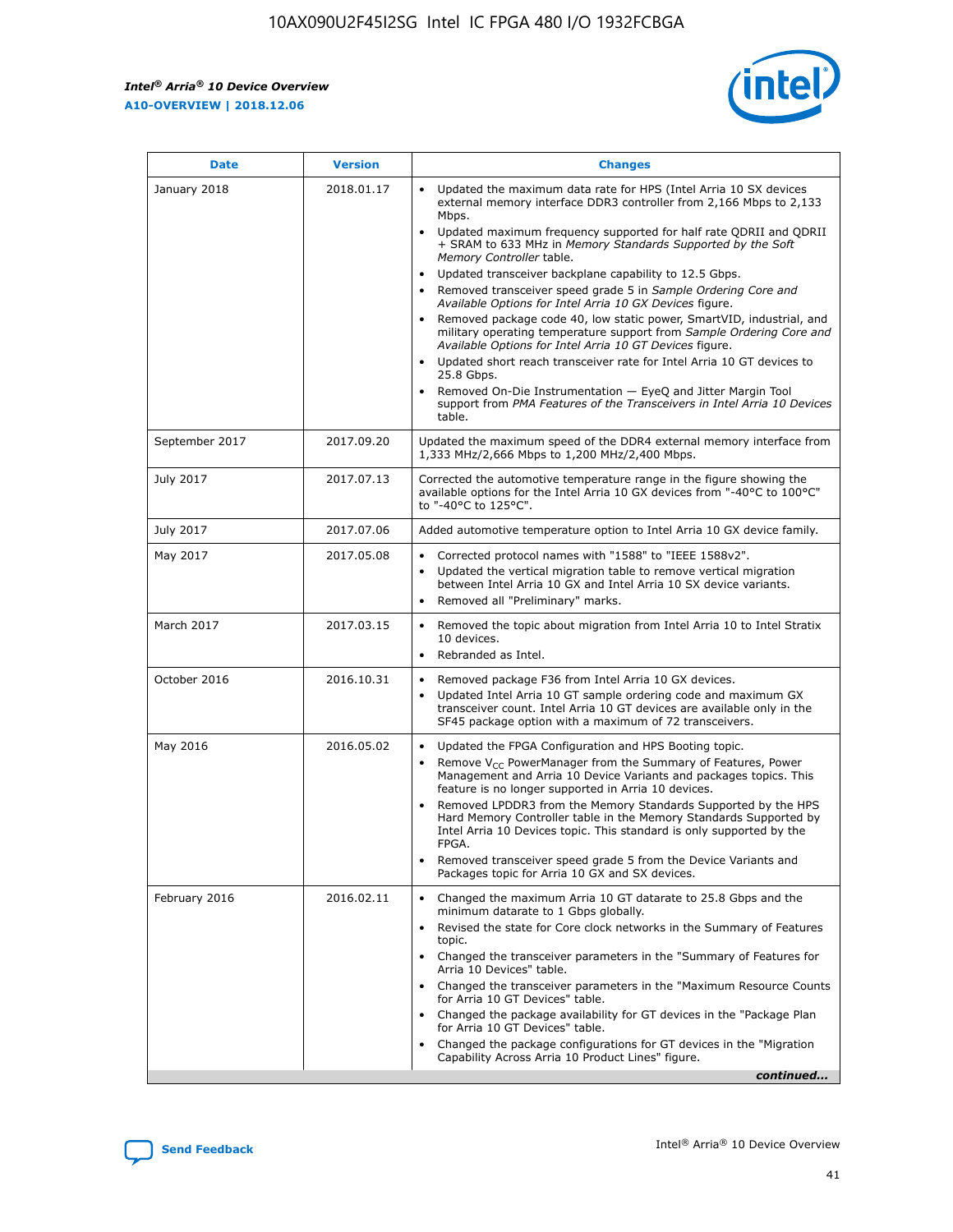*Intel® Arria® 10 Device Overview* **A10-OVERVIEW | 2018.12.06**



| <b>Date</b>    | <b>Version</b> | <b>Changes</b>                                                                                                                                                                                                                                                                                                                                                                                                                                                                                                                                                                                                                                                                                                                                                                                                                                                                                                                                                            |
|----------------|----------------|---------------------------------------------------------------------------------------------------------------------------------------------------------------------------------------------------------------------------------------------------------------------------------------------------------------------------------------------------------------------------------------------------------------------------------------------------------------------------------------------------------------------------------------------------------------------------------------------------------------------------------------------------------------------------------------------------------------------------------------------------------------------------------------------------------------------------------------------------------------------------------------------------------------------------------------------------------------------------|
| January 2018   | 2018.01.17     | Updated the maximum data rate for HPS (Intel Arria 10 SX devices<br>external memory interface DDR3 controller from 2,166 Mbps to 2,133<br>Mbps.<br>Updated maximum frequency supported for half rate QDRII and QDRII<br>+ SRAM to 633 MHz in Memory Standards Supported by the Soft<br>Memory Controller table.<br>Updated transceiver backplane capability to 12.5 Gbps.<br>$\bullet$<br>Removed transceiver speed grade 5 in Sample Ordering Core and<br>Available Options for Intel Arria 10 GX Devices figure.<br>Removed package code 40, low static power, SmartVID, industrial, and<br>military operating temperature support from Sample Ordering Core and<br>Available Options for Intel Arria 10 GT Devices figure.<br>Updated short reach transceiver rate for Intel Arria 10 GT devices to<br>25.8 Gbps.<br>Removed On-Die Instrumentation - EyeQ and Jitter Margin Tool<br>support from PMA Features of the Transceivers in Intel Arria 10 Devices<br>table. |
| September 2017 | 2017.09.20     | Updated the maximum speed of the DDR4 external memory interface from<br>1,333 MHz/2,666 Mbps to 1,200 MHz/2,400 Mbps.                                                                                                                                                                                                                                                                                                                                                                                                                                                                                                                                                                                                                                                                                                                                                                                                                                                     |
| July 2017      | 2017.07.13     | Corrected the automotive temperature range in the figure showing the<br>available options for the Intel Arria 10 GX devices from "-40°C to 100°C"<br>to "-40°C to 125°C".                                                                                                                                                                                                                                                                                                                                                                                                                                                                                                                                                                                                                                                                                                                                                                                                 |
| July 2017      | 2017.07.06     | Added automotive temperature option to Intel Arria 10 GX device family.                                                                                                                                                                                                                                                                                                                                                                                                                                                                                                                                                                                                                                                                                                                                                                                                                                                                                                   |
| May 2017       | 2017.05.08     | Corrected protocol names with "1588" to "IEEE 1588v2".<br>$\bullet$<br>Updated the vertical migration table to remove vertical migration<br>$\bullet$<br>between Intel Arria 10 GX and Intel Arria 10 SX device variants.<br>Removed all "Preliminary" marks.<br>$\bullet$                                                                                                                                                                                                                                                                                                                                                                                                                                                                                                                                                                                                                                                                                                |
| March 2017     | 2017.03.15     | Removed the topic about migration from Intel Arria 10 to Intel Stratix<br>10 devices.<br>Rebranded as Intel.<br>$\bullet$                                                                                                                                                                                                                                                                                                                                                                                                                                                                                                                                                                                                                                                                                                                                                                                                                                                 |
| October 2016   | 2016.10.31     | Removed package F36 from Intel Arria 10 GX devices.<br>Updated Intel Arria 10 GT sample ordering code and maximum GX<br>$\bullet$<br>transceiver count. Intel Arria 10 GT devices are available only in the<br>SF45 package option with a maximum of 72 transceivers.                                                                                                                                                                                                                                                                                                                                                                                                                                                                                                                                                                                                                                                                                                     |
| May 2016       | 2016.05.02     | Updated the FPGA Configuration and HPS Booting topic.<br>$\bullet$<br>Remove V <sub>CC</sub> PowerManager from the Summary of Features, Power<br>Management and Arria 10 Device Variants and packages topics. This<br>feature is no longer supported in Arria 10 devices.<br>Removed LPDDR3 from the Memory Standards Supported by the HPS<br>Hard Memory Controller table in the Memory Standards Supported by<br>Intel Arria 10 Devices topic. This standard is only supported by the<br>FPGA.<br>Removed transceiver speed grade 5 from the Device Variants and<br>Packages topic for Arria 10 GX and SX devices.                                                                                                                                                                                                                                                                                                                                                      |
| February 2016  | 2016.02.11     | Changed the maximum Arria 10 GT datarate to 25.8 Gbps and the<br>minimum datarate to 1 Gbps globally.<br>Revised the state for Core clock networks in the Summary of Features<br>$\bullet$<br>topic.<br>Changed the transceiver parameters in the "Summary of Features for<br>$\bullet$<br>Arria 10 Devices" table.<br>• Changed the transceiver parameters in the "Maximum Resource Counts<br>for Arria 10 GT Devices" table.<br>Changed the package availability for GT devices in the "Package Plan<br>for Arria 10 GT Devices" table.<br>Changed the package configurations for GT devices in the "Migration"<br>Capability Across Arria 10 Product Lines" figure.<br>continued                                                                                                                                                                                                                                                                                       |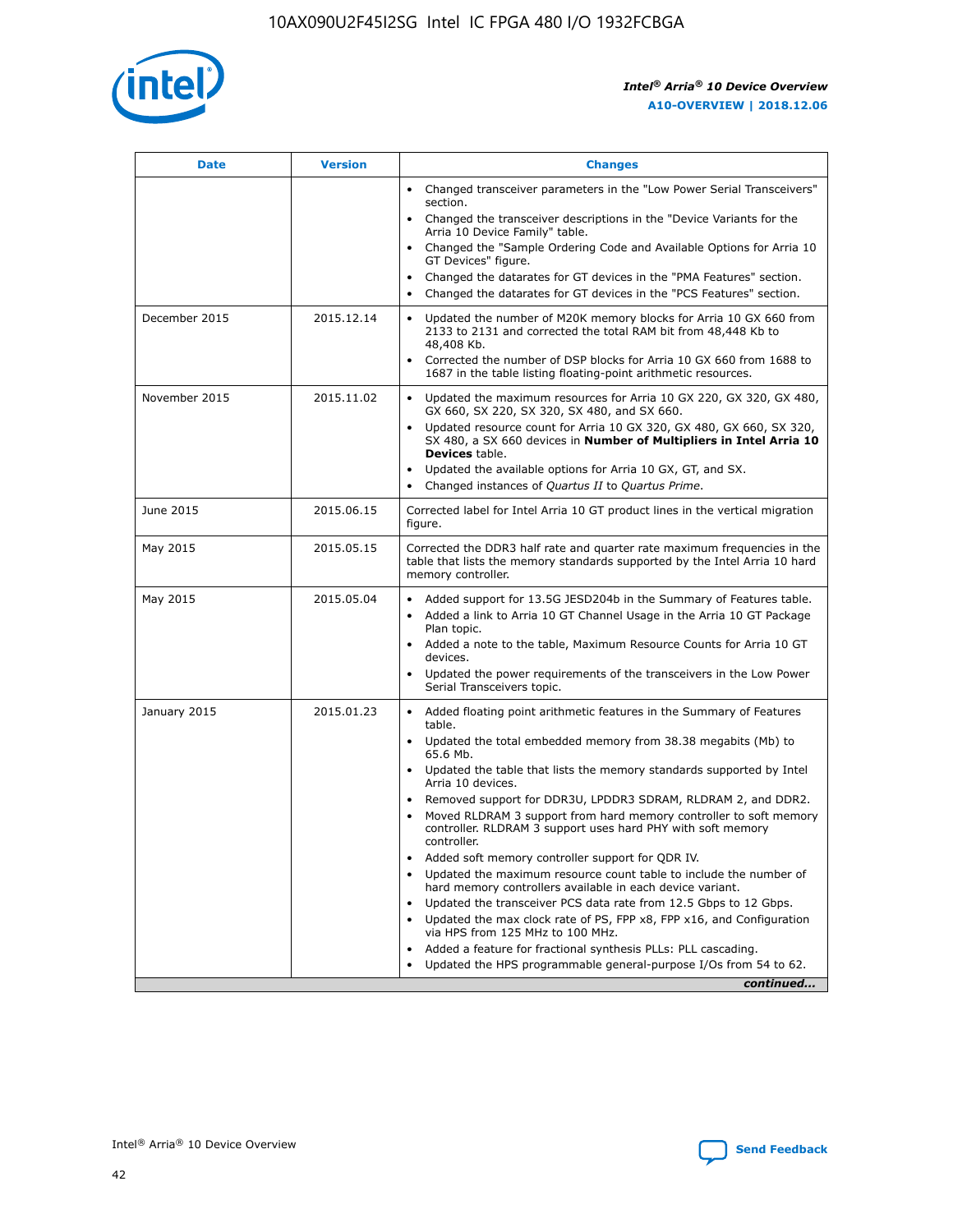

| <b>Date</b>   | <b>Version</b> | <b>Changes</b>                                                                                                                                                               |
|---------------|----------------|------------------------------------------------------------------------------------------------------------------------------------------------------------------------------|
|               |                | • Changed transceiver parameters in the "Low Power Serial Transceivers"<br>section.                                                                                          |
|               |                | • Changed the transceiver descriptions in the "Device Variants for the<br>Arria 10 Device Family" table.                                                                     |
|               |                | Changed the "Sample Ordering Code and Available Options for Arria 10<br>$\bullet$<br>GT Devices" figure.                                                                     |
|               |                | Changed the datarates for GT devices in the "PMA Features" section.                                                                                                          |
|               |                | Changed the datarates for GT devices in the "PCS Features" section.<br>$\bullet$                                                                                             |
| December 2015 | 2015.12.14     | Updated the number of M20K memory blocks for Arria 10 GX 660 from<br>2133 to 2131 and corrected the total RAM bit from 48,448 Kb to<br>48,408 Kb.                            |
|               |                | Corrected the number of DSP blocks for Arria 10 GX 660 from 1688 to<br>1687 in the table listing floating-point arithmetic resources.                                        |
| November 2015 | 2015.11.02     | Updated the maximum resources for Arria 10 GX 220, GX 320, GX 480,<br>$\bullet$<br>GX 660, SX 220, SX 320, SX 480, and SX 660.                                               |
|               |                | • Updated resource count for Arria 10 GX 320, GX 480, GX 660, SX 320,<br>SX 480, a SX 660 devices in Number of Multipliers in Intel Arria 10<br><b>Devices</b> table.        |
|               |                | Updated the available options for Arria 10 GX, GT, and SX.                                                                                                                   |
|               |                | Changed instances of Quartus II to Quartus Prime.<br>$\bullet$                                                                                                               |
| June 2015     | 2015.06.15     | Corrected label for Intel Arria 10 GT product lines in the vertical migration<br>figure.                                                                                     |
| May 2015      | 2015.05.15     | Corrected the DDR3 half rate and quarter rate maximum frequencies in the<br>table that lists the memory standards supported by the Intel Arria 10 hard<br>memory controller. |
| May 2015      | 2015.05.04     | • Added support for 13.5G JESD204b in the Summary of Features table.                                                                                                         |
|               |                | • Added a link to Arria 10 GT Channel Usage in the Arria 10 GT Package<br>Plan topic.                                                                                        |
|               |                | • Added a note to the table, Maximum Resource Counts for Arria 10 GT<br>devices.                                                                                             |
|               |                | • Updated the power requirements of the transceivers in the Low Power<br>Serial Transceivers topic.                                                                          |
| January 2015  | 2015.01.23     | • Added floating point arithmetic features in the Summary of Features<br>table.                                                                                              |
|               |                | • Updated the total embedded memory from 38.38 megabits (Mb) to<br>65.6 Mb.                                                                                                  |
|               |                | • Updated the table that lists the memory standards supported by Intel<br>Arria 10 devices.                                                                                  |
|               |                | Removed support for DDR3U, LPDDR3 SDRAM, RLDRAM 2, and DDR2.                                                                                                                 |
|               |                | Moved RLDRAM 3 support from hard memory controller to soft memory<br>controller. RLDRAM 3 support uses hard PHY with soft memory<br>controller.                              |
|               |                | Added soft memory controller support for QDR IV.<br>٠                                                                                                                        |
|               |                | Updated the maximum resource count table to include the number of<br>hard memory controllers available in each device variant.                                               |
|               |                | Updated the transceiver PCS data rate from 12.5 Gbps to 12 Gbps.<br>$\bullet$                                                                                                |
|               |                | Updated the max clock rate of PS, FPP x8, FPP x16, and Configuration<br>via HPS from 125 MHz to 100 MHz.                                                                     |
|               |                | Added a feature for fractional synthesis PLLs: PLL cascading.                                                                                                                |
|               |                | Updated the HPS programmable general-purpose I/Os from 54 to 62.<br>$\bullet$                                                                                                |
|               |                | continued                                                                                                                                                                    |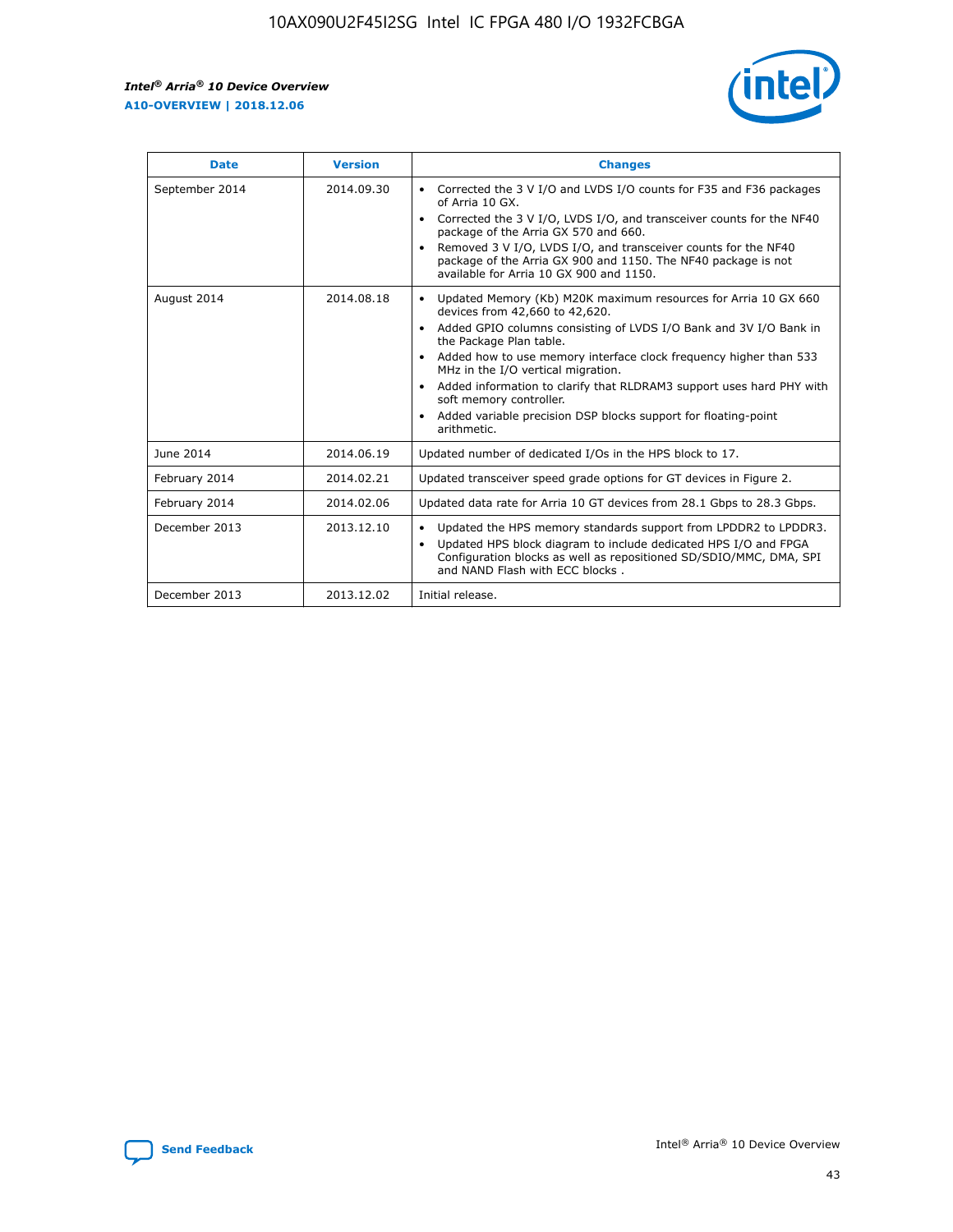r



| <b>Date</b>    | <b>Version</b> | <b>Changes</b>                                                                                                                                                                                                                                                                                                                                                                                                                                                                                                                                      |
|----------------|----------------|-----------------------------------------------------------------------------------------------------------------------------------------------------------------------------------------------------------------------------------------------------------------------------------------------------------------------------------------------------------------------------------------------------------------------------------------------------------------------------------------------------------------------------------------------------|
| September 2014 | 2014.09.30     | Corrected the 3 V I/O and LVDS I/O counts for F35 and F36 packages<br>$\bullet$<br>of Arria 10 GX.<br>Corrected the 3 V I/O, LVDS I/O, and transceiver counts for the NF40<br>$\bullet$<br>package of the Arria GX 570 and 660.<br>Removed 3 V I/O, LVDS I/O, and transceiver counts for the NF40<br>package of the Arria GX 900 and 1150. The NF40 package is not<br>available for Arria 10 GX 900 and 1150.                                                                                                                                       |
| August 2014    | 2014.08.18     | Updated Memory (Kb) M20K maximum resources for Arria 10 GX 660<br>devices from 42,660 to 42,620.<br>Added GPIO columns consisting of LVDS I/O Bank and 3V I/O Bank in<br>$\bullet$<br>the Package Plan table.<br>Added how to use memory interface clock frequency higher than 533<br>$\bullet$<br>MHz in the I/O vertical migration.<br>Added information to clarify that RLDRAM3 support uses hard PHY with<br>$\bullet$<br>soft memory controller.<br>Added variable precision DSP blocks support for floating-point<br>$\bullet$<br>arithmetic. |
| June 2014      | 2014.06.19     | Updated number of dedicated I/Os in the HPS block to 17.                                                                                                                                                                                                                                                                                                                                                                                                                                                                                            |
| February 2014  | 2014.02.21     | Updated transceiver speed grade options for GT devices in Figure 2.                                                                                                                                                                                                                                                                                                                                                                                                                                                                                 |
| February 2014  | 2014.02.06     | Updated data rate for Arria 10 GT devices from 28.1 Gbps to 28.3 Gbps.                                                                                                                                                                                                                                                                                                                                                                                                                                                                              |
| December 2013  | 2013.12.10     | Updated the HPS memory standards support from LPDDR2 to LPDDR3.<br>Updated HPS block diagram to include dedicated HPS I/O and FPGA<br>$\bullet$<br>Configuration blocks as well as repositioned SD/SDIO/MMC, DMA, SPI<br>and NAND Flash with ECC blocks.                                                                                                                                                                                                                                                                                            |
| December 2013  | 2013.12.02     | Initial release.                                                                                                                                                                                                                                                                                                                                                                                                                                                                                                                                    |